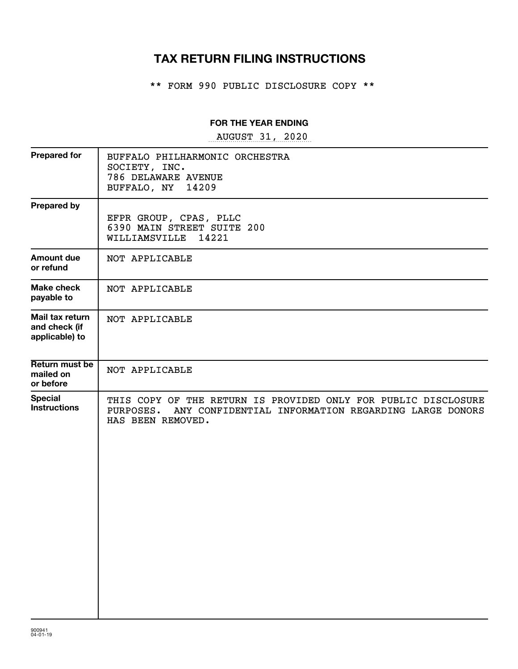# **TAX RETURN FILING INSTRUCTIONS**

\*\* FORM 990 PUBLIC DISCLOSURE COPY \*\*

### **FOR THE YEAR ENDING**

~~~~~~~~~~~~~~~~~ AUGUST 31, 2020

| <b>Prepared for</b>                                | BUFFALO PHILHARMONIC ORCHESTRA<br>SOCIETY, INC.<br>786 DELAWARE AVENUE<br>BUFFALO, NY<br>14209                                                       |
|----------------------------------------------------|------------------------------------------------------------------------------------------------------------------------------------------------------|
| <b>Prepared by</b>                                 | EFPR GROUP, CPAS, PLLC<br>6390 MAIN STREET SUITE 200<br>WILLIAMSVILLE 14221                                                                          |
| <b>Amount due</b><br>or refund                     | NOT APPLICABLE                                                                                                                                       |
| Make check<br>payable to                           | NOT APPLICABLE                                                                                                                                       |
| Mail tax return<br>and check (if<br>applicable) to | NOT APPLICABLE                                                                                                                                       |
| Return must be<br>mailed on<br>or before           | NOT APPLICABLE                                                                                                                                       |
| <b>Special</b><br><b>Instructions</b>              | THIS COPY OF THE RETURN IS PROVIDED ONLY FOR PUBLIC DISCLOSURE<br>PURPOSES. ANY CONFIDENTIAL INFORMATION REGARDING LARGE DONORS<br>HAS BEEN REMOVED. |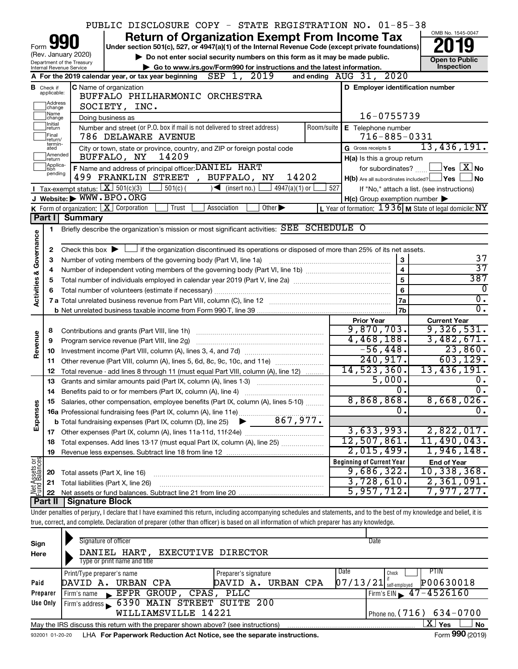|                         |                                  |                                                                 | PUBLIC DISCLOSURE COPY - STATE REGISTRATION NO. 01-85-38                                                                                                                   |                             |            |                                                     |                                                           |
|-------------------------|----------------------------------|-----------------------------------------------------------------|----------------------------------------------------------------------------------------------------------------------------------------------------------------------------|-----------------------------|------------|-----------------------------------------------------|-----------------------------------------------------------|
|                         |                                  |                                                                 | <b>Return of Organization Exempt From Income Tax</b>                                                                                                                       |                             |            |                                                     | OMB No. 1545-0047                                         |
| Form                    |                                  |                                                                 | Under section 501(c), 527, or 4947(a)(1) of the Internal Revenue Code (except private foundations)                                                                         |                             |            |                                                     |                                                           |
|                         |                                  | (Rev. January 2020)<br>Department of the Treasury               | Do not enter social security numbers on this form as it may be made public.                                                                                                |                             |            |                                                     | <b>Open to Public</b>                                     |
|                         |                                  | Internal Revenue Service                                        | Go to www.irs.gov/Form990 for instructions and the latest information.                                                                                                     |                             |            |                                                     | Inspection                                                |
|                         |                                  |                                                                 | A For the 2019 calendar year, or tax year beginning $\text{SEP}$ 1, 2019                                                                                                   |                             |            | and ending $AUG$ $31, 2020$                         |                                                           |
|                         | <b>B</b> Check if<br>applicable: | C Name of organization                                          | D Employer identification number                                                                                                                                           |                             |            |                                                     |                                                           |
|                         | Address<br>change                |                                                                 | BUFFALO PHILHARMONIC ORCHESTRA<br>SOCIETY, INC.                                                                                                                            |                             |            |                                                     |                                                           |
|                         | Name<br>change                   |                                                                 | Doing business as                                                                                                                                                          |                             |            | 16-0755739                                          |                                                           |
|                         | Initial<br>return<br>Final       |                                                                 | Number and street (or P.O. box if mail is not delivered to street address)<br>786 DELAWARE AVENUE                                                                          |                             | Room/suite | E Telephone number<br>$716 - 885 - 0331$            |                                                           |
|                         | return/<br>termin-<br>ated       |                                                                 | City or town, state or province, country, and ZIP or foreign postal code                                                                                                   |                             |            | G Gross receipts \$                                 | 13,436,191.                                               |
|                         | Amended<br>Ireturn               |                                                                 | 14209<br>BUFFALO, NY                                                                                                                                                       |                             |            | H(a) Is this a group return                         |                                                           |
|                         | Applica-<br>ltion<br>pending     |                                                                 | F Name and address of principal officer: DANIEL HART<br>499 FRANKLIN STREET<br>, BUFFALO, NY                                                                               | 14202                       |            |                                                     | for subordinates? $\Box$ $\Box$ Yes $\Box X$ No           |
|                         |                                  | <b>I</b> Tax-exempt status: $X \mid 501(c)(3)$                  | $501(c)$ (<br>$\sqrt{\phantom{a}}$ (insert no.)                                                                                                                            | $4947(a)(1)$ or             | 527        | H(b) Are all subordinates included? Ves             | l No                                                      |
|                         |                                  | J Website: WWW.BPO.ORG                                          |                                                                                                                                                                            |                             |            |                                                     | If "No," attach a list. (see instructions)                |
|                         |                                  | <b>K</b> Form of organization: $\boxed{\mathbf{X}}$ Corporation | Trust<br>Association                                                                                                                                                       | Other $\blacktriangleright$ |            | $H(c)$ Group exemption number $\blacktriangleright$ | L Year of formation: $1936$ M State of legal domicile: NY |
|                         | Part II                          | <b>Summary</b>                                                  |                                                                                                                                                                            |                             |            |                                                     |                                                           |
|                         | 1.                               |                                                                 | Briefly describe the organization's mission or most significant activities: SEE SCHEDULE O                                                                                 |                             |            |                                                     |                                                           |
| Governance              |                                  |                                                                 |                                                                                                                                                                            |                             |            |                                                     |                                                           |
|                         | 2                                |                                                                 | Check this box $\blacktriangleright$ $\Box$ if the organization discontinued its operations or disposed of more than 25% of its net assets.                                |                             |            |                                                     |                                                           |
|                         | 3                                |                                                                 | Number of voting members of the governing body (Part VI, line 1a)                                                                                                          |                             |            | 3                                                   | 37                                                        |
|                         | 4                                |                                                                 |                                                                                                                                                                            |                             |            | $\overline{\mathbf{4}}$                             | $\overline{37}$                                           |
|                         | 5                                |                                                                 |                                                                                                                                                                            |                             |            | $\overline{5}$                                      | 387                                                       |
| <b>Activities &amp;</b> | 6                                |                                                                 |                                                                                                                                                                            |                             |            | 6                                                   | 0                                                         |
|                         |                                  |                                                                 |                                                                                                                                                                            |                             |            | 7a                                                  | $\overline{0}$ .<br>σ.                                    |
|                         |                                  |                                                                 |                                                                                                                                                                            |                             |            | 7b                                                  |                                                           |
|                         |                                  |                                                                 |                                                                                                                                                                            |                             |            |                                                     |                                                           |
|                         |                                  |                                                                 |                                                                                                                                                                            |                             |            | <b>Prior Year</b>                                   | <b>Current Year</b>                                       |
|                         | 8                                |                                                                 |                                                                                                                                                                            |                             |            | 9,870,703.                                          | 9,326,531.                                                |
|                         | 9                                |                                                                 | Program service revenue (Part VIII, line 2g)                                                                                                                               |                             |            | 4,468,188.                                          | 3,482,671.                                                |
| Revenue                 | 10                               |                                                                 |                                                                                                                                                                            |                             |            | $-56,448.$                                          | 23,860.                                                   |
|                         | 11                               |                                                                 | Other revenue (Part VIII, column (A), lines 5, 6d, 8c, 9c, 10c, and 11e)                                                                                                   |                             |            | 240,917.                                            | 603, 129.                                                 |
|                         | 12<br>13                         |                                                                 | Total revenue - add lines 8 through 11 (must equal Part VIII, column (A), line 12)                                                                                         |                             |            | 14,523,360.                                         | 13,436,191.<br>0.                                         |
|                         | 14                               |                                                                 | Grants and similar amounts paid (Part IX, column (A), lines 1-3)                                                                                                           |                             |            | 5,000.<br>0.                                        | $\overline{\mathfrak{o}}$ .                               |
|                         |                                  |                                                                 | Benefits paid to or for members (Part IX, column (A), line 4)                                                                                                              |                             |            | $8,868,868$ .                                       | $8,668,026$ .                                             |
|                         |                                  |                                                                 | 15 Salaries, other compensation, employee benefits (Part IX, column (A), lines 5-10)                                                                                       |                             |            | 0                                                   | 0.                                                        |
|                         |                                  |                                                                 |                                                                                                                                                                            |                             |            |                                                     |                                                           |
| Expenses                |                                  |                                                                 |                                                                                                                                                                            |                             |            | 3,633,993.                                          | 2,822,017.                                                |
|                         | 18                               |                                                                 | Total expenses. Add lines 13-17 (must equal Part IX, column (A), line 25)                                                                                                  |                             |            | 12,507,861.                                         | 11,490,043.                                               |
|                         | 19                               |                                                                 |                                                                                                                                                                            |                             |            | 2,015,499.                                          | 1,946,148.                                                |
|                         |                                  |                                                                 |                                                                                                                                                                            |                             |            | <b>Beginning of Current Year</b>                    | <b>End of Year</b>                                        |
|                         | 20                               | Total assets (Part X, line 16)                                  |                                                                                                                                                                            |                             |            | 9,686,322.                                          | 10,338,368.                                               |
| t Assets or             | 21                               |                                                                 | Total liabilities (Part X, line 26)                                                                                                                                        |                             |            | 3,728,610.                                          | 2,361,091.                                                |
| 美                       | 22                               |                                                                 |                                                                                                                                                                            |                             |            | 5,957,712.                                          | 7,977,277.                                                |
|                         |                                  | <b>Part II   Signature Block</b>                                |                                                                                                                                                                            |                             |            |                                                     |                                                           |
|                         |                                  |                                                                 | Under penalties of perjury, I declare that I have examined this return, including accompanying schedules and statements, and to the best of my knowledge and belief, it is |                             |            |                                                     |                                                           |
|                         |                                  |                                                                 | true, correct, and complete. Declaration of preparer (other than officer) is based on all information of which preparer has any knowledge.                                 |                             |            |                                                     |                                                           |
|                         |                                  | Signature of officer                                            |                                                                                                                                                                            |                             |            | Date                                                |                                                           |
| Sign<br>Here            |                                  |                                                                 | EXECUTIVE DIRECTOR<br>DANIEL HART,                                                                                                                                         |                             |            |                                                     |                                                           |
|                         |                                  |                                                                 | Type or print name and title                                                                                                                                               |                             |            |                                                     |                                                           |
|                         |                                  | Print/Type preparer's name                                      | Preparer's signature                                                                                                                                                       |                             |            | Date<br>Check                                       | PTIN                                                      |
| Paid                    |                                  |                                                                 | DAVID A. URBAN CPA                                                                                                                                                         | DAVID A. URBAN CPA          |            | $07/13/21$ self-employed                            | P00630018                                                 |
|                         | Preparer                         | Firm's name                                                     | EFPR GROUP, CPAS, PLLC                                                                                                                                                     |                             |            |                                                     | Firm's EIN $\, 47 - 4526160$                              |
|                         | Use Only                         |                                                                 | Firm's address 6390 MAIN STREET SUITE 200<br>WILLIAMSVILLE 14221                                                                                                           |                             |            |                                                     | Phone no $(716)$ $634 - 0700$                             |

932001 01-20-20 LHA For Paperwork Reduction Act Notice, see the separate instructions. Form 990 (2019) May the IRS discuss this return with the preparer shown above? (see instructions)

 $\lfloor$   $\mathbf{X} \rfloor$  Yes  $\lfloor$ 

X

Phone no.

WILLIAMSVILLE 14221 (716) 634-0700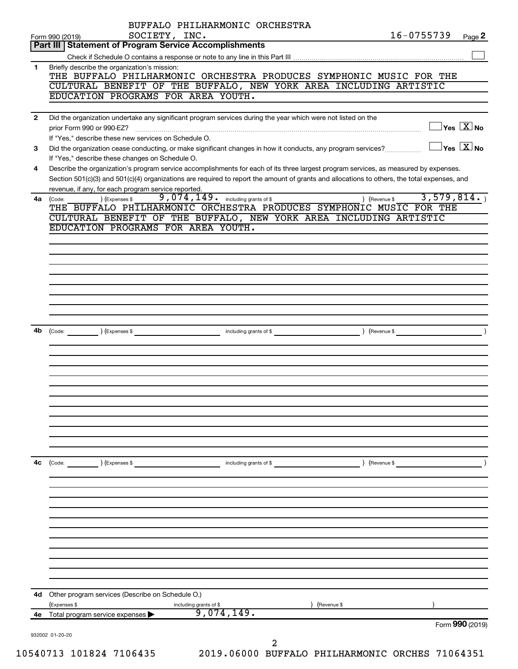|              | BUFFALO PHILHARMONIC ORCHESTRA<br>SOCIETY, INC.                                                                                                                                                                                | 16-0755739                              | Page 2 |
|--------------|--------------------------------------------------------------------------------------------------------------------------------------------------------------------------------------------------------------------------------|-----------------------------------------|--------|
|              | Form 990 (2019)<br>Part III   Statement of Program Service Accomplishments                                                                                                                                                     |                                         |        |
|              |                                                                                                                                                                                                                                |                                         |        |
| 1.           | Briefly describe the organization's mission:                                                                                                                                                                                   |                                         |        |
|              | THE BUFFALO PHILHARMONIC ORCHESTRA PRODUCES SYMPHONIC MUSIC FOR THE                                                                                                                                                            |                                         |        |
|              | CULTURAL BENEFIT OF THE BUFFALO, NEW YORK AREA INCLUDING ARTISTIC                                                                                                                                                              |                                         |        |
|              | EDUCATION PROGRAMS FOR AREA YOUTH.                                                                                                                                                                                             |                                         |        |
| $\mathbf{2}$ | Did the organization undertake any significant program services during the year which were not listed on the                                                                                                                   |                                         |        |
|              | prior Form 990 or 990-EZ?                                                                                                                                                                                                      | $\Box$ Yes $[\overline{\mathrm{X}}]$ No |        |
|              | If "Yes," describe these new services on Schedule O.                                                                                                                                                                           |                                         |        |
| 3            | Did the organization cease conducting, or make significant changes in how it conducts, any program services?                                                                                                                   | $\Box$ Yes $\boxed{\text{X}}$ No        |        |
|              | If "Yes," describe these changes on Schedule O.                                                                                                                                                                                |                                         |        |
| 4            | Describe the organization's program service accomplishments for each of its three largest program services, as measured by expenses.                                                                                           |                                         |        |
|              | Section 501(c)(3) and 501(c)(4) organizations are required to report the amount of grants and allocations to others, the total expenses, and<br>revenue, if any, for each program service reported.                            |                                         |        |
| 4a           | 9,074,149. including grants of \$<br>) (Expenses \$<br>(Code:                                                                                                                                                                  | 3,579,814.<br>) (Revenue \$             |        |
|              | THE BUFFALO PHILHARMONIC ORCHESTRA PRODUCES SYMPHONIC MUSIC FOR THE                                                                                                                                                            |                                         |        |
|              | CULTURAL BENEFIT OF THE BUFFALO, NEW YORK AREA INCLUDING ARTISTIC                                                                                                                                                              |                                         |        |
|              | EDUCATION PROGRAMS FOR AREA YOUTH.                                                                                                                                                                                             |                                         |        |
|              |                                                                                                                                                                                                                                |                                         |        |
|              |                                                                                                                                                                                                                                |                                         |        |
|              |                                                                                                                                                                                                                                |                                         |        |
|              |                                                                                                                                                                                                                                |                                         |        |
|              |                                                                                                                                                                                                                                |                                         |        |
|              |                                                                                                                                                                                                                                |                                         |        |
|              |                                                                                                                                                                                                                                |                                         |        |
|              |                                                                                                                                                                                                                                |                                         |        |
|              |                                                                                                                                                                                                                                |                                         |        |
| 4b           | (Code: \etap \etap \etap \etap \etap \etap \etap \etap \etap \etap \etap \etap \etap \etap \etap \etap \etap \etap \etap \etap \etap \etap \etap \etap \etap \etap \etap \etap \etap \etap \etap \etap \etap \etap \etap \etap |                                         |        |
|              |                                                                                                                                                                                                                                |                                         |        |
|              |                                                                                                                                                                                                                                |                                         |        |
|              |                                                                                                                                                                                                                                |                                         |        |
|              |                                                                                                                                                                                                                                |                                         |        |
|              |                                                                                                                                                                                                                                |                                         |        |
|              |                                                                                                                                                                                                                                |                                         |        |
|              |                                                                                                                                                                                                                                |                                         |        |
|              |                                                                                                                                                                                                                                |                                         |        |
|              |                                                                                                                                                                                                                                |                                         |        |
|              |                                                                                                                                                                                                                                |                                         |        |
| 4c           | (Code:<br>) (Expenses \$<br>including grants of \$                                                                                                                                                                             | ) (Revenue \$                           |        |
|              |                                                                                                                                                                                                                                |                                         |        |
|              |                                                                                                                                                                                                                                |                                         |        |
|              |                                                                                                                                                                                                                                |                                         |        |
|              |                                                                                                                                                                                                                                |                                         |        |
|              |                                                                                                                                                                                                                                |                                         |        |
|              |                                                                                                                                                                                                                                |                                         |        |
|              |                                                                                                                                                                                                                                |                                         |        |
|              |                                                                                                                                                                                                                                |                                         |        |
|              |                                                                                                                                                                                                                                |                                         |        |
|              |                                                                                                                                                                                                                                |                                         |        |
|              |                                                                                                                                                                                                                                |                                         |        |
|              | Other program services (Describe on Schedule O.)                                                                                                                                                                               |                                         |        |
|              |                                                                                                                                                                                                                                | (Revenue \$                             |        |
| 4d           | (Expenses \$<br>including grants of \$                                                                                                                                                                                         |                                         |        |
| 4е           | 9,074,149.<br>Total program service expenses                                                                                                                                                                                   |                                         |        |
|              |                                                                                                                                                                                                                                | Form 990 (2019)                         |        |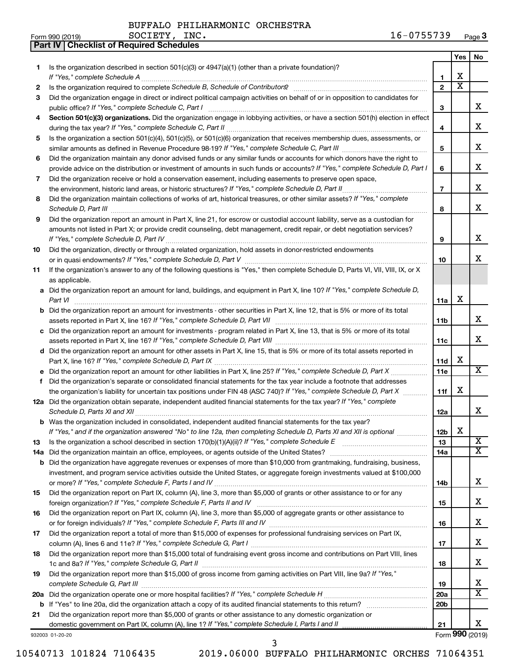BUFFALO PHILHARMONIC ORCHESTRA SOCIETY, INC.

**Part IV Checklist of Required Schedules**

|    |                                                                                                                                                                                                                                                            |                        | Yes                     | No.                     |
|----|------------------------------------------------------------------------------------------------------------------------------------------------------------------------------------------------------------------------------------------------------------|------------------------|-------------------------|-------------------------|
| 1. | Is the organization described in section 501(c)(3) or 4947(a)(1) (other than a private foundation)?                                                                                                                                                        |                        |                         |                         |
|    |                                                                                                                                                                                                                                                            | 1                      | х                       |                         |
| 2  |                                                                                                                                                                                                                                                            | $\mathbf{2}$           | $\overline{\textbf{x}}$ |                         |
| З  | Did the organization engage in direct or indirect political campaign activities on behalf of or in opposition to candidates for                                                                                                                            |                        |                         |                         |
|    |                                                                                                                                                                                                                                                            | 3                      |                         | x.                      |
| 4  | Section 501(c)(3) organizations. Did the organization engage in lobbying activities, or have a section 501(h) election in effect                                                                                                                           |                        |                         |                         |
|    |                                                                                                                                                                                                                                                            | 4                      |                         | х                       |
| 5  | Is the organization a section 501(c)(4), 501(c)(5), or 501(c)(6) organization that receives membership dues, assessments, or                                                                                                                               |                        |                         |                         |
|    |                                                                                                                                                                                                                                                            | 5                      |                         | х                       |
| 6  | Did the organization maintain any donor advised funds or any similar funds or accounts for which donors have the right to                                                                                                                                  |                        |                         | х                       |
|    | provide advice on the distribution or investment of amounts in such funds or accounts? If "Yes," complete Schedule D, Part I                                                                                                                               | 6                      |                         |                         |
| 7  | Did the organization receive or hold a conservation easement, including easements to preserve open space,                                                                                                                                                  |                        |                         | x                       |
|    |                                                                                                                                                                                                                                                            | $\overline{7}$         |                         |                         |
| 8  | Did the organization maintain collections of works of art, historical treasures, or other similar assets? If "Yes," complete                                                                                                                               |                        |                         | x                       |
|    |                                                                                                                                                                                                                                                            | 8                      |                         |                         |
| 9  | Did the organization report an amount in Part X, line 21, for escrow or custodial account liability, serve as a custodian for<br>amounts not listed in Part X; or provide credit counseling, debt management, credit repair, or debt negotiation services? |                        |                         |                         |
|    |                                                                                                                                                                                                                                                            | 9                      |                         | х                       |
| 10 | Did the organization, directly or through a related organization, hold assets in donor-restricted endowments                                                                                                                                               |                        |                         |                         |
|    |                                                                                                                                                                                                                                                            | 10                     |                         | x                       |
| 11 | If the organization's answer to any of the following questions is "Yes," then complete Schedule D, Parts VI, VII, VIII, IX, or X                                                                                                                           |                        |                         |                         |
|    | as applicable.                                                                                                                                                                                                                                             |                        |                         |                         |
|    | a Did the organization report an amount for land, buildings, and equipment in Part X, line 10? If "Yes," complete Schedule D,                                                                                                                              |                        |                         |                         |
|    |                                                                                                                                                                                                                                                            | 11a                    | X                       |                         |
|    | <b>b</b> Did the organization report an amount for investments - other securities in Part X, line 12, that is 5% or more of its total                                                                                                                      |                        |                         |                         |
|    |                                                                                                                                                                                                                                                            | 11 <sub>b</sub>        |                         | x                       |
|    | c Did the organization report an amount for investments - program related in Part X, line 13, that is 5% or more of its total                                                                                                                              |                        |                         |                         |
|    |                                                                                                                                                                                                                                                            | 11c                    |                         | x                       |
|    | d Did the organization report an amount for other assets in Part X, line 15, that is 5% or more of its total assets reported in                                                                                                                            |                        |                         |                         |
|    |                                                                                                                                                                                                                                                            | 11d                    | х                       |                         |
|    |                                                                                                                                                                                                                                                            | 11e                    |                         | x                       |
| f. | Did the organization's separate or consolidated financial statements for the tax year include a footnote that addresses                                                                                                                                    |                        |                         |                         |
|    | the organization's liability for uncertain tax positions under FIN 48 (ASC 740)? If "Yes," complete Schedule D, Part X                                                                                                                                     | 11f                    | X                       |                         |
|    | 12a Did the organization obtain separate, independent audited financial statements for the tax year? If "Yes," complete                                                                                                                                    |                        |                         |                         |
|    |                                                                                                                                                                                                                                                            | 12a                    |                         | x                       |
|    | <b>b</b> Was the organization included in consolidated, independent audited financial statements for the tax year?                                                                                                                                         |                        |                         |                         |
|    | If "Yes," and if the organization answered "No" to line 12a, then completing Schedule D, Parts XI and XII is optional                                                                                                                                      | 12 <sub>b</sub>        | х                       |                         |
| 13 |                                                                                                                                                                                                                                                            | 13                     |                         | $\overline{\mathbf{X}}$ |
|    |                                                                                                                                                                                                                                                            | 14a                    |                         | X.                      |
|    | <b>b</b> Did the organization have aggregate revenues or expenses of more than \$10,000 from grantmaking, fundraising, business,                                                                                                                           |                        |                         |                         |
|    | investment, and program service activities outside the United States, or aggregate foreign investments valued at \$100,000                                                                                                                                 |                        |                         |                         |
|    |                                                                                                                                                                                                                                                            | 14b                    |                         | x                       |
| 15 | Did the organization report on Part IX, column (A), line 3, more than \$5,000 of grants or other assistance to or for any                                                                                                                                  |                        |                         |                         |
|    |                                                                                                                                                                                                                                                            | 15                     |                         | х                       |
| 16 | Did the organization report on Part IX, column (A), line 3, more than \$5,000 of aggregate grants or other assistance to                                                                                                                                   |                        |                         |                         |
|    |                                                                                                                                                                                                                                                            | 16                     |                         | х                       |
| 17 | Did the organization report a total of more than \$15,000 of expenses for professional fundraising services on Part IX,                                                                                                                                    |                        |                         |                         |
|    |                                                                                                                                                                                                                                                            | 17                     |                         | х                       |
| 18 | Did the organization report more than \$15,000 total of fundraising event gross income and contributions on Part VIII, lines                                                                                                                               |                        |                         | х                       |
|    |                                                                                                                                                                                                                                                            | 18                     |                         |                         |
| 19 | Did the organization report more than \$15,000 of gross income from gaming activities on Part VIII, line 9a? If "Yes,"                                                                                                                                     |                        |                         | х                       |
|    |                                                                                                                                                                                                                                                            | 19                     |                         | x                       |
|    |                                                                                                                                                                                                                                                            | 20a<br>20 <sub>b</sub> |                         |                         |
|    | Did the organization report more than \$5,000 of grants or other assistance to any domestic organization or                                                                                                                                                |                        |                         |                         |
| 21 |                                                                                                                                                                                                                                                            | 21                     |                         | х                       |
|    | 932003 01-20-20                                                                                                                                                                                                                                            |                        |                         | Form 990 (2019)         |
|    |                                                                                                                                                                                                                                                            |                        |                         |                         |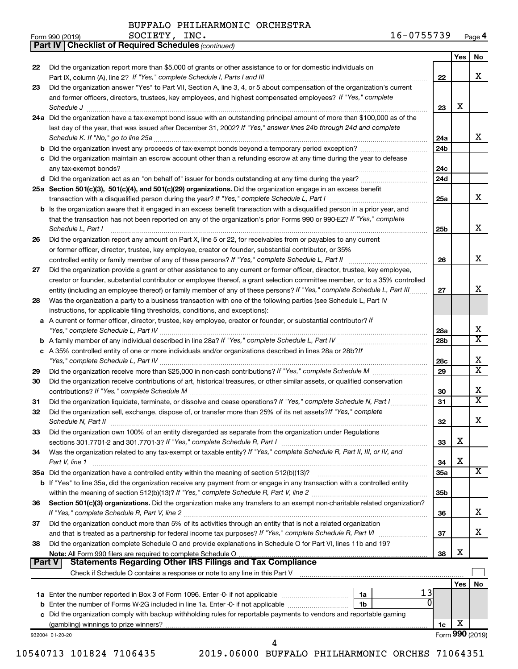*(continued)*

**Part IV Checklist of Required Schedules**

| Form 990 (2019) | SOCIETY<br>INC. | 16-0755739 | Page 4 |
|-----------------|-----------------|------------|--------|
|-----------------|-----------------|------------|--------|

|               |                                                                                                                                                                 |                 | Yes             | No                           |
|---------------|-----------------------------------------------------------------------------------------------------------------------------------------------------------------|-----------------|-----------------|------------------------------|
| 22            | Did the organization report more than \$5,000 of grants or other assistance to or for domestic individuals on                                                   |                 |                 |                              |
|               |                                                                                                                                                                 | 22              |                 | x                            |
| 23            | Did the organization answer "Yes" to Part VII, Section A, line 3, 4, or 5 about compensation of the organization's current                                      |                 |                 |                              |
|               | and former officers, directors, trustees, key employees, and highest compensated employees? If "Yes," complete                                                  |                 |                 |                              |
|               | Schedule J <b>Execute Schedule J Execute Schedule J</b>                                                                                                         | 23              | х               |                              |
|               | 24a Did the organization have a tax-exempt bond issue with an outstanding principal amount of more than \$100,000 as of the                                     |                 |                 |                              |
|               | last day of the year, that was issued after December 31, 2002? If "Yes," answer lines 24b through 24d and complete                                              |                 |                 |                              |
|               |                                                                                                                                                                 | 24a             |                 | x                            |
|               |                                                                                                                                                                 | 24 <sub>b</sub> |                 |                              |
|               | c Did the organization maintain an escrow account other than a refunding escrow at any time during the year to defease                                          |                 |                 |                              |
|               |                                                                                                                                                                 | 24с             |                 |                              |
|               |                                                                                                                                                                 | 24d             |                 |                              |
|               | 25a Section 501(c)(3), 501(c)(4), and 501(c)(29) organizations. Did the organization engage in an excess benefit                                                |                 |                 |                              |
|               |                                                                                                                                                                 | 25a             |                 | x                            |
|               | b Is the organization aware that it engaged in an excess benefit transaction with a disqualified person in a prior year, and                                    |                 |                 |                              |
|               | that the transaction has not been reported on any of the organization's prior Forms 990 or 990-EZ? If "Yes," complete                                           |                 |                 |                              |
|               | Schedule L, Part I                                                                                                                                              | 25b             |                 | x                            |
| 26            | Did the organization report any amount on Part X, line 5 or 22, for receivables from or payables to any current                                                 |                 |                 |                              |
|               | or former officer, director, trustee, key employee, creator or founder, substantial contributor, or 35%                                                         |                 |                 |                              |
|               |                                                                                                                                                                 | 26              |                 | х                            |
| 27            | Did the organization provide a grant or other assistance to any current or former officer, director, trustee, key employee,                                     |                 |                 |                              |
|               | creator or founder, substantial contributor or employee thereof, a grant selection committee member, or to a 35% controlled                                     |                 |                 |                              |
|               | entity (including an employee thereof) or family member of any of these persons? If "Yes," complete Schedule L, Part III                                        | 27              |                 | x                            |
| 28            | Was the organization a party to a business transaction with one of the following parties (see Schedule L, Part IV                                               |                 |                 |                              |
|               | instructions, for applicable filing thresholds, conditions, and exceptions):                                                                                    |                 |                 |                              |
|               | a A current or former officer, director, trustee, key employee, creator or founder, or substantial contributor? If                                              |                 |                 |                              |
|               |                                                                                                                                                                 | 28a             |                 | х<br>$\overline{\texttt{x}}$ |
|               |                                                                                                                                                                 | 28b             |                 |                              |
|               | c A 35% controlled entity of one or more individuals and/or organizations described in lines 28a or 28b?If                                                      |                 |                 | x                            |
|               |                                                                                                                                                                 | 28c             |                 | $\overline{\mathbf{X}}$      |
| 29            |                                                                                                                                                                 | 29              |                 |                              |
| 30            | Did the organization receive contributions of art, historical treasures, or other similar assets, or qualified conservation                                     |                 |                 | x                            |
|               |                                                                                                                                                                 | 30              |                 | $\overline{\texttt{x}}$      |
| 31            | Did the organization liquidate, terminate, or dissolve and cease operations? If "Yes," complete Schedule N, Part I                                              | 31              |                 |                              |
| 32            | Did the organization sell, exchange, dispose of, or transfer more than 25% of its net assets? If "Yes," complete                                                | 32              |                 | х                            |
|               | Did the organization own 100% of an entity disregarded as separate from the organization under Regulations                                                      |                 |                 |                              |
| 33            | sections 301.7701-2 and 301.7701-3? If "Yes," complete Schedule R, Part I                                                                                       | 33              | х               |                              |
| 34            | Was the organization related to any tax-exempt or taxable entity? If "Yes," complete Schedule R, Part II, III, or IV, and                                       |                 |                 |                              |
|               | Part V, line 1                                                                                                                                                  | 34              | х               |                              |
|               | 35a Did the organization have a controlled entity within the meaning of section 512(b)(13)?                                                                     | 35a             |                 | х                            |
|               | b If "Yes" to line 35a, did the organization receive any payment from or engage in any transaction with a controlled entity                                     |                 |                 |                              |
|               |                                                                                                                                                                 | 35b             |                 |                              |
| 36            | Section 501(c)(3) organizations. Did the organization make any transfers to an exempt non-charitable related organization?                                      |                 |                 |                              |
|               |                                                                                                                                                                 | 36              |                 | x                            |
| 37            | Did the organization conduct more than 5% of its activities through an entity that is not a related organization                                                |                 |                 |                              |
|               |                                                                                                                                                                 | 37              |                 | x                            |
| 38            | Did the organization complete Schedule O and provide explanations in Schedule O for Part VI, lines 11b and 19?                                                  |                 |                 |                              |
|               | Note: All Form 990 filers are required to complete Schedule O                                                                                                   | 38              | х               |                              |
| <b>Part V</b> |                                                                                                                                                                 |                 |                 |                              |
|               | Check if Schedule O contains a response or note to any line in this Part V [11] [12] Check if Schedule O contains a response or note to any line in this Part V |                 |                 |                              |
|               |                                                                                                                                                                 |                 | Yes             | No                           |
|               | 13<br>1a                                                                                                                                                        |                 |                 |                              |
| b             | Enter the number of Forms W-2G included in line 1a. Enter -0- if not applicable<br>1b                                                                           |                 |                 |                              |
|               | c Did the organization comply with backup withholding rules for reportable payments to vendors and reportable gaming                                            |                 |                 |                              |
|               |                                                                                                                                                                 | 1c              | х               |                              |
|               | 932004 01-20-20                                                                                                                                                 |                 | Form 990 (2019) |                              |
|               | 4                                                                                                                                                               |                 |                 |                              |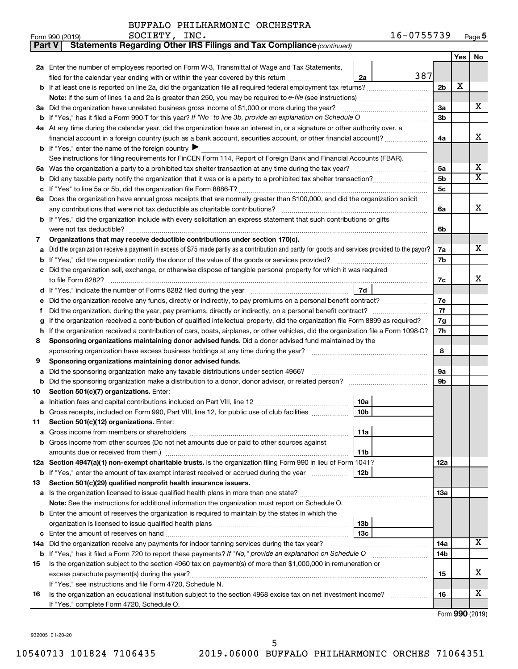| Part V | Statements Regarding Other IRS Filings and Tax Compliance (continued)                                                                           |     |     |                         |
|--------|-------------------------------------------------------------------------------------------------------------------------------------------------|-----|-----|-------------------------|
|        |                                                                                                                                                 |     | Yes | No                      |
|        | 2a Enter the number of employees reported on Form W-3, Transmittal of Wage and Tax Statements,                                                  |     |     |                         |
|        | 387<br>filed for the calendar year ending with or within the year covered by this return<br>2a                                                  |     |     |                         |
|        | b If at least one is reported on line 2a, did the organization file all required federal employment tax returns?                                | 2b  | X   |                         |
|        |                                                                                                                                                 |     |     |                         |
|        | 3a Did the organization have unrelated business gross income of \$1,000 or more during the year?                                                | За  |     | х                       |
|        |                                                                                                                                                 | 3b  |     |                         |
|        | 4a At any time during the calendar year, did the organization have an interest in, or a signature or other authority over, a                    |     |     |                         |
|        | financial account in a foreign country (such as a bank account, securities account, or other financial account)?                                | 4a  |     | х                       |
|        | <b>b</b> If "Yes," enter the name of the foreign country $\blacktriangleright$                                                                  |     |     |                         |
|        | See instructions for filing requirements for FinCEN Form 114, Report of Foreign Bank and Financial Accounts (FBAR).                             |     |     |                         |
| 5a     |                                                                                                                                                 | 5a  |     | x                       |
| b      |                                                                                                                                                 | 5b  |     | $\overline{\textbf{x}}$ |
|        |                                                                                                                                                 | 5с  |     |                         |
|        | 6a Does the organization have annual gross receipts that are normally greater than \$100,000, and did the organization solicit                  |     |     |                         |
|        |                                                                                                                                                 | 6a  |     | х                       |
|        | b If "Yes," did the organization include with every solicitation an express statement that such contributions or gifts                          |     |     |                         |
|        | were not tax deductible?                                                                                                                        | 6b  |     |                         |
| 7      | Organizations that may receive deductible contributions under section 170(c).                                                                   |     |     |                         |
| a      | Did the organization receive a payment in excess of \$75 made partly as a contribution and partly for goods and services provided to the payor? | 7a  |     | х                       |
| b      |                                                                                                                                                 | 7b  |     |                         |
| c      | Did the organization sell, exchange, or otherwise dispose of tangible personal property for which it was required                               |     |     |                         |
|        |                                                                                                                                                 | 7c  |     | х                       |
| d      | 7d                                                                                                                                              |     |     |                         |
|        | Did the organization receive any funds, directly or indirectly, to pay premiums on a personal benefit contract?                                 | 7e  |     |                         |
| f      |                                                                                                                                                 | 7f  |     |                         |
| g      | If the organization received a contribution of qualified intellectual property, did the organization file Form 8899 as required?                | 7g  |     |                         |
| h      | If the organization received a contribution of cars, boats, airplanes, or other vehicles, did the organization file a Form 1098-C?              | 7h  |     |                         |
| 8      | Sponsoring organizations maintaining donor advised funds. Did a donor advised fund maintained by the                                            |     |     |                         |
|        |                                                                                                                                                 | 8   |     |                         |
| 9      | Sponsoring organizations maintaining donor advised funds.                                                                                       |     |     |                         |
| а      | Did the sponsoring organization make any taxable distributions under section 4966?                                                              | 9а  |     |                         |
| b      |                                                                                                                                                 | 9b  |     |                         |
| 10     | Section 501(c)(7) organizations. Enter:                                                                                                         |     |     |                         |
| а      | 10a                                                                                                                                             |     |     |                         |
|        | <b>b</b> Gross receipts, included on Form 990, Part VIII, line 12, for public use of club facilities <i>manumum</i><br>10b                      |     |     |                         |
| 11     | Section 501(c)(12) organizations. Enter:                                                                                                        |     |     |                         |
| а      | 11a                                                                                                                                             |     |     |                         |
|        | Gross income from other sources (Do not net amounts due or paid to other sources against                                                        |     |     |                         |
|        | amounts due or received from them.)<br>11b                                                                                                      |     |     |                         |
|        | 12a Section 4947(a)(1) non-exempt charitable trusts. Is the organization filing Form 990 in lieu of Form 1041?                                  | 12a |     |                         |
|        | 12b<br><b>b</b> If "Yes," enter the amount of tax-exempt interest received or accrued during the year                                           |     |     |                         |
| 13     | Section 501(c)(29) qualified nonprofit health insurance issuers.                                                                                |     |     |                         |
|        | a Is the organization licensed to issue qualified health plans in more than one state?                                                          | 13a |     |                         |
|        | Note: See the instructions for additional information the organization must report on Schedule O.                                               |     |     |                         |
|        | <b>b</b> Enter the amount of reserves the organization is required to maintain by the states in which the<br>13b                                |     |     |                         |
| c      | 13c                                                                                                                                             |     |     |                         |
|        | 14a Did the organization receive any payments for indoor tanning services during the tax year?                                                  | 14a |     | x                       |
|        | <b>b</b> If "Yes," has it filed a Form 720 to report these payments? If "No," provide an explanation on Schedule O                              | 14b |     |                         |
| 15     | Is the organization subject to the section 4960 tax on payment(s) of more than \$1,000,000 in remuneration or                                   |     |     |                         |
|        | excess parachute payment(s) during the year?                                                                                                    | 15  |     | х                       |
|        | If "Yes," see instructions and file Form 4720, Schedule N.                                                                                      |     |     |                         |
| 16     | Is the organization an educational institution subject to the section 4968 excise tax on net investment income?                                 | 16  |     | x                       |
|        | If "Yes," complete Form 4720, Schedule O.                                                                                                       |     |     |                         |
|        |                                                                                                                                                 |     |     |                         |

Form (2019) **990**

932005 01-20-20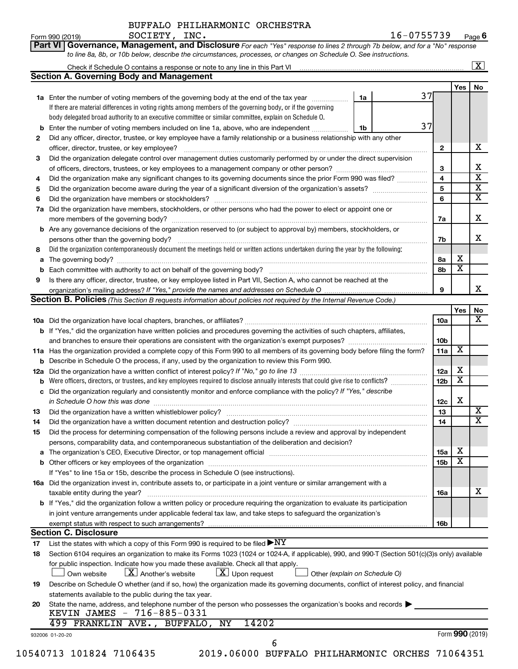**Part VI** Governance, Management, and Disclosure For each "Yes" response to lines 2 through 7b below, and for a "No" response *to line 8a, 8b, or 10b below, describe the circumstances, processes, or changes on Schedule O. See instructions.*

|     | Check if Schedule O contains a response or note to any line in this Part VI                                                                                                                                                    |    |                 |                         | $\overline{\mathbf{x}}$ |
|-----|--------------------------------------------------------------------------------------------------------------------------------------------------------------------------------------------------------------------------------|----|-----------------|-------------------------|-------------------------|
|     | <b>Section A. Governing Body and Management</b>                                                                                                                                                                                |    |                 |                         |                         |
|     |                                                                                                                                                                                                                                |    |                 | Yes                     | No                      |
|     | 1a Enter the number of voting members of the governing body at the end of the tax year <i>manumum</i>                                                                                                                          | 1a | 37              |                         |                         |
|     | If there are material differences in voting rights among members of the governing body, or if the governing                                                                                                                    |    |                 |                         |                         |
|     | body delegated broad authority to an executive committee or similar committee, explain on Schedule O.                                                                                                                          |    |                 |                         |                         |
| b   | Enter the number of voting members included on line 1a, above, who are independent                                                                                                                                             | 1b | 37              |                         |                         |
| 2   | Did any officer, director, trustee, or key employee have a family relationship or a business relationship with any other                                                                                                       |    |                 |                         |                         |
|     |                                                                                                                                                                                                                                |    | $\mathbf{2}$    |                         |                         |
| 3   | Did the organization delegate control over management duties customarily performed by or under the direct supervision                                                                                                          |    |                 |                         |                         |
|     | of officers, directors, trustees, or key employees to a management company or other person?                                                                                                                                    |    | 3               |                         |                         |
| 4   | Did the organization make any significant changes to its governing documents since the prior Form 990 was filed?                                                                                                               |    | $\overline{4}$  |                         |                         |
| 5   |                                                                                                                                                                                                                                |    | 5               |                         |                         |
| 6   |                                                                                                                                                                                                                                |    | 6               |                         |                         |
| 7a  | Did the organization have members, stockholders, or other persons who had the power to elect or appoint one or                                                                                                                 |    |                 |                         |                         |
|     |                                                                                                                                                                                                                                |    | 7a              |                         |                         |
|     | <b>b</b> Are any governance decisions of the organization reserved to (or subject to approval by) members, stockholders, or                                                                                                    |    |                 |                         |                         |
|     | persons other than the governing body?                                                                                                                                                                                         |    | 7b              |                         |                         |
| 8   | Did the organization contemporaneously document the meetings held or written actions undertaken during the year by the following:                                                                                              |    |                 |                         |                         |
| а   |                                                                                                                                                                                                                                |    | 8а              | X                       |                         |
|     |                                                                                                                                                                                                                                |    | 8b              | $\overline{\textbf{x}}$ |                         |
| 9   | Is there any officer, director, trustee, or key employee listed in Part VII, Section A, who cannot be reached at the                                                                                                           |    |                 |                         |                         |
|     |                                                                                                                                                                                                                                |    | 9               |                         |                         |
|     | Section B. Policies (This Section B requests information about policies not required by the Internal Revenue Code.)                                                                                                            |    |                 |                         |                         |
|     |                                                                                                                                                                                                                                |    |                 | Yes                     |                         |
|     |                                                                                                                                                                                                                                |    | 10a             |                         |                         |
|     | b If "Yes," did the organization have written policies and procedures governing the activities of such chapters, affiliates,                                                                                                   |    |                 |                         |                         |
|     |                                                                                                                                                                                                                                |    | 10 <sub>b</sub> |                         |                         |
|     | 11a Has the organization provided a complete copy of this Form 990 to all members of its governing body before filing the form?                                                                                                |    | 11a             | х                       |                         |
|     | <b>b</b> Describe in Schedule O the process, if any, used by the organization to review this Form 990.                                                                                                                         |    |                 |                         |                         |
| 12a |                                                                                                                                                                                                                                |    | 12a             | X                       |                         |
|     | Were officers, directors, or trustees, and key employees required to disclose annually interests that could give rise to conflicts?                                                                                            |    | 12 <sub>b</sub> | $\overline{\textbf{x}}$ |                         |
| с   | Did the organization regularly and consistently monitor and enforce compliance with the policy? If "Yes," describe                                                                                                             |    |                 |                         |                         |
|     | in Schedule O how this was done manufactured and continuum control of the state of the state of the state of t                                                                                                                 |    | 12c             | X                       |                         |
| 13  |                                                                                                                                                                                                                                |    | 13              |                         |                         |
| 14  |                                                                                                                                                                                                                                |    | 14              |                         |                         |
| 15  | Did the process for determining compensation of the following persons include a review and approval by independent                                                                                                             |    |                 |                         |                         |
|     | persons, comparability data, and contemporaneous substantiation of the deliberation and decision?                                                                                                                              |    |                 |                         |                         |
|     | The organization's CEO, Executive Director, or top management official manufacture content content of the organization's CEO, Executive Director, or top management official manufacture content of the original content of th |    | <b>15a</b>      | х                       |                         |
|     |                                                                                                                                                                                                                                |    | 15 <sub>b</sub> | $\overline{\textbf{x}}$ |                         |
|     | If "Yes" to line 15a or 15b, describe the process in Schedule O (see instructions).                                                                                                                                            |    |                 |                         |                         |
|     | 16a Did the organization invest in, contribute assets to, or participate in a joint venture or similar arrangement with a                                                                                                      |    |                 |                         |                         |
|     | taxable entity during the year?                                                                                                                                                                                                |    | 16a             |                         |                         |
|     | <b>b</b> If "Yes," did the organization follow a written policy or procedure requiring the organization to evaluate its participation                                                                                          |    |                 |                         |                         |
|     | in joint venture arrangements under applicable federal tax law, and take steps to safeguard the organization's                                                                                                                 |    |                 |                         |                         |
|     | exempt status with respect to such arrangements?                                                                                                                                                                               |    | 16 <sub>b</sub> |                         |                         |
|     | <b>Section C. Disclosure</b>                                                                                                                                                                                                   |    |                 |                         |                         |
| 17  | List the states with which a copy of this Form 990 is required to be filed $\blacktriangleright\text{NY}$                                                                                                                      |    |                 |                         |                         |
| 18  | Section 6104 requires an organization to make its Forms 1023 (1024 or 1024-A, if applicable), 990, and 990-T (Section 501(c)(3)s only) available                                                                               |    |                 |                         |                         |
|     | for public inspection. Indicate how you made these available. Check all that apply.<br>$\lfloor x \rfloor$ Upon request<br>$\lfloor X \rfloor$ Another's website<br>Own website<br>Other (explain on Schedule O)               |    |                 |                         |                         |
| 19  | Describe on Schedule O whether (and if so, how) the organization made its governing documents, conflict of interest policy, and financial                                                                                      |    |                 |                         |                         |
|     | statements available to the public during the tax year.                                                                                                                                                                        |    |                 |                         |                         |
| 20  | State the name, address, and telephone number of the person who possesses the organization's books and records                                                                                                                 |    |                 |                         |                         |
|     | KEVIN JAMES - 716-885-0331                                                                                                                                                                                                     |    |                 |                         |                         |
|     |                                                                                                                                                                                                                                |    |                 |                         |                         |
|     | 499 FRANKLIN AVE., BUFFALO, NY<br>14202                                                                                                                                                                                        |    |                 |                         |                         |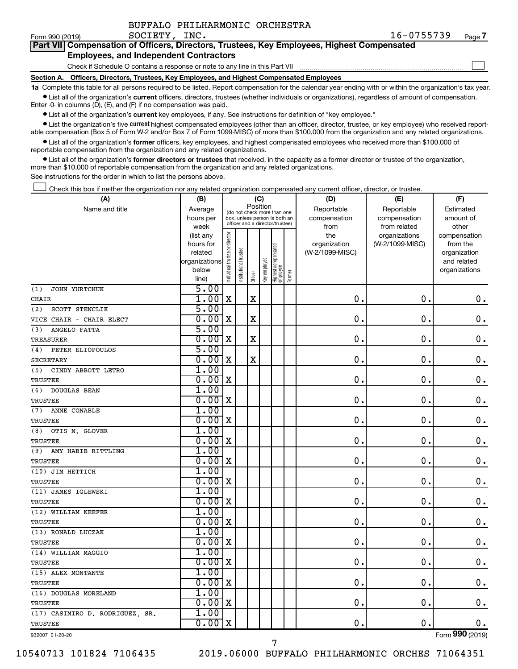| BUFFALO PHILHARMONIC ORCHESTRA |
|--------------------------------|
|--------------------------------|

 $\Box$ 

|  |                                               |  | Part VII Compensation of Officers, Directors, Trustees, Key Employees, Highest Compensated |  |
|--|-----------------------------------------------|--|--------------------------------------------------------------------------------------------|--|
|  | <b>Employees, and Independent Contractors</b> |  |                                                                                            |  |

Check if Schedule O contains a response or note to any line in this Part VII

**Section A. Officers, Directors, Trustees, Key Employees, and Highest Compensated Employees**

**1a**  Complete this table for all persons required to be listed. Report compensation for the calendar year ending with or within the organization's tax year.  $\bullet$  List all of the organization's current officers, directors, trustees (whether individuals or organizations), regardless of amount of compensation.

Enter -0- in columns (D), (E), and (F) if no compensation was paid.

**•** List all of the organization's current key employees, if any. See instructions for definition of "key employee."

• List the organization's five *current* highest compensated employees (other than an officer, director, trustee, or key employee) who received reportable compensation (Box 5 of Form W-2 and/or Box 7 of Form 1099-MISC) of more than \$100,000 from the organization and any related organizations.

 $\bullet$  List all of the organization's former officers, key employees, and highest compensated employees who received more than \$100,000 of reportable compensation from the organization and any related organizations.

**•** List all of the organization's former directors or trustees that received, in the capacity as a former director or trustee of the organization, more than \$10,000 of reportable compensation from the organization and any related organizations.

See instructions for the order in which to list the persons above.

Check this box if neither the organization nor any related organization compensated any current officer, director, or trustee.  $\Box$ 

| (A)                                | (B)                  |                                |                                                                  | (C)         |              |                                   |        | (D)             | (E)             | (F)                         |
|------------------------------------|----------------------|--------------------------------|------------------------------------------------------------------|-------------|--------------|-----------------------------------|--------|-----------------|-----------------|-----------------------------|
| Name and title                     | Average              |                                | (do not check more than one                                      | Position    |              |                                   |        | Reportable      | Reportable      | Estimated                   |
|                                    | hours per            |                                | box, unless person is both an<br>officer and a director/trustee) |             |              |                                   |        | compensation    | compensation    | amount of                   |
|                                    | week                 |                                |                                                                  |             |              |                                   |        | from            | from related    | other                       |
|                                    | (list any            |                                |                                                                  |             |              |                                   |        | the             | organizations   | compensation                |
|                                    | hours for<br>related |                                |                                                                  |             |              |                                   |        | organization    | (W-2/1099-MISC) | from the                    |
|                                    | organizations        |                                |                                                                  |             |              |                                   |        | (W-2/1099-MISC) |                 | organization<br>and related |
|                                    | below                |                                |                                                                  |             |              |                                   |        |                 |                 | organizations               |
|                                    | line)                | Individual trustee or director | Institutional trustee                                            | Officer     | Key employee | Highest compensated<br>  employee | Former |                 |                 |                             |
| JOHN YURTCHUK<br>(1)               | 5.00                 |                                |                                                                  |             |              |                                   |        |                 |                 |                             |
| <b>CHAIR</b>                       | 1.00                 | $\mathbf x$                    |                                                                  | $\mathbf X$ |              |                                   |        | 0.              | $\mathbf 0$ .   | 0.                          |
| SCOTT STENCLIK<br>(2)              | 5.00                 |                                |                                                                  |             |              |                                   |        |                 |                 |                             |
| VICE CHAIR - CHAIR ELECT           | 0.00                 | X                              |                                                                  | $\rm X$     |              |                                   |        | 0.              | $\mathbf 0$ .   | $\mathbf 0$ .               |
| (3)<br>ANGELO FATTA                | 5.00                 |                                |                                                                  |             |              |                                   |        |                 |                 |                             |
| <b>TREASURER</b>                   | 0.00                 | X                              |                                                                  | X           |              |                                   |        | $\mathbf 0$ .   | 0.              | 0.                          |
| PETER ELIOPOULOS<br>(4)            | 5.00                 |                                |                                                                  |             |              |                                   |        |                 |                 |                             |
| <b>SECRETARY</b>                   | 0.00                 | X                              |                                                                  | $\mathbf X$ |              |                                   |        | $\mathbf 0$ .   | $\mathbf 0$ .   | $\boldsymbol{0}$ .          |
| (5)<br>CINDY ABBOTT LETRO          | 1.00                 |                                |                                                                  |             |              |                                   |        |                 |                 |                             |
| <b>TRUSTEE</b>                     | 0.00                 | $\mathbf x$                    |                                                                  |             |              |                                   |        | $\mathbf 0$ .   | $\mathbf 0$ .   | $\mathbf 0$ .               |
| <b>DOUGLAS BEAN</b><br>(6)         | 1.00                 |                                |                                                                  |             |              |                                   |        |                 |                 |                             |
| <b>TRUSTEE</b>                     | 0.00x                |                                |                                                                  |             |              |                                   |        | $\mathbf 0$ .   | $\mathbf 0$ .   | $\mathbf 0$ .               |
| ANNE CONABLE<br>(7)                | 1.00                 |                                |                                                                  |             |              |                                   |        |                 |                 |                             |
| TRUSTEE                            | 0.00                 | X                              |                                                                  |             |              |                                   |        | $\mathbf 0$ .   | $\mathbf 0$     | $\mathbf 0$ .               |
| OTIS N. GLOVER<br>(8)              | 1.00                 |                                |                                                                  |             |              |                                   |        |                 |                 |                             |
| TRUSTEE                            | 0.00                 | X                              |                                                                  |             |              |                                   |        | $\mathbf 0$ .   | $\mathbf 0$ .   | $\mathbf 0$ .               |
| (9)<br>AMY HABIB RITTLING          | 1.00                 |                                |                                                                  |             |              |                                   |        |                 |                 |                             |
| TRUSTEE                            | 0.00                 | $\mathbf X$                    |                                                                  |             |              |                                   |        | $\mathbf{0}$ .  | $\mathbf 0$ .   | $\mathbf 0$ .               |
| (10) JIM HETTICH                   | 1.00                 |                                |                                                                  |             |              |                                   |        |                 |                 |                             |
| <b>TRUSTEE</b>                     | 0.00                 | X                              |                                                                  |             |              |                                   |        | $\mathbf 0$ .   | О.              | 0.                          |
| (11) JAMES IGLEWSKI                | 1.00                 |                                |                                                                  |             |              |                                   |        |                 |                 |                             |
| <b>TRUSTEE</b>                     | 0.00                 | X                              |                                                                  |             |              |                                   |        | $\mathbf 0$ .   | $\mathbf 0$ .   | 0.                          |
| (12) WILLIAM KEEFER                | 1.00                 |                                |                                                                  |             |              |                                   |        |                 |                 |                             |
| <b>TRUSTEE</b>                     | 0.00x                |                                |                                                                  |             |              |                                   |        | $\mathbf 0$ .   | $\mathbf 0$ .   | $\mathbf 0$ .               |
| (13) RONALD LUCZAK                 | 1.00                 |                                |                                                                  |             |              |                                   |        |                 |                 |                             |
| <b>TRUSTEE</b>                     | 0.00                 | X                              |                                                                  |             |              |                                   |        | $\mathbf 0$ .   | $\mathbf 0$     | $\mathbf 0$ .               |
| (14) WILLIAM MAGGIO                | 1.00                 |                                |                                                                  |             |              |                                   |        |                 |                 |                             |
| TRUSTEE                            | 0.00x                |                                |                                                                  |             |              |                                   |        | 0.              | О.              | $\mathbf 0$ .               |
| (15) ALEX MONTANTE                 | 1.00                 |                                |                                                                  |             |              |                                   |        |                 |                 |                             |
| TRUSTEE                            | 0.00                 | X                              |                                                                  |             |              |                                   |        | $\mathbf 0$ .   | $\mathbf 0$     | $\mathbf 0$ .               |
| (16) DOUGLAS MORELAND              | 1.00                 |                                |                                                                  |             |              |                                   |        |                 |                 |                             |
| TRUSTEE                            | 0.00x                |                                |                                                                  |             |              |                                   |        | 0.              | $\mathbf 0$ .   | $0$ .                       |
| (17) CASIMIRO D. RODRIGUEZ,<br>SR. | 1.00                 |                                |                                                                  |             |              |                                   |        |                 |                 |                             |
| TRUSTEE                            | 0.00                 | X                              |                                                                  |             |              |                                   |        | 0.              | $\mathbf 0$ .   | $0$ .                       |
| 932007 01-20-20                    |                      |                                |                                                                  |             |              |                                   |        |                 |                 | Form 990 (2019)             |

932007 01-20-20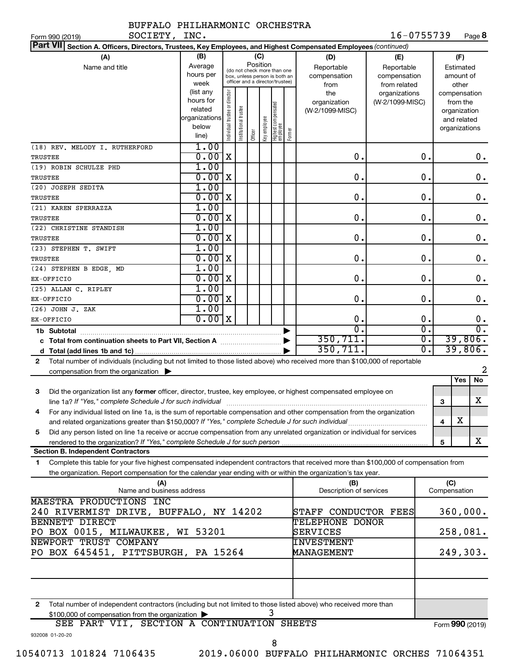| SOCIETY, INC.<br>Form 990 (2019)                                                                                                             |                                                                      |                                |                       |          |              |                                                                                                 |        |                                           | 16-0755739                                        |                        |     |                                                                          | Page 8           |
|----------------------------------------------------------------------------------------------------------------------------------------------|----------------------------------------------------------------------|--------------------------------|-----------------------|----------|--------------|-------------------------------------------------------------------------------------------------|--------|-------------------------------------------|---------------------------------------------------|------------------------|-----|--------------------------------------------------------------------------|------------------|
| <b>Part VII</b><br>Section A. Officers, Directors, Trustees, Key Employees, and Highest Compensated Employees (continued)                    |                                                                      |                                |                       |          |              |                                                                                                 |        |                                           |                                                   |                        |     |                                                                          |                  |
| (A)<br>Name and title                                                                                                                        | (B)<br>Average<br>hours per<br>week                                  |                                |                       | Position | (C)          | (do not check more than one<br>box, unless person is both an<br>officer and a director/trustee) |        | (D)<br>Reportable<br>compensation<br>from | (E)<br>Reportable<br>compensation<br>from related |                        |     | (F)<br>Estimated<br>amount of<br>other                                   |                  |
|                                                                                                                                              | (list any<br>hours for<br>related<br>organizations<br>below<br>line) | Individual trustee or director | Institutional trustee | Officer  | Key employee | Highest compensated<br>employee                                                                 | Former | the<br>organization<br>(W-2/1099-MISC)    | organizations<br>(W-2/1099-MISC)                  |                        |     | compensation<br>from the<br>organization<br>and related<br>organizations |                  |
| (18) REV. MELODY I. RUTHERFORD<br>TRUSTEE                                                                                                    | 1.00<br>0.00                                                         | X                              |                       |          |              |                                                                                                 |        | $\mathbf 0$ .                             |                                                   | 0.                     |     |                                                                          | 0.               |
| (19) ROBIN SCHULZE PHD                                                                                                                       | 1.00                                                                 |                                |                       |          |              |                                                                                                 |        |                                           |                                                   |                        |     |                                                                          |                  |
| TRUSTEE                                                                                                                                      | 0.00                                                                 | X                              |                       |          |              |                                                                                                 |        | 0.                                        |                                                   | 0.                     |     |                                                                          | 0.               |
| (20) JOSEPH SEDITA                                                                                                                           | 1.00                                                                 |                                |                       |          |              |                                                                                                 |        |                                           |                                                   |                        |     |                                                                          |                  |
| TRUSTEE                                                                                                                                      | 0.00                                                                 | X                              |                       |          |              |                                                                                                 |        | 0.                                        |                                                   | О.                     |     |                                                                          | 0.               |
| (21) KAREN SPERRAZZA                                                                                                                         | 1.00                                                                 |                                |                       |          |              |                                                                                                 |        |                                           |                                                   |                        |     |                                                                          |                  |
| TRUSTEE                                                                                                                                      | 0.00                                                                 | X                              |                       |          |              |                                                                                                 |        | 0.                                        |                                                   | О.                     |     |                                                                          | 0.               |
| (22) CHRISTINE STANDISH                                                                                                                      | 1.00                                                                 |                                |                       |          |              |                                                                                                 |        |                                           |                                                   |                        |     |                                                                          |                  |
| TRUSTEE<br>(23) STEPHEN T. SWIFT                                                                                                             | 0.00<br>1.00                                                         | X                              |                       |          |              |                                                                                                 |        | 0.                                        |                                                   | О.                     |     |                                                                          | 0.               |
| TRUSTEE                                                                                                                                      | 0.00                                                                 | X                              |                       |          |              |                                                                                                 |        | 0.                                        |                                                   | О.                     |     |                                                                          | 0.               |
| (24) STEPHEN B EDGE, MD                                                                                                                      | 1.00                                                                 |                                |                       |          |              |                                                                                                 |        |                                           |                                                   |                        |     |                                                                          |                  |
| EX-OFFICIO                                                                                                                                   | 0.00                                                                 | X                              |                       |          |              |                                                                                                 |        | 0.                                        |                                                   | О.                     |     |                                                                          | $0$ .            |
| (25) ALLAN C. RIPLEY                                                                                                                         | 1.00                                                                 |                                |                       |          |              |                                                                                                 |        |                                           |                                                   |                        |     |                                                                          |                  |
| EX-OFFICIO                                                                                                                                   | 0.00                                                                 | X                              |                       |          |              |                                                                                                 |        | 0.                                        |                                                   | О.                     |     |                                                                          | 0.               |
| (26) JOHN J. ZAK                                                                                                                             | 1.00                                                                 |                                |                       |          |              |                                                                                                 |        |                                           |                                                   |                        |     |                                                                          |                  |
| EX-OFFICIO                                                                                                                                   | 0.00x                                                                |                                |                       |          |              |                                                                                                 |        | $\mathbf 0$ .                             |                                                   | 0.                     |     |                                                                          | 0.               |
| 1b Subtotal                                                                                                                                  |                                                                      |                                |                       |          |              |                                                                                                 |        | $\overline{0}$ .                          |                                                   | Ο.                     |     |                                                                          | $\overline{0}$ . |
| c Total from continuation sheets to Part VII, Section A                                                                                      |                                                                      |                                |                       |          |              |                                                                                                 |        | 350, 711.                                 |                                                   | $\overline{0}$ .<br>Ο. |     |                                                                          | 39,806.          |
|                                                                                                                                              |                                                                      |                                |                       |          |              |                                                                                                 |        | 350, 711.                                 |                                                   |                        |     |                                                                          | 39,806.          |
| Total number of individuals (including but not limited to those listed above) who received more than \$100,000 of reportable<br>$\mathbf{2}$ |                                                                      |                                |                       |          |              |                                                                                                 |        |                                           |                                                   |                        |     |                                                                          | 2                |
| compensation from the organization $\blacktriangleright$                                                                                     |                                                                      |                                |                       |          |              |                                                                                                 |        |                                           |                                                   |                        |     | Yes                                                                      | No               |
| Did the organization list any former officer, director, trustee, key employee, or highest compensated employee on<br>з                       |                                                                      |                                |                       |          |              |                                                                                                 |        |                                           |                                                   |                        |     |                                                                          |                  |
| line 1a? If "Yes," complete Schedule J for such individual                                                                                   |                                                                      |                                |                       |          |              |                                                                                                 |        |                                           |                                                   |                        | 3   |                                                                          | X                |
| For any individual listed on line 1a, is the sum of reportable compensation and other compensation from the organization<br>4                |                                                                      |                                |                       |          |              |                                                                                                 |        |                                           |                                                   |                        |     |                                                                          |                  |
| and related organizations greater than \$150,000? If "Yes," complete Schedule J for such individual                                          |                                                                      |                                |                       |          |              |                                                                                                 |        |                                           |                                                   |                        | 4   | х                                                                        |                  |
| Did any person listed on line 1a receive or accrue compensation from any unrelated organization or individual for services<br>5              |                                                                      |                                |                       |          |              |                                                                                                 |        |                                           |                                                   |                        |     |                                                                          |                  |
|                                                                                                                                              |                                                                      |                                |                       |          |              |                                                                                                 |        |                                           |                                                   |                        | 5   |                                                                          | X                |
| <b>Section B. Independent Contractors</b>                                                                                                    |                                                                      |                                |                       |          |              |                                                                                                 |        |                                           |                                                   |                        |     |                                                                          |                  |
| Complete this table for your five highest compensated independent contractors that received more than \$100,000 of compensation from<br>1    |                                                                      |                                |                       |          |              |                                                                                                 |        |                                           |                                                   |                        |     |                                                                          |                  |
| the organization. Report compensation for the calendar year ending with or within the organization's tax year.                               |                                                                      |                                |                       |          |              |                                                                                                 |        |                                           |                                                   |                        |     |                                                                          |                  |
| (A)<br>Name and business address                                                                                                             |                                                                      |                                |                       |          |              |                                                                                                 |        | (B)<br>Description of services            |                                                   |                        | (C) | Compensation                                                             |                  |
| MAESTRA PRODUCTIONS INC                                                                                                                      |                                                                      |                                |                       |          |              |                                                                                                 |        |                                           |                                                   |                        |     |                                                                          |                  |
| 240 RIVERMIST DRIVE, BUFFALO, NY 14202                                                                                                       |                                                                      |                                |                       |          |              |                                                                                                 |        | STAFF CONDUCTOR FEES                      |                                                   |                        |     |                                                                          | 360,000.         |
| <b>BENNETT DIRECT</b>                                                                                                                        |                                                                      |                                |                       |          |              |                                                                                                 |        | TELEPHONE DONOR                           |                                                   |                        |     |                                                                          |                  |

**2** Total number of independent contractors (including but not limited to those listed above) who received more than \$100,000 of compensation from the organization 3

|                 |  |  | SEE PART VII, SECTION A CONTINUATION SHEETS | Form 990 (2019) |
|-----------------|--|--|---------------------------------------------|-----------------|
| 932008 01-20-20 |  |  |                                             |                 |

NEWPORT TRUST COMPANY

PO BOX 0015, MILWAUKEE, WI 53201

PO BOX 645451, PITTSBURGH, PA 15264

INVESTMENT

 $SERVICES$   $258,081.$ 

MANAGEMENT 249,303.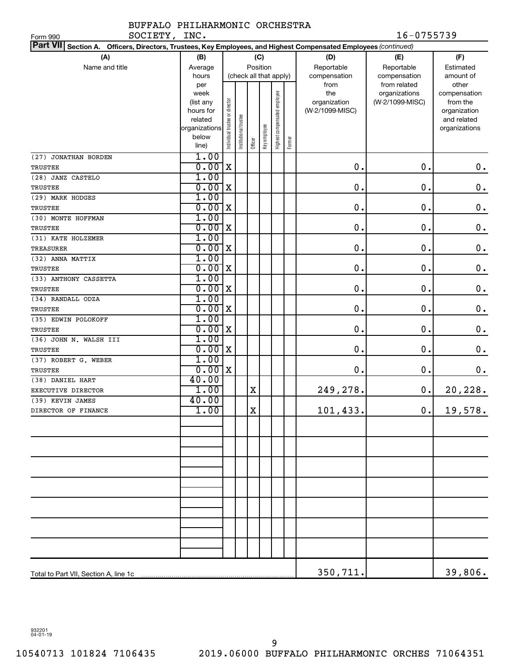#### BUFFALO PHILHARMONIC ORCHESTRA SOCIETY, INC. 16-0755739

| SOCIETY,<br>Form 990                                                                                                      | INC.                   |                                |                      |             |              |                              |        |                                 | 16-0755739      |                          |
|---------------------------------------------------------------------------------------------------------------------------|------------------------|--------------------------------|----------------------|-------------|--------------|------------------------------|--------|---------------------------------|-----------------|--------------------------|
| <b>Part VII</b><br>Section A. Officers, Directors, Trustees, Key Employees, and Highest Compensated Employees (continued) |                        |                                |                      |             |              |                              |        |                                 |                 |                          |
| (A)                                                                                                                       | (B)                    |                                |                      |             | (C)          |                              |        | (D)                             | (E)             | (F)                      |
| Name and title                                                                                                            | Average                |                                |                      |             | Position     |                              |        | Reportable                      | Reportable      | Estimated                |
|                                                                                                                           | hours                  |                                |                      |             |              | (check all that apply)       |        | compensation                    | compensation    | amount of                |
|                                                                                                                           | per                    |                                |                      |             |              |                              |        | from                            | from related    | other                    |
|                                                                                                                           | week                   |                                |                      |             |              |                              |        | the                             | organizations   | compensation             |
|                                                                                                                           | (list any<br>hours for |                                |                      |             |              |                              |        | organization<br>(W-2/1099-MISC) | (W-2/1099-MISC) | from the<br>organization |
|                                                                                                                           | related                |                                |                      |             |              |                              |        |                                 |                 | and related              |
|                                                                                                                           | organizations          |                                |                      |             |              |                              |        |                                 |                 | organizations            |
|                                                                                                                           | below                  | Individual trustee or director | nstitutional trustee |             | Key employee | Highest compensated employee |        |                                 |                 |                          |
|                                                                                                                           | line)                  |                                |                      | Officer     |              |                              | Former |                                 |                 |                          |
| (27) JONATHAN BORDEN                                                                                                      | 1.00                   |                                |                      |             |              |                              |        |                                 |                 |                          |
| <b>TRUSTEE</b>                                                                                                            | 0.00                   | $\mathbf X$                    |                      |             |              |                              |        | $\mathbf 0$ .                   | $\mathbf 0$ .   | $\mathbf 0$ .            |
| (28) JANZ CASTELO                                                                                                         | 1.00                   |                                |                      |             |              |                              |        |                                 |                 |                          |
| TRUSTEE                                                                                                                   | 0.00                   | $\mathbf X$                    |                      |             |              |                              |        | $\mathbf 0$ .                   | $\mathbf 0$ .   | $\mathbf 0$ .            |
| (29) MARK HODGES                                                                                                          | 1.00                   |                                |                      |             |              |                              |        |                                 |                 |                          |
| TRUSTEE                                                                                                                   | 0.00                   | $\mathbf X$                    |                      |             |              |                              |        | $\mathbf 0$ .                   | $\mathbf 0$ .   | $\boldsymbol{0}$ .       |
| (30) MONTE HOFFMAN                                                                                                        | 1.00                   |                                |                      |             |              |                              |        |                                 |                 |                          |
| <b>TRUSTEE</b>                                                                                                            | 0.00                   | $\mathbf X$                    |                      |             |              |                              |        | $\mathbf 0$ .                   | $\mathbf 0$ .   | $\mathbf 0$ .            |
| (31) KATE HOLZEMER                                                                                                        | 1.00                   |                                |                      |             |              |                              |        |                                 |                 |                          |
| <b>TREASURER</b>                                                                                                          | 0.00                   | $\mathbf X$                    |                      |             |              |                              |        | $\mathbf 0$ .                   | О.              | $\mathbf 0$ .            |
| (32) ANNA MATTIX                                                                                                          | 1.00                   |                                |                      |             |              |                              |        |                                 |                 |                          |
| <b>TRUSTEE</b>                                                                                                            | 0.00                   | $\mathbf X$                    |                      |             |              |                              |        | $\mathbf 0$ .                   | О.              | $\mathbf 0$ .            |
| (33) ANTHONY CASSETTA                                                                                                     | 1.00                   |                                |                      |             |              |                              |        |                                 |                 |                          |
| <b>TRUSTEE</b>                                                                                                            | 0.00                   | $\mathbf X$                    |                      |             |              |                              |        | $\mathbf 0$ .                   | $\mathbf 0$ .   | $\mathbf 0$ .            |
| (34) RANDALL ODZA                                                                                                         | 1.00                   |                                |                      |             |              |                              |        |                                 |                 |                          |
| <b>TRUSTEE</b>                                                                                                            | 0.00                   | $\mathbf X$                    |                      |             |              |                              |        | $\mathbf 0$ .                   | $\mathbf 0$ .   | $\mathbf 0$ .            |
| (35) EDWIN POLOKOFF                                                                                                       | 1.00                   |                                |                      |             |              |                              |        |                                 |                 |                          |
| TRUSTEE                                                                                                                   | 0.00                   | $\mathbf X$                    |                      |             |              |                              |        | $\mathbf 0$ .                   | $\mathbf 0$ .   | $\mathbf 0$ .            |
| (36) JOHN N. WALSH III                                                                                                    | 1.00                   |                                |                      |             |              |                              |        |                                 |                 |                          |
| TRUSTEE                                                                                                                   | 0.00                   | $\mathbf X$                    |                      |             |              |                              |        | $\mathbf 0$ .                   | 0.              | $\mathbf 0$ .            |
| (37) ROBERT G. WEBER                                                                                                      | 1.00                   |                                |                      |             |              |                              |        |                                 |                 |                          |
| TRUSTEE                                                                                                                   | 0.00                   | $\mathbf X$                    |                      |             |              |                              |        | 0.                              | О.              | 0.                       |
| (38) DANIEL HART                                                                                                          | 40.00                  |                                |                      |             |              |                              |        |                                 |                 |                          |
| EXECUTIVE DIRECTOR                                                                                                        | 1.00                   |                                |                      | Χ           |              |                              |        | 249,278.                        | 0.              | 20,228.                  |
| (39) KEVIN JAMES                                                                                                          | 40.00                  |                                |                      |             |              |                              |        |                                 |                 |                          |
| DIRECTOR OF FINANCE                                                                                                       | 1.00                   |                                |                      | $\mathbf X$ |              |                              |        | 101,433.                        | 0.              | 19,578.                  |
|                                                                                                                           |                        |                                |                      |             |              |                              |        |                                 |                 |                          |
|                                                                                                                           |                        |                                |                      |             |              |                              |        |                                 |                 |                          |
|                                                                                                                           |                        |                                |                      |             |              |                              |        |                                 |                 |                          |
|                                                                                                                           |                        |                                |                      |             |              |                              |        |                                 |                 |                          |
|                                                                                                                           |                        |                                |                      |             |              |                              |        |                                 |                 |                          |
|                                                                                                                           |                        |                                |                      |             |              |                              |        |                                 |                 |                          |
|                                                                                                                           |                        |                                |                      |             |              |                              |        |                                 |                 |                          |
|                                                                                                                           |                        |                                |                      |             |              |                              |        |                                 |                 |                          |
|                                                                                                                           |                        |                                |                      |             |              |                              |        |                                 |                 |                          |
|                                                                                                                           |                        |                                |                      |             |              |                              |        |                                 |                 |                          |
|                                                                                                                           |                        |                                |                      |             |              |                              |        |                                 |                 |                          |
|                                                                                                                           |                        |                                |                      |             |              |                              |        |                                 |                 |                          |
|                                                                                                                           |                        |                                |                      |             |              |                              |        |                                 |                 |                          |
|                                                                                                                           |                        |                                |                      |             |              |                              |        |                                 |                 |                          |
|                                                                                                                           |                        |                                |                      |             |              |                              |        | 350,711.                        |                 | 39,806.                  |

932201 04-01-19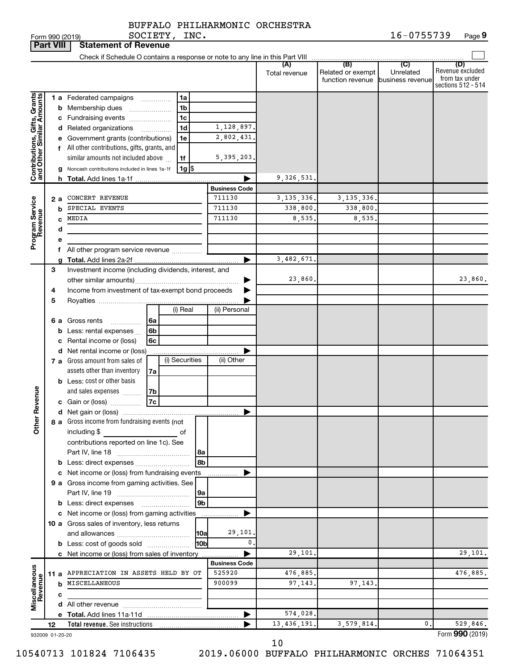|                              | <b>Part VIII</b> | <b>Statement of Revenue</b>                                                                                                                                                                        |                      |                      |                                              |                                                 |                                                                 |
|------------------------------|------------------|----------------------------------------------------------------------------------------------------------------------------------------------------------------------------------------------------|----------------------|----------------------|----------------------------------------------|-------------------------------------------------|-----------------------------------------------------------------|
|                              |                  | Check if Schedule O contains a response or note to any line in this Part VIII                                                                                                                      |                      |                      |                                              |                                                 |                                                                 |
|                              |                  |                                                                                                                                                                                                    |                      | (A)<br>Total revenue | (B)<br>Related or exempt<br>function revenue | $\overline{C}$<br>Unrelated<br>business revenue | (D)<br>Revenue excluded<br>from tax under<br>sections 512 - 514 |
|                              |                  | 1 a Federated campaigns<br>1a<br>.                                                                                                                                                                 |                      |                      |                                              |                                                 |                                                                 |
| Contributions, Gifts, Grants | b                | 1 <sub>b</sub><br>Membership dues                                                                                                                                                                  |                      |                      |                                              |                                                 |                                                                 |
|                              |                  | 1c<br>c Fundraising events                                                                                                                                                                         |                      |                      |                                              |                                                 |                                                                 |
|                              |                  | 1d<br>d Related organizations<br>.                                                                                                                                                                 | 1,128,897.           |                      |                                              |                                                 |                                                                 |
|                              |                  | e Government grants (contributions)<br>1e                                                                                                                                                          | 2,802,431.           |                      |                                              |                                                 |                                                                 |
|                              |                  | f All other contributions, gifts, grants, and                                                                                                                                                      |                      |                      |                                              |                                                 |                                                                 |
|                              |                  | similar amounts not included above<br>1f                                                                                                                                                           | 5, 395, 203.         |                      |                                              |                                                 |                                                                 |
|                              |                  | $1g$ $\frac{1}{3}$<br>Noncash contributions included in lines 1a-1f<br>g                                                                                                                           |                      |                      |                                              |                                                 |                                                                 |
|                              |                  | h.                                                                                                                                                                                                 |                      | 9,326,531            |                                              |                                                 |                                                                 |
|                              |                  |                                                                                                                                                                                                    | <b>Business Code</b> |                      |                                              |                                                 |                                                                 |
|                              | 2а               | CONCERT REVENUE                                                                                                                                                                                    | 711130               | 3, 135, 336.         | 3, 135, 336,                                 |                                                 |                                                                 |
| Program Service<br>Revenue   | b                | SPECIAL EVENTS                                                                                                                                                                                     | 711130               | 338,800.             | 338,800                                      |                                                 |                                                                 |
|                              | C                | MEDIA                                                                                                                                                                                              | 711130               | 8,535.               | 8,535                                        |                                                 |                                                                 |
|                              | d                |                                                                                                                                                                                                    |                      |                      |                                              |                                                 |                                                                 |
|                              | е                |                                                                                                                                                                                                    |                      |                      |                                              |                                                 |                                                                 |
|                              |                  | f All other program service revenue                                                                                                                                                                |                      |                      |                                              |                                                 |                                                                 |
|                              | a                |                                                                                                                                                                                                    |                      | 3,482,671            |                                              |                                                 |                                                                 |
|                              | 3                | Investment income (including dividends, interest, and                                                                                                                                              |                      |                      |                                              |                                                 |                                                                 |
|                              |                  |                                                                                                                                                                                                    |                      | 23,860.              |                                              |                                                 | 23,860.                                                         |
|                              | 4                | Income from investment of tax-exempt bond proceeds                                                                                                                                                 |                      |                      |                                              |                                                 |                                                                 |
|                              | 5                |                                                                                                                                                                                                    |                      |                      |                                              |                                                 |                                                                 |
|                              |                  | (i) Real                                                                                                                                                                                           | (ii) Personal        |                      |                                              |                                                 |                                                                 |
|                              |                  | 6 a Gross rents<br>6a<br>.                                                                                                                                                                         |                      |                      |                                              |                                                 |                                                                 |
|                              | b                | Less: rental expenses<br>6b                                                                                                                                                                        |                      |                      |                                              |                                                 |                                                                 |
|                              | с                | Rental income or (loss)<br>6c                                                                                                                                                                      |                      |                      |                                              |                                                 |                                                                 |
|                              |                  | d Net rental income or (loss)                                                                                                                                                                      |                      |                      |                                              |                                                 |                                                                 |
|                              |                  | (i) Securities<br>7 a Gross amount from sales of                                                                                                                                                   | (ii) Other           |                      |                                              |                                                 |                                                                 |
|                              |                  | assets other than inventory<br>7a                                                                                                                                                                  |                      |                      |                                              |                                                 |                                                                 |
|                              |                  | <b>b</b> Less: cost or other basis                                                                                                                                                                 |                      |                      |                                              |                                                 |                                                                 |
| Revenue                      |                  | and sales expenses<br>7b                                                                                                                                                                           |                      |                      |                                              |                                                 |                                                                 |
|                              |                  | <b>7c</b><br>c Gain or (loss)                                                                                                                                                                      |                      |                      |                                              |                                                 |                                                                 |
|                              |                  |                                                                                                                                                                                                    |                      |                      |                                              |                                                 |                                                                 |
| Ĕ                            |                  | 8 a Gross income from fundraising events (not                                                                                                                                                      |                      |                      |                                              |                                                 |                                                                 |
|                              |                  | including \$<br>оf<br>$\mathcal{L}^{\mathcal{L}}(\mathcal{L}^{\mathcal{L}})$ and $\mathcal{L}^{\mathcal{L}}(\mathcal{L}^{\mathcal{L}})$ and $\mathcal{L}^{\mathcal{L}}(\mathcal{L}^{\mathcal{L}})$ |                      |                      |                                              |                                                 |                                                                 |
|                              |                  | contributions reported on line 1c). See                                                                                                                                                            |                      |                      |                                              |                                                 |                                                                 |
|                              |                  | 8a                                                                                                                                                                                                 |                      |                      |                                              |                                                 |                                                                 |
|                              |                  | 8b                                                                                                                                                                                                 |                      |                      |                                              |                                                 |                                                                 |
|                              |                  | c Net income or (loss) from fundraising events                                                                                                                                                     |                      |                      |                                              |                                                 |                                                                 |
|                              |                  | 9 a Gross income from gaming activities. See                                                                                                                                                       |                      |                      |                                              |                                                 |                                                                 |
|                              |                  | 9a                                                                                                                                                                                                 |                      |                      |                                              |                                                 |                                                                 |
|                              |                  | 9 <sub>b</sub><br><b>b</b> Less: direct expenses <b>manually</b>                                                                                                                                   |                      |                      |                                              |                                                 |                                                                 |
|                              |                  | c Net income or (loss) from gaming activities                                                                                                                                                      | .                    |                      |                                              |                                                 |                                                                 |
|                              |                  | 10 a Gross sales of inventory, less returns                                                                                                                                                        |                      |                      |                                              |                                                 |                                                                 |
|                              |                  | 10a                                                                                                                                                                                                | 29,101.<br>0.        |                      |                                              |                                                 |                                                                 |
|                              |                  | 10bl<br><b>b</b> Less: cost of goods sold                                                                                                                                                          |                      |                      |                                              |                                                 |                                                                 |
|                              |                  | c Net income or (loss) from sales of inventory                                                                                                                                                     | <b>Business Code</b> | 29,101,              |                                              |                                                 | 29,101.                                                         |
|                              |                  | 11 a APPRECIATION IN ASSETS HELD BY OT                                                                                                                                                             | 525920               | 476,885.             |                                              |                                                 | 476,885.                                                        |
| Miscellaneous<br>Revenue     |                  | <b>b</b> MISCELLANEOUS                                                                                                                                                                             | 900099               | 97,143.              | 97, 143.                                     |                                                 |                                                                 |
|                              |                  |                                                                                                                                                                                                    |                      |                      |                                              |                                                 |                                                                 |
|                              | c                |                                                                                                                                                                                                    |                      |                      |                                              |                                                 |                                                                 |
|                              |                  |                                                                                                                                                                                                    | ▶                    | 574,028.             |                                              |                                                 |                                                                 |
|                              | 12               |                                                                                                                                                                                                    |                      | 13, 436, 191.        | 3,579,814                                    | 0.                                              | 529,846.                                                        |
|                              | 932009 01-20-20  |                                                                                                                                                                                                    |                      |                      |                                              |                                                 | Form 990 (2019)                                                 |

10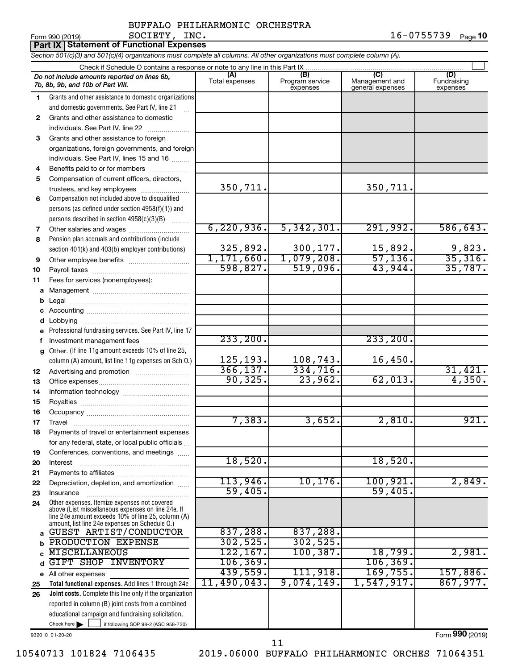### BUFFALO PHILHARMONIC ORCHESTRA SOCIETY, INC.

Form 990 (2019) **SOCIETY, INC.** 1 6-0 7 5 5 7 3 9 <sub>Page</sub> **10** 

|          | <b>Part IX   Statement of Functional Expenses</b>                                                                          |                       |                                    |                                           |                                |  |  |  |  |  |  |
|----------|----------------------------------------------------------------------------------------------------------------------------|-----------------------|------------------------------------|-------------------------------------------|--------------------------------|--|--|--|--|--|--|
|          | Section 501(c)(3) and 501(c)(4) organizations must complete all columns. All other organizations must complete column (A). |                       |                                    |                                           |                                |  |  |  |  |  |  |
|          | Check if Schedule O contains a response or note to any line in this Part IX                                                |                       |                                    |                                           |                                |  |  |  |  |  |  |
|          | Do not include amounts reported on lines 6b,<br>7b, 8b, 9b, and 10b of Part VIII.                                          | (A)<br>Total expenses | (B)<br>Program service<br>expenses | (C)<br>Management and<br>general expenses | (D)<br>Fundraising<br>expenses |  |  |  |  |  |  |
| 1        | Grants and other assistance to domestic organizations                                                                      |                       |                                    |                                           |                                |  |  |  |  |  |  |
|          | and domestic governments. See Part IV, line 21                                                                             |                       |                                    |                                           |                                |  |  |  |  |  |  |
| 2        | Grants and other assistance to domestic                                                                                    |                       |                                    |                                           |                                |  |  |  |  |  |  |
|          | individuals. See Part IV, line 22                                                                                          |                       |                                    |                                           |                                |  |  |  |  |  |  |
| 3        | Grants and other assistance to foreign                                                                                     |                       |                                    |                                           |                                |  |  |  |  |  |  |
|          | organizations, foreign governments, and foreign                                                                            |                       |                                    |                                           |                                |  |  |  |  |  |  |
|          | individuals. See Part IV, lines 15 and 16                                                                                  |                       |                                    |                                           |                                |  |  |  |  |  |  |
| 4        | Benefits paid to or for members                                                                                            |                       |                                    |                                           |                                |  |  |  |  |  |  |
| 5        | Compensation of current officers, directors,                                                                               | 350,711.              |                                    | 350,711.                                  |                                |  |  |  |  |  |  |
| 6        | trustees, and key employees<br>Compensation not included above to disqualified                                             |                       |                                    |                                           |                                |  |  |  |  |  |  |
|          | persons (as defined under section 4958(f)(1)) and                                                                          |                       |                                    |                                           |                                |  |  |  |  |  |  |
|          | persons described in section 4958(c)(3)(B)                                                                                 |                       |                                    |                                           |                                |  |  |  |  |  |  |
| 7        | Other salaries and wages                                                                                                   | 6, 220, 936.          | 5,342,301.                         | 291,992.                                  | 586, 643.                      |  |  |  |  |  |  |
| 8        | Pension plan accruals and contributions (include                                                                           |                       |                                    |                                           |                                |  |  |  |  |  |  |
|          | section 401(k) and 403(b) employer contributions)                                                                          | 325,892.              | 300,177.                           | 15,892.                                   |                                |  |  |  |  |  |  |
| 9        | Other employee benefits                                                                                                    | 1,171,660.            | 1,079,208.                         | 57,136.                                   | $\frac{9,823}{35,316}$         |  |  |  |  |  |  |
| 10       |                                                                                                                            | 598,827.              | 519,096.                           | 43,944.                                   | 35,787.                        |  |  |  |  |  |  |
| 11       | Fees for services (nonemployees):                                                                                          |                       |                                    |                                           |                                |  |  |  |  |  |  |
| а        |                                                                                                                            |                       |                                    |                                           |                                |  |  |  |  |  |  |
| b        |                                                                                                                            |                       |                                    |                                           |                                |  |  |  |  |  |  |
| с        |                                                                                                                            |                       |                                    |                                           |                                |  |  |  |  |  |  |
| d        |                                                                                                                            |                       |                                    |                                           |                                |  |  |  |  |  |  |
|          | Professional fundraising services. See Part IV, line 17                                                                    |                       |                                    |                                           |                                |  |  |  |  |  |  |
|          | Investment management fees                                                                                                 | 233, 200.             |                                    | 233, 200.                                 |                                |  |  |  |  |  |  |
| g        | Other. (If line 11g amount exceeds 10% of line 25,                                                                         |                       |                                    |                                           |                                |  |  |  |  |  |  |
|          | column (A) amount, list line 11g expenses on Sch O.)                                                                       | 125,193.              | 108,743.                           | 16,450.                                   |                                |  |  |  |  |  |  |
| 12       | Advertising and promotion <i>manually contained</i>                                                                        | 366, 137.<br>90, 325. | 334,716.<br>23,962.                |                                           | 31,421.<br>4,350.              |  |  |  |  |  |  |
| 13       |                                                                                                                            |                       |                                    | 62,013.                                   |                                |  |  |  |  |  |  |
| 14       |                                                                                                                            |                       |                                    |                                           |                                |  |  |  |  |  |  |
| 15       |                                                                                                                            |                       |                                    |                                           |                                |  |  |  |  |  |  |
| 16       |                                                                                                                            | 7,383.                | 3,652.                             | 2,810.                                    | 921.                           |  |  |  |  |  |  |
| 17<br>18 | Travel<br>Payments of travel or entertainment expenses                                                                     |                       |                                    |                                           |                                |  |  |  |  |  |  |
|          | for any federal, state, or local public officials                                                                          |                       |                                    |                                           |                                |  |  |  |  |  |  |
| 19       | Conferences, conventions, and meetings                                                                                     |                       |                                    |                                           |                                |  |  |  |  |  |  |
| 20       | Interest                                                                                                                   | 18,520.               |                                    | 18,520.                                   |                                |  |  |  |  |  |  |
| 21       |                                                                                                                            |                       |                                    |                                           |                                |  |  |  |  |  |  |
| 22       | Depreciation, depletion, and amortization                                                                                  | 113,946.              | 10, 176.                           | 100, 921.                                 | 2,849.                         |  |  |  |  |  |  |
| 23       | Insurance                                                                                                                  | 59,405                |                                    | 59,405                                    |                                |  |  |  |  |  |  |
| 24       | Other expenses. Itemize expenses not covered<br>above (List miscellaneous expenses on line 24e. If                         |                       |                                    |                                           |                                |  |  |  |  |  |  |
|          | line 24e amount exceeds 10% of line 25, column (A)<br>amount, list line 24e expenses on Schedule O.)                       |                       |                                    |                                           |                                |  |  |  |  |  |  |
| a        | GUEST ARTIST/CONDUCTOR                                                                                                     | 837,288.              | 837,288.                           |                                           |                                |  |  |  |  |  |  |
| b        | PRODUCTION EXPENSE                                                                                                         | 302, 525.             | 302, 525.                          |                                           |                                |  |  |  |  |  |  |
|          | <b>MISCELLANEOUS</b>                                                                                                       | 122, 167.             | 100, 387.                          | 18,799.                                   | 2,981.                         |  |  |  |  |  |  |
| d        | GIFT SHOP INVENTORY                                                                                                        | 106, 369.             |                                    | 106, 369.                                 |                                |  |  |  |  |  |  |
|          | e All other expenses                                                                                                       | 439,559.              | 111,918.                           | 169,755.                                  | 157,886.                       |  |  |  |  |  |  |
| 25       | Total functional expenses. Add lines 1 through 24e                                                                         | 11,490,043.           | 9,074,149.                         | 1,547,917.                                | 867,977.                       |  |  |  |  |  |  |
| 26       | Joint costs. Complete this line only if the organization                                                                   |                       |                                    |                                           |                                |  |  |  |  |  |  |
|          | reported in column (B) joint costs from a combined                                                                         |                       |                                    |                                           |                                |  |  |  |  |  |  |
|          | educational campaign and fundraising solicitation.                                                                         |                       |                                    |                                           |                                |  |  |  |  |  |  |
|          | Check here<br>if following SOP 98-2 (ASC 958-720)                                                                          |                       |                                    |                                           |                                |  |  |  |  |  |  |

932010 01-20-20

10540713 101824 7106435 2019.06000 BUFFALO PHILHARMONIC ORCHES 71064351 11

Form (2019) **990**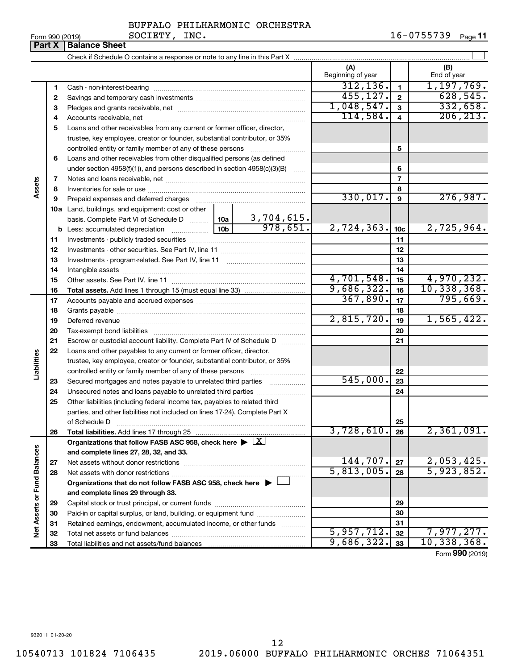| Form 990 (2019) |  |
|-----------------|--|
|-----------------|--|

**Part X Balance Sheet**

### BUFFALO PHILHARMONIC ORCHESTRA SOCIETY, INC.

|                             | Parl A      | <b>Dalaftlue Street</b>                                                                                                                                                                                                       |                          |                |                    |
|-----------------------------|-------------|-------------------------------------------------------------------------------------------------------------------------------------------------------------------------------------------------------------------------------|--------------------------|----------------|--------------------|
|                             |             |                                                                                                                                                                                                                               |                          |                |                    |
|                             |             |                                                                                                                                                                                                                               | (A)<br>Beginning of year |                | (B)<br>End of year |
|                             | 1           |                                                                                                                                                                                                                               | 312, 136.                | 1              | 1, 197, 769.       |
|                             | $\mathbf 2$ |                                                                                                                                                                                                                               | 455, 127.                | $\mathbf{2}$   | 628,545.           |
|                             | з           |                                                                                                                                                                                                                               | 1,048,547.               | 3              | 332,658.           |
|                             | 4           |                                                                                                                                                                                                                               | 114,584.                 | $\overline{4}$ | 206, 213.          |
|                             | 5           | Loans and other receivables from any current or former officer, director,                                                                                                                                                     |                          |                |                    |
|                             |             | trustee, key employee, creator or founder, substantial contributor, or 35%                                                                                                                                                    |                          |                |                    |
|                             |             | controlled entity or family member of any of these persons <i>manufolder in the controlled</i>                                                                                                                                |                          | 5              |                    |
|                             | 6           | Loans and other receivables from other disqualified persons (as defined                                                                                                                                                       |                          |                |                    |
|                             |             | under section 4958(f)(1)), and persons described in section $4958(c)(3)(B)$                                                                                                                                                   |                          | 6              |                    |
|                             | 7           |                                                                                                                                                                                                                               |                          | $\overline{7}$ |                    |
| ssets                       | 8           |                                                                                                                                                                                                                               |                          | 8              |                    |
|                             | 9           | Prepaid expenses and deferred charges [11] [11] Prepaid expenses and deferred charges [11] [11] Martin Martin (11] (11] Arthur Martin (11] Arthur Martin (11] Arthur Martin (11] Arthur Martin (11] Arthur Martin (11] Arthur | 330,017.                 | 9              | 276,987.           |
|                             |             | 10a Land, buildings, and equipment: cost or other                                                                                                                                                                             |                          |                |                    |
|                             |             | 3,704,615.<br>basis. Complete Part VI of Schedule D  [10a ]                                                                                                                                                                   |                          |                |                    |
|                             |             | 978,651.                                                                                                                                                                                                                      | 2,724,363.               | 10c            | 2,725,964.         |
|                             | 11          |                                                                                                                                                                                                                               |                          | 11             |                    |
|                             | 12          |                                                                                                                                                                                                                               |                          | 12             |                    |
|                             | 13          |                                                                                                                                                                                                                               |                          | 13             |                    |
|                             | 14          |                                                                                                                                                                                                                               |                          | 14             |                    |
|                             | 15          |                                                                                                                                                                                                                               | 4,701,548.               | 15             | 4,970,232.         |
|                             | 16          |                                                                                                                                                                                                                               | 9,686,322.               | 16             | 10,338,368.        |
|                             | 17          |                                                                                                                                                                                                                               | 367,890.                 | 17             | 795,669.           |
|                             | 18          |                                                                                                                                                                                                                               |                          | 18             |                    |
|                             | 19          |                                                                                                                                                                                                                               | 2,815,720.               | 19             | 1,565,422.         |
|                             | 20          |                                                                                                                                                                                                                               |                          | 20             |                    |
|                             | 21          | Escrow or custodial account liability. Complete Part IV of Schedule D                                                                                                                                                         |                          | 21             |                    |
|                             | 22          | Loans and other payables to any current or former officer, director,                                                                                                                                                          |                          |                |                    |
| abilities                   |             | trustee, key employee, creator or founder, substantial contributor, or 35%                                                                                                                                                    |                          |                |                    |
|                             |             | controlled entity or family member of any of these persons                                                                                                                                                                    |                          | 22             |                    |
|                             | 23          | Secured mortgages and notes payable to unrelated third parties                                                                                                                                                                | 545,000.                 | 23             |                    |
|                             | 24          |                                                                                                                                                                                                                               |                          | 24             |                    |
|                             | 25          | Other liabilities (including federal income tax, payables to related third                                                                                                                                                    |                          |                |                    |
|                             |             | parties, and other liabilities not included on lines 17-24). Complete Part X                                                                                                                                                  |                          |                |                    |
|                             |             | of Schedule D                                                                                                                                                                                                                 |                          | 25             |                    |
|                             | 26          |                                                                                                                                                                                                                               | 3,728,610.               | 26             | 2,361,091.         |
|                             |             | Organizations that follow FASB ASC 958, check here $\blacktriangleright \lfloor X \rfloor$                                                                                                                                    |                          |                |                    |
|                             |             | and complete lines 27, 28, 32, and 33.                                                                                                                                                                                        |                          |                |                    |
|                             | 27          | Net assets without donor restrictions                                                                                                                                                                                         | 144,707.                 | 27             | 2,053,425.         |
|                             | 28          |                                                                                                                                                                                                                               | 5,813,005.               | 28             | 5,923,852.         |
|                             |             | Organizations that do not follow FASB ASC 958, check here $\blacktriangleright \Box$                                                                                                                                          |                          |                |                    |
| Net Assets or Fund Balances |             | and complete lines 29 through 33.                                                                                                                                                                                             |                          |                |                    |
|                             | 29          |                                                                                                                                                                                                                               |                          | 29             |                    |
|                             | 30          |                                                                                                                                                                                                                               |                          | 30             |                    |
|                             | 31          | Retained earnings, endowment, accumulated income, or other funds                                                                                                                                                              |                          | 31             |                    |
|                             | 32          |                                                                                                                                                                                                                               | 5,957,712.               | 32             | 7,977,277.         |
|                             | 33          |                                                                                                                                                                                                                               | 9,686,322.               | 33             | 10,338,368.        |

Form (2019) **990**

932011 01-20-20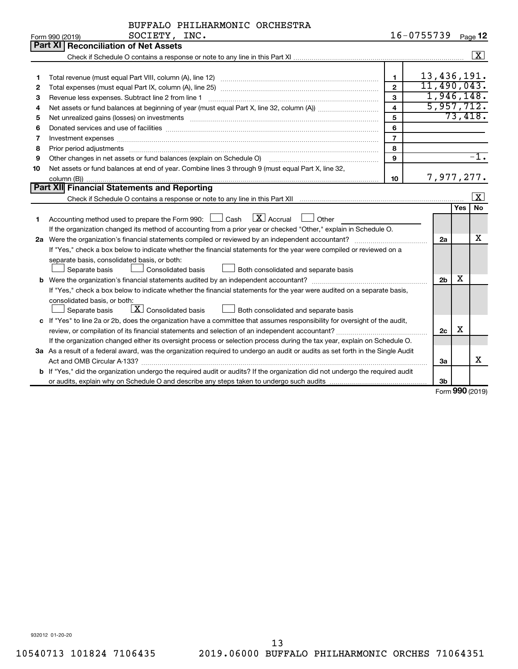|    | SOCIETY, INC.<br>16-0755739<br>Form 990 (2019)                                                                                       |                |                |     |                   |  |  |
|----|--------------------------------------------------------------------------------------------------------------------------------------|----------------|----------------|-----|-------------------|--|--|
|    | Part XI Reconciliation of Net Assets                                                                                                 |                |                |     |                   |  |  |
|    |                                                                                                                                      |                |                |     | $\sqrt{X}$        |  |  |
|    |                                                                                                                                      |                |                |     |                   |  |  |
| 1  |                                                                                                                                      | $\mathbf{1}$   | 13,436,191.    |     |                   |  |  |
| 2  |                                                                                                                                      | $\overline{2}$ | 11,490,043.    |     |                   |  |  |
| З  | Revenue less expenses. Subtract line 2 from line 1                                                                                   | 3              | 1,946,148.     |     |                   |  |  |
| 4  |                                                                                                                                      | $\overline{4}$ | 5,957,712.     |     |                   |  |  |
| 5  |                                                                                                                                      | 5              |                |     | 73,418.           |  |  |
| 6  |                                                                                                                                      | 6              |                |     |                   |  |  |
| 7  | Investment expenses www.communication.com/www.communication.com/www.communication.com/www.com                                        | $\overline{7}$ |                |     |                   |  |  |
| 8  | Prior period adjustments www.communication.communication.com/news/communication.com/news/communication.com/new                       | 8              |                |     |                   |  |  |
| 9  | Other changes in net assets or fund balances (explain on Schedule O)                                                                 | 9              |                |     | $\overline{-1}$ . |  |  |
| 10 | Net assets or fund balances at end of year. Combine lines 3 through 9 (must equal Part X, line 32,                                   |                |                |     |                   |  |  |
|    |                                                                                                                                      | 10             | 7,977,277.     |     |                   |  |  |
|    | Part XII Financial Statements and Reporting                                                                                          |                |                |     |                   |  |  |
|    |                                                                                                                                      |                |                |     | X                 |  |  |
|    |                                                                                                                                      |                |                | Yes | No                |  |  |
| 1  | Accounting method used to prepare the Form 990: $\Box$ Cash $\Box$ Accrual $\Box$ Other                                              |                |                |     |                   |  |  |
|    | If the organization changed its method of accounting from a prior year or checked "Other," explain in Schedule O.                    |                |                |     |                   |  |  |
|    | 2a Were the organization's financial statements compiled or reviewed by an independent accountant?                                   |                | 2a             |     | x                 |  |  |
|    | If "Yes," check a box below to indicate whether the financial statements for the year were compiled or reviewed on a                 |                |                |     |                   |  |  |
|    | separate basis, consolidated basis, or both:                                                                                         |                |                |     |                   |  |  |
|    | Separate basis<br><b>Consolidated basis</b><br>Both consolidated and separate basis                                                  |                |                |     |                   |  |  |
|    |                                                                                                                                      |                | 2 <sub>b</sub> | x   |                   |  |  |
|    | If "Yes," check a box below to indicate whether the financial statements for the year were audited on a separate basis,              |                |                |     |                   |  |  |
|    | consolidated basis, or both:                                                                                                         |                |                |     |                   |  |  |
|    | $\boxed{\textbf{X}}$ Consolidated basis<br>Separate basis<br>Both consolidated and separate basis                                    |                |                |     |                   |  |  |
|    | c If "Yes" to line 2a or 2b, does the organization have a committee that assumes responsibility for oversight of the audit,          |                |                |     |                   |  |  |
|    | review, or compilation of its financial statements and selection of an independent accountant?                                       |                | 2c             | X   |                   |  |  |
|    | If the organization changed either its oversight process or selection process during the tax year, explain on Schedule O.            |                |                |     |                   |  |  |
|    | 3a As a result of a federal award, was the organization required to undergo an audit or audits as set forth in the Single Audit      |                |                |     |                   |  |  |
|    |                                                                                                                                      |                | За             |     | x                 |  |  |
|    | <b>b</b> If "Yes," did the organization undergo the required audit or audits? If the organization did not undergo the required audit |                |                |     |                   |  |  |
|    |                                                                                                                                      |                | 3 <sub>b</sub> |     |                   |  |  |

Form (2019) **990**

932012 01-20-20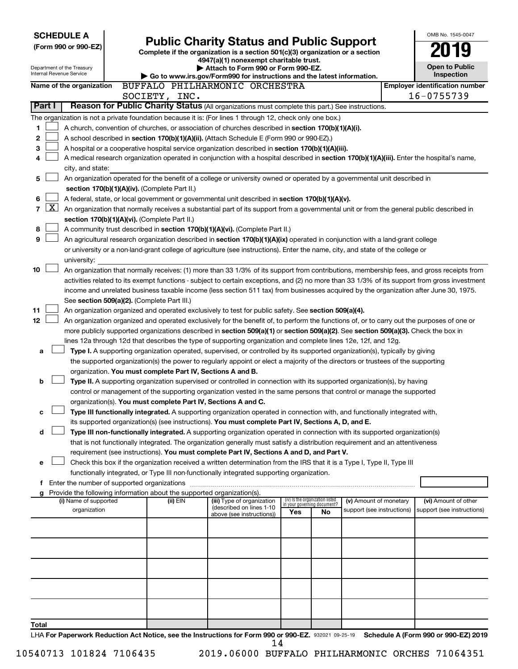| <b>SCHEDULE A</b>                             |  | OMB No. 1545-0047                                                      |                                                                                                                                                                                                                                                                |     |                                                                |                            |  |                                                    |
|-----------------------------------------------|--|------------------------------------------------------------------------|----------------------------------------------------------------------------------------------------------------------------------------------------------------------------------------------------------------------------------------------------------------|-----|----------------------------------------------------------------|----------------------------|--|----------------------------------------------------|
| (Form 990 or 990-EZ)                          |  |                                                                        | <b>Public Charity Status and Public Support</b>                                                                                                                                                                                                                |     |                                                                |                            |  |                                                    |
|                                               |  |                                                                        | Complete if the organization is a section 501(c)(3) organization or a section<br>4947(a)(1) nonexempt charitable trust.                                                                                                                                        |     |                                                                |                            |  |                                                    |
| Department of the Treasury                    |  | Attach to Form 990 or Form 990-EZ.                                     |                                                                                                                                                                                                                                                                |     |                                                                |                            |  | <b>Open to Public</b>                              |
| Internal Revenue Service                      |  |                                                                        | Go to www.irs.gov/Form990 for instructions and the latest information.                                                                                                                                                                                         |     |                                                                |                            |  | Inspection                                         |
| Name of the organization                      |  |                                                                        | BUFFALO PHILHARMONIC ORCHESTRA                                                                                                                                                                                                                                 |     |                                                                |                            |  | <b>Employer identification number</b>              |
|                                               |  | SOCIETY, INC.                                                          |                                                                                                                                                                                                                                                                |     |                                                                |                            |  | 16-0755739                                         |
| Part I                                        |  |                                                                        | Reason for Public Charity Status (All organizations must complete this part.) See instructions.                                                                                                                                                                |     |                                                                |                            |  |                                                    |
|                                               |  |                                                                        | The organization is not a private foundation because it is: (For lines 1 through 12, check only one box.)                                                                                                                                                      |     |                                                                |                            |  |                                                    |
| 1                                             |  |                                                                        | A church, convention of churches, or association of churches described in section 170(b)(1)(A)(i).                                                                                                                                                             |     |                                                                |                            |  |                                                    |
| 2                                             |  |                                                                        | A school described in section 170(b)(1)(A)(ii). (Attach Schedule E (Form 990 or 990-EZ).)                                                                                                                                                                      |     |                                                                |                            |  |                                                    |
| 3                                             |  |                                                                        | A hospital or a cooperative hospital service organization described in section 170(b)(1)(A)(iii).                                                                                                                                                              |     |                                                                |                            |  |                                                    |
| 4                                             |  |                                                                        | A medical research organization operated in conjunction with a hospital described in section 170(b)(1)(A)(iii). Enter the hospital's name,                                                                                                                     |     |                                                                |                            |  |                                                    |
| city, and state:                              |  |                                                                        |                                                                                                                                                                                                                                                                |     |                                                                |                            |  |                                                    |
| 5                                             |  |                                                                        | An organization operated for the benefit of a college or university owned or operated by a governmental unit described in                                                                                                                                      |     |                                                                |                            |  |                                                    |
|                                               |  | section 170(b)(1)(A)(iv). (Complete Part II.)                          |                                                                                                                                                                                                                                                                |     |                                                                |                            |  |                                                    |
| 6                                             |  |                                                                        | A federal, state, or local government or governmental unit described in section 170(b)(1)(A)(v).                                                                                                                                                               |     |                                                                |                            |  |                                                    |
| $\mathbf{X}$<br>7                             |  |                                                                        | An organization that normally receives a substantial part of its support from a governmental unit or from the general public described in                                                                                                                      |     |                                                                |                            |  |                                                    |
|                                               |  | section 170(b)(1)(A)(vi). (Complete Part II.)                          |                                                                                                                                                                                                                                                                |     |                                                                |                            |  |                                                    |
| 8                                             |  |                                                                        | A community trust described in section 170(b)(1)(A)(vi). (Complete Part II.)                                                                                                                                                                                   |     |                                                                |                            |  |                                                    |
| 9                                             |  |                                                                        | An agricultural research organization described in section 170(b)(1)(A)(ix) operated in conjunction with a land-grant college                                                                                                                                  |     |                                                                |                            |  |                                                    |
|                                               |  |                                                                        | or university or a non-land-grant college of agriculture (see instructions). Enter the name, city, and state of the college or                                                                                                                                 |     |                                                                |                            |  |                                                    |
| university:                                   |  |                                                                        |                                                                                                                                                                                                                                                                |     |                                                                |                            |  |                                                    |
| 10                                            |  |                                                                        | An organization that normally receives: (1) more than 33 1/3% of its support from contributions, membership fees, and gross receipts from                                                                                                                      |     |                                                                |                            |  |                                                    |
|                                               |  |                                                                        | activities related to its exempt functions - subject to certain exceptions, and (2) no more than 33 1/3% of its support from gross investment                                                                                                                  |     |                                                                |                            |  |                                                    |
|                                               |  |                                                                        | income and unrelated business taxable income (less section 511 tax) from businesses acquired by the organization after June 30, 1975.                                                                                                                          |     |                                                                |                            |  |                                                    |
|                                               |  | See section 509(a)(2). (Complete Part III.)                            |                                                                                                                                                                                                                                                                |     |                                                                |                            |  |                                                    |
| 11                                            |  |                                                                        | An organization organized and operated exclusively to test for public safety. See section 509(a)(4).                                                                                                                                                           |     |                                                                |                            |  |                                                    |
| 12                                            |  |                                                                        | An organization organized and operated exclusively for the benefit of, to perform the functions of, or to carry out the purposes of one or                                                                                                                     |     |                                                                |                            |  |                                                    |
|                                               |  |                                                                        | more publicly supported organizations described in section 509(a)(1) or section 509(a)(2). See section 509(a)(3). Check the box in                                                                                                                             |     |                                                                |                            |  |                                                    |
|                                               |  |                                                                        | lines 12a through 12d that describes the type of supporting organization and complete lines 12e, 12f, and 12g.                                                                                                                                                 |     |                                                                |                            |  |                                                    |
| a                                             |  |                                                                        | Type I. A supporting organization operated, supervised, or controlled by its supported organization(s), typically by giving<br>the supported organization(s) the power to regularly appoint or elect a majority of the directors or trustees of the supporting |     |                                                                |                            |  |                                                    |
|                                               |  | organization. You must complete Part IV, Sections A and B.             |                                                                                                                                                                                                                                                                |     |                                                                |                            |  |                                                    |
| b                                             |  |                                                                        | Type II. A supporting organization supervised or controlled in connection with its supported organization(s), by having                                                                                                                                        |     |                                                                |                            |  |                                                    |
|                                               |  |                                                                        | control or management of the supporting organization vested in the same persons that control or manage the supported                                                                                                                                           |     |                                                                |                            |  |                                                    |
|                                               |  |                                                                        | organization(s). You must complete Part IV, Sections A and C.                                                                                                                                                                                                  |     |                                                                |                            |  |                                                    |
| с                                             |  |                                                                        | Type III functionally integrated. A supporting organization operated in connection with, and functionally integrated with,                                                                                                                                     |     |                                                                |                            |  |                                                    |
|                                               |  |                                                                        | its supported organization(s) (see instructions). You must complete Part IV, Sections A, D, and E.                                                                                                                                                             |     |                                                                |                            |  |                                                    |
| d                                             |  |                                                                        | Type III non-functionally integrated. A supporting organization operated in connection with its supported organization(s)                                                                                                                                      |     |                                                                |                            |  |                                                    |
|                                               |  |                                                                        | that is not functionally integrated. The organization generally must satisfy a distribution requirement and an attentiveness                                                                                                                                   |     |                                                                |                            |  |                                                    |
|                                               |  |                                                                        | requirement (see instructions). You must complete Part IV, Sections A and D, and Part V.                                                                                                                                                                       |     |                                                                |                            |  |                                                    |
| е                                             |  |                                                                        | Check this box if the organization received a written determination from the IRS that it is a Type I, Type II, Type III                                                                                                                                        |     |                                                                |                            |  |                                                    |
|                                               |  |                                                                        | functionally integrated, or Type III non-functionally integrated supporting organization.                                                                                                                                                                      |     |                                                                |                            |  |                                                    |
| f Enter the number of supported organizations |  |                                                                        |                                                                                                                                                                                                                                                                |     |                                                                |                            |  |                                                    |
|                                               |  | Provide the following information about the supported organization(s). |                                                                                                                                                                                                                                                                |     |                                                                |                            |  |                                                    |
| (i) Name of supported                         |  | (ii) EIN                                                               | (iii) Type of organization<br>(described on lines 1-10                                                                                                                                                                                                         |     | (iv) Is the organization listed<br>in your governing document? | (v) Amount of monetary     |  | (vi) Amount of other<br>support (see instructions) |
| organization                                  |  |                                                                        | above (see instructions))                                                                                                                                                                                                                                      | Yes | No                                                             | support (see instructions) |  |                                                    |
|                                               |  |                                                                        |                                                                                                                                                                                                                                                                |     |                                                                |                            |  |                                                    |
|                                               |  |                                                                        |                                                                                                                                                                                                                                                                |     |                                                                |                            |  |                                                    |
|                                               |  |                                                                        |                                                                                                                                                                                                                                                                |     |                                                                |                            |  |                                                    |
|                                               |  |                                                                        |                                                                                                                                                                                                                                                                |     |                                                                |                            |  |                                                    |
|                                               |  |                                                                        |                                                                                                                                                                                                                                                                |     |                                                                |                            |  |                                                    |
|                                               |  |                                                                        |                                                                                                                                                                                                                                                                |     |                                                                |                            |  |                                                    |
|                                               |  |                                                                        |                                                                                                                                                                                                                                                                |     |                                                                |                            |  |                                                    |
|                                               |  |                                                                        |                                                                                                                                                                                                                                                                |     |                                                                |                            |  |                                                    |
|                                               |  |                                                                        |                                                                                                                                                                                                                                                                |     |                                                                |                            |  |                                                    |
| Total                                         |  |                                                                        |                                                                                                                                                                                                                                                                |     |                                                                |                            |  |                                                    |
|                                               |  |                                                                        | l HA For Paperwork Reduction Act Notice, see the Instructions for Form 990 or 990-FZ, 932021 09-25-19  Schedule A (Form 990 or 990-FZ) 2019                                                                                                                    |     |                                                                |                            |  |                                                    |

932021 09-25-19 **For Paperwork Reduction Act Notice, see the Instructions for Form 990 or 990-EZ. Schedule A (Form 990 or 990-EZ) 2019** LHA 14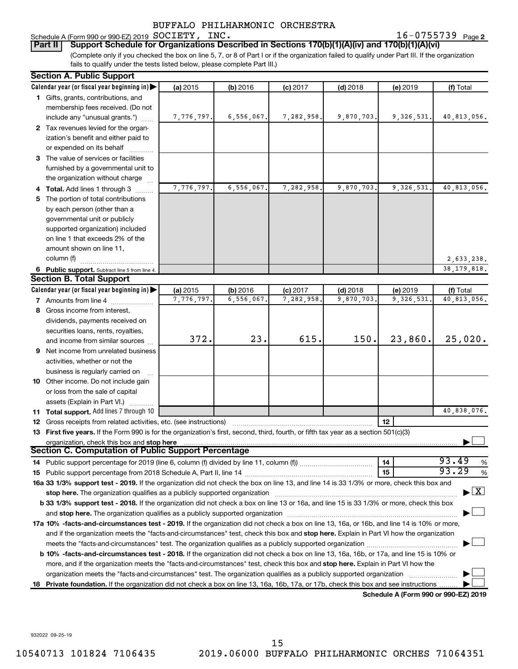**2** SOCIETY, INC. **16-0755739** Page 2

Schedule A (Form 990 or 990-EZ) 2019 SOCIETY, INC.<br>| Part II | Support Schedule for Organizations Des (Complete only if you checked the box on line 5, 7, or 8 of Part I or if the organization failed to qualify under Part III. If the organization **Bupport Schedule for Organizations Described in Sections 170(b)(1)(A)(iv) and 170(b)(1)(A)(vi)** 

fails to qualify under the tests listed below, please complete Part III.)

|    | <b>Section A. Public Support</b>                                                                                                                                                                                               |            |            |            |            |                                      |                                    |
|----|--------------------------------------------------------------------------------------------------------------------------------------------------------------------------------------------------------------------------------|------------|------------|------------|------------|--------------------------------------|------------------------------------|
|    | Calendar year (or fiscal year beginning in)                                                                                                                                                                                    | (a) 2015   | (b) 2016   | $(c)$ 2017 | $(d)$ 2018 | (e) 2019                             | (f) Total                          |
|    | 1 Gifts, grants, contributions, and                                                                                                                                                                                            |            |            |            |            |                                      |                                    |
|    | membership fees received. (Do not                                                                                                                                                                                              |            |            |            |            |                                      |                                    |
|    | include any "unusual grants.")                                                                                                                                                                                                 | 7,776,797. | 6,556,067. | 7,282,958. | 9,870,703. | 9,326,531.                           | 40,813,056.                        |
|    | 2 Tax revenues levied for the organ-                                                                                                                                                                                           |            |            |            |            |                                      |                                    |
|    | ization's benefit and either paid to                                                                                                                                                                                           |            |            |            |            |                                      |                                    |
|    | or expended on its behalf                                                                                                                                                                                                      |            |            |            |            |                                      |                                    |
|    | 3 The value of services or facilities                                                                                                                                                                                          |            |            |            |            |                                      |                                    |
|    | furnished by a governmental unit to                                                                                                                                                                                            |            |            |            |            |                                      |                                    |
|    | the organization without charge                                                                                                                                                                                                |            |            |            |            |                                      |                                    |
|    | Total. Add lines 1 through 3                                                                                                                                                                                                   | 7,776,797. | 6,556,067. | 7,282,958. | 9,870,703. | 9, 326, 531.                         | 40,813,056.                        |
|    | 5 The portion of total contributions                                                                                                                                                                                           |            |            |            |            |                                      |                                    |
|    | by each person (other than a                                                                                                                                                                                                   |            |            |            |            |                                      |                                    |
|    | governmental unit or publicly                                                                                                                                                                                                  |            |            |            |            |                                      |                                    |
|    | supported organization) included                                                                                                                                                                                               |            |            |            |            |                                      |                                    |
|    | on line 1 that exceeds 2% of the                                                                                                                                                                                               |            |            |            |            |                                      |                                    |
|    | amount shown on line 11,                                                                                                                                                                                                       |            |            |            |            |                                      |                                    |
|    | column (f)                                                                                                                                                                                                                     |            |            |            |            |                                      | 2,633,238.                         |
|    | 6 Public support. Subtract line 5 from line 4.                                                                                                                                                                                 |            |            |            |            |                                      | 38, 179, 818.                      |
|    | <b>Section B. Total Support</b>                                                                                                                                                                                                |            |            |            |            |                                      |                                    |
|    | Calendar year (or fiscal year beginning in)                                                                                                                                                                                    | (a) 2015   | (b) 2016   | $(c)$ 2017 | $(d)$ 2018 | (e) 2019                             | (f) Total                          |
|    | 7 Amounts from line 4                                                                                                                                                                                                          | 7,776,797  | 6,556,067  | 7,282,958  | 9,870,703  | 9,326,531                            | 40,813,056.                        |
|    |                                                                                                                                                                                                                                |            |            |            |            |                                      |                                    |
|    | 8 Gross income from interest,                                                                                                                                                                                                  |            |            |            |            |                                      |                                    |
|    | dividends, payments received on                                                                                                                                                                                                |            |            |            |            |                                      |                                    |
|    | securities loans, rents, royalties,                                                                                                                                                                                            | 372.       | 23.        | 615.       | 150.       | 23,860.                              | 25,020.                            |
|    | and income from similar sources                                                                                                                                                                                                |            |            |            |            |                                      |                                    |
| 9  | Net income from unrelated business                                                                                                                                                                                             |            |            |            |            |                                      |                                    |
|    | activities, whether or not the                                                                                                                                                                                                 |            |            |            |            |                                      |                                    |
|    | business is regularly carried on                                                                                                                                                                                               |            |            |            |            |                                      |                                    |
|    | 10 Other income. Do not include gain                                                                                                                                                                                           |            |            |            |            |                                      |                                    |
|    | or loss from the sale of capital                                                                                                                                                                                               |            |            |            |            |                                      |                                    |
|    | assets (Explain in Part VI.)                                                                                                                                                                                                   |            |            |            |            |                                      |                                    |
|    | <b>11 Total support.</b> Add lines 7 through 10                                                                                                                                                                                |            |            |            |            |                                      | 40,838,076.                        |
|    | <b>12</b> Gross receipts from related activities, etc. (see instructions)                                                                                                                                                      |            |            |            |            | 12                                   |                                    |
|    | 13 First five years. If the Form 990 is for the organization's first, second, third, fourth, or fifth tax year as a section 501(c)(3)                                                                                          |            |            |            |            |                                      |                                    |
|    | organization, check this box and stop here                                                                                                                                                                                     |            |            |            |            |                                      |                                    |
|    | Section C. Computation of Public Support Percentage                                                                                                                                                                            |            |            |            |            |                                      |                                    |
|    |                                                                                                                                                                                                                                |            |            |            |            | 14                                   | 93.49<br>%                         |
|    |                                                                                                                                                                                                                                |            |            |            |            | 15                                   | 93.29<br>%                         |
|    | 16a 33 1/3% support test - 2019. If the organization did not check the box on line 13, and line 14 is 33 1/3% or more, check this box and                                                                                      |            |            |            |            |                                      |                                    |
|    | stop here. The organization qualifies as a publicly supported organization manufactured content and the content of the state of the state of the state of the state of the state of the state of the state of the state of the |            |            |            |            |                                      | $\blacktriangleright$ $\mathbf{X}$ |
|    | b 33 1/3% support test - 2018. If the organization did not check a box on line 13 or 16a, and line 15 is 33 1/3% or more, check this box                                                                                       |            |            |            |            |                                      |                                    |
|    |                                                                                                                                                                                                                                |            |            |            |            |                                      |                                    |
|    | 17a 10% -facts-and-circumstances test - 2019. If the organization did not check a box on line 13, 16a, or 16b, and line 14 is 10% or more,                                                                                     |            |            |            |            |                                      |                                    |
|    | and if the organization meets the "facts-and-circumstances" test, check this box and stop here. Explain in Part VI how the organization                                                                                        |            |            |            |            |                                      |                                    |
|    | meets the "facts-and-circumstances" test. The organization qualifies as a publicly supported organization <i>manumumum</i>                                                                                                     |            |            |            |            |                                      |                                    |
|    | b 10% -facts-and-circumstances test - 2018. If the organization did not check a box on line 13, 16a, 16b, or 17a, and line 15 is 10% or                                                                                        |            |            |            |            |                                      |                                    |
|    | more, and if the organization meets the "facts-and-circumstances" test, check this box and stop here. Explain in Part VI how the                                                                                               |            |            |            |            |                                      |                                    |
|    | organization meets the "facts-and-circumstances" test. The organization qualifies as a publicly supported organization                                                                                                         |            |            |            |            |                                      |                                    |
| 18 | Private foundation. If the organization did not check a box on line 13, 16a, 16b, 17a, or 17b, check this box and see instructions                                                                                             |            |            |            |            |                                      |                                    |
|    |                                                                                                                                                                                                                                |            |            |            |            | Schedule A (Form 990 or 990-F7) 2019 |                                    |

**Schedule A (Form 990 or 990-EZ) 2019**

932022 09-25-19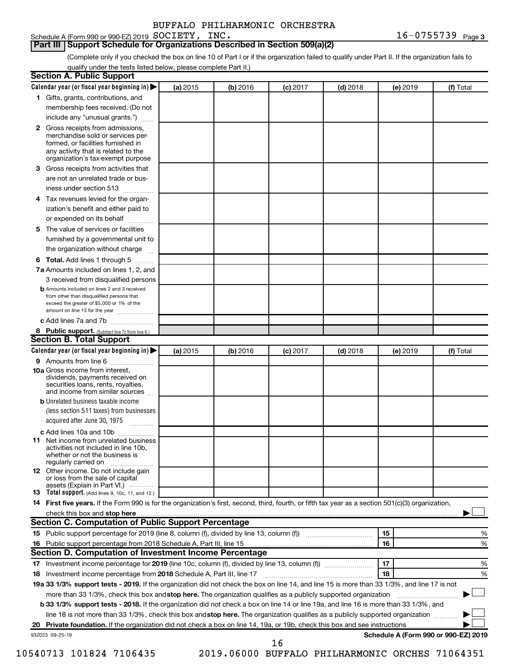#### Schedule A (Form 990 or 990-EZ) 2019 SOCIETY, INC. **Part III Support Schedule for Organizations Described in Section 509(a)(2)**

(Complete only if you checked the box on line 10 of Part I or if the organization failed to qualify under Part II. If the organization fails to qualify under the tests listed below, please complete Part II.)

|    | <b>Section A. Public Support</b>                                                                                                                                                                                                        |          |          |            |            |          |                                      |
|----|-----------------------------------------------------------------------------------------------------------------------------------------------------------------------------------------------------------------------------------------|----------|----------|------------|------------|----------|--------------------------------------|
|    | Calendar year (or fiscal year beginning in)                                                                                                                                                                                             | (a) 2015 | (b) 2016 | $(c)$ 2017 | $(d)$ 2018 | (e) 2019 | (f) Total                            |
|    | 1 Gifts, grants, contributions, and                                                                                                                                                                                                     |          |          |            |            |          |                                      |
|    | membership fees received. (Do not                                                                                                                                                                                                       |          |          |            |            |          |                                      |
|    | include any "unusual grants.")                                                                                                                                                                                                          |          |          |            |            |          |                                      |
|    | <b>2</b> Gross receipts from admissions,<br>merchandise sold or services per-<br>formed, or facilities furnished in<br>any activity that is related to the<br>organization's tax-exempt purpose                                         |          |          |            |            |          |                                      |
|    | 3 Gross receipts from activities that                                                                                                                                                                                                   |          |          |            |            |          |                                      |
|    | are not an unrelated trade or bus-<br>iness under section 513                                                                                                                                                                           |          |          |            |            |          |                                      |
|    | 4 Tax revenues levied for the organ-                                                                                                                                                                                                    |          |          |            |            |          |                                      |
|    | ization's benefit and either paid to<br>or expended on its behalf                                                                                                                                                                       |          |          |            |            |          |                                      |
|    | 5 The value of services or facilities                                                                                                                                                                                                   |          |          |            |            |          |                                      |
|    | furnished by a governmental unit to<br>the organization without charge                                                                                                                                                                  |          |          |            |            |          |                                      |
|    | 6 Total. Add lines 1 through 5                                                                                                                                                                                                          |          |          |            |            |          |                                      |
|    | 7a Amounts included on lines 1, 2, and                                                                                                                                                                                                  |          |          |            |            |          |                                      |
|    | 3 received from disqualified persons                                                                                                                                                                                                    |          |          |            |            |          |                                      |
|    | <b>b</b> Amounts included on lines 2 and 3 received<br>from other than disqualified persons that<br>exceed the greater of \$5,000 or 1% of the<br>amount on line 13 for the year                                                        |          |          |            |            |          |                                      |
|    | c Add lines 7a and 7b                                                                                                                                                                                                                   |          |          |            |            |          |                                      |
|    | 8 Public support. (Subtract line 7c from line 6.)                                                                                                                                                                                       |          |          |            |            |          |                                      |
|    | <b>Section B. Total Support</b>                                                                                                                                                                                                         |          |          |            |            |          |                                      |
|    | Calendar year (or fiscal year beginning in)                                                                                                                                                                                             | (a) 2015 | (b) 2016 | $(c)$ 2017 | $(d)$ 2018 | (e) 2019 | (f) Total                            |
|    | 9 Amounts from line 6                                                                                                                                                                                                                   |          |          |            |            |          |                                      |
|    | <b>10a</b> Gross income from interest,<br>dividends, payments received on<br>securities loans, rents, royalties,<br>and income from similar sources                                                                                     |          |          |            |            |          |                                      |
|    | <b>b</b> Unrelated business taxable income                                                                                                                                                                                              |          |          |            |            |          |                                      |
|    | (less section 511 taxes) from businesses<br>acquired after June 30, 1975                                                                                                                                                                |          |          |            |            |          |                                      |
|    | c Add lines 10a and 10b                                                                                                                                                                                                                 |          |          |            |            |          |                                      |
|    | <b>11</b> Net income from unrelated business<br>activities not included in line 10b.<br>whether or not the business is<br>regularly carried on                                                                                          |          |          |            |            |          |                                      |
|    | 12 Other income. Do not include gain<br>or loss from the sale of capital<br>assets (Explain in Part VI.)                                                                                                                                |          |          |            |            |          |                                      |
|    | <b>13</b> Total support. (Add lines 9, 10c, 11, and 12.)                                                                                                                                                                                |          |          |            |            |          |                                      |
|    | 14 First five years. If the Form 990 is for the organization's first, second, third, fourth, or fifth tax year as a section 501(c)(3) organization,                                                                                     |          |          |            |            |          |                                      |
|    | check this box and stop here <b>contained and the contained and stop here</b> check this box and stop here <b>contained and the contained and stop here</b> contained and stop here contained and and stop here contained and stop here |          |          |            |            |          |                                      |
|    | Section C. Computation of Public Support Percentage                                                                                                                                                                                     |          |          |            |            |          |                                      |
|    | 15 Public support percentage for 2019 (line 8, column (f), divided by line 13, column (f) <i></i>                                                                                                                                       |          |          |            |            | 15       | %                                    |
|    | 16 Public support percentage from 2018 Schedule A, Part III, line 15                                                                                                                                                                    |          |          |            |            | 16       | %                                    |
|    | Section D. Computation of Investment Income Percentage                                                                                                                                                                                  |          |          |            |            |          |                                      |
|    |                                                                                                                                                                                                                                         |          |          |            |            | 17       | %                                    |
|    | 18 Investment income percentage from 2018 Schedule A, Part III, line 17                                                                                                                                                                 |          |          |            |            | 18       | %                                    |
|    | 19a 33 1/3% support tests - 2019. If the organization did not check the box on line 14, and line 15 is more than 33 1/3%, and line 17 is not                                                                                            |          |          |            |            |          |                                      |
|    | more than 33 1/3%, check this box and stop here. The organization qualifies as a publicly supported organization                                                                                                                        |          |          |            |            |          |                                      |
|    | b 33 1/3% support tests - 2018. If the organization did not check a box on line 14 or line 19a, and line 16 is more than 33 1/3%, and                                                                                                   |          |          |            |            |          |                                      |
|    | line 18 is not more than 33 1/3%, check this box and stop here. The organization qualifies as a publicly supported organization                                                                                                         |          |          |            |            |          |                                      |
| 20 |                                                                                                                                                                                                                                         |          |          |            |            |          |                                      |
|    | 932023 09-25-19                                                                                                                                                                                                                         |          |          |            |            |          | Schedule A (Form 990 or 990-EZ) 2019 |

16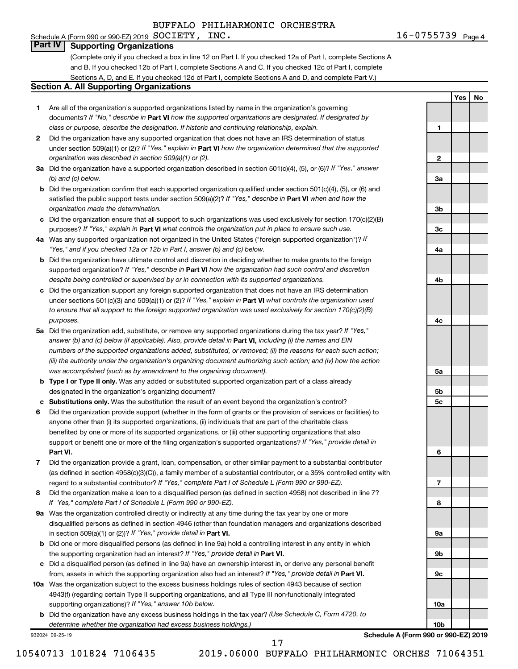### Schedule A (Form 990 or 990-EZ) 2019  $SOCIETY$ ,  $INC$ . **Part IV Supporting Organizations**

(Complete only if you checked a box in line 12 on Part I. If you checked 12a of Part I, complete Sections A and B. If you checked 12b of Part I, complete Sections A and C. If you checked 12c of Part I, complete Sections A, D, and E. If you checked 12d of Part I, complete Sections A and D, and complete Part V.)

### **Section A. All Supporting Organizations**

- **1** Are all of the organization's supported organizations listed by name in the organization's governing documents? If "No," describe in Part VI how the supported organizations are designated. If designated by *class or purpose, describe the designation. If historic and continuing relationship, explain.*
- **2** Did the organization have any supported organization that does not have an IRS determination of status under section 509(a)(1) or (2)? If "Yes," explain in Part **VI** how the organization determined that the supported *organization was described in section 509(a)(1) or (2).*
- **3a** Did the organization have a supported organization described in section 501(c)(4), (5), or (6)? If "Yes," answer *(b) and (c) below.*
- **b** Did the organization confirm that each supported organization qualified under section 501(c)(4), (5), or (6) and satisfied the public support tests under section 509(a)(2)? If "Yes," describe in Part VI when and how the *organization made the determination.*
- **c** Did the organization ensure that all support to such organizations was used exclusively for section 170(c)(2)(B) purposes? If "Yes," explain in Part VI what controls the organization put in place to ensure such use.
- **4 a** *If* Was any supported organization not organized in the United States ("foreign supported organization")? *"Yes," and if you checked 12a or 12b in Part I, answer (b) and (c) below.*
- **b** Did the organization have ultimate control and discretion in deciding whether to make grants to the foreign supported organization? If "Yes," describe in Part VI how the organization had such control and discretion *despite being controlled or supervised by or in connection with its supported organizations.*
- **c** Did the organization support any foreign supported organization that does not have an IRS determination under sections 501(c)(3) and 509(a)(1) or (2)? If "Yes," explain in Part VI what controls the organization used *to ensure that all support to the foreign supported organization was used exclusively for section 170(c)(2)(B) purposes.*
- **5a** Did the organization add, substitute, or remove any supported organizations during the tax year? If "Yes," answer (b) and (c) below (if applicable). Also, provide detail in **Part VI,** including (i) the names and EIN *numbers of the supported organizations added, substituted, or removed; (ii) the reasons for each such action; (iii) the authority under the organization's organizing document authorizing such action; and (iv) how the action was accomplished (such as by amendment to the organizing document).*
- **b** Type I or Type II only. Was any added or substituted supported organization part of a class already designated in the organization's organizing document?
- **c Substitutions only.**  Was the substitution the result of an event beyond the organization's control?
- **6** Did the organization provide support (whether in the form of grants or the provision of services or facilities) to **Part VI.** support or benefit one or more of the filing organization's supported organizations? If "Yes," provide detail in anyone other than (i) its supported organizations, (ii) individuals that are part of the charitable class benefited by one or more of its supported organizations, or (iii) other supporting organizations that also
- **7** Did the organization provide a grant, loan, compensation, or other similar payment to a substantial contributor regard to a substantial contributor? If "Yes," complete Part I of Schedule L (Form 990 or 990-EZ). (as defined in section 4958(c)(3)(C)), a family member of a substantial contributor, or a 35% controlled entity with
- **8** Did the organization make a loan to a disqualified person (as defined in section 4958) not described in line 7? *If "Yes," complete Part I of Schedule L (Form 990 or 990-EZ).*
- **9 a** Was the organization controlled directly or indirectly at any time during the tax year by one or more in section 509(a)(1) or (2))? If "Yes," provide detail in **Part VI.** disqualified persons as defined in section 4946 (other than foundation managers and organizations described
- **b** Did one or more disqualified persons (as defined in line 9a) hold a controlling interest in any entity in which the supporting organization had an interest? If "Yes," provide detail in Part VI.
- **c** Did a disqualified person (as defined in line 9a) have an ownership interest in, or derive any personal benefit from, assets in which the supporting organization also had an interest? If "Yes," provide detail in Part VI.
- **10 a** Was the organization subject to the excess business holdings rules of section 4943 because of section supporting organizations)? If "Yes," answer 10b below. 4943(f) (regarding certain Type II supporting organizations, and all Type III non-functionally integrated
	- **b** Did the organization have any excess business holdings in the tax year? (Use Schedule C, Form 4720, to *determine whether the organization had excess business holdings.)*

932024 09-25-19

**6 7 8**

**Schedule A (Form 990 or 990-EZ) 2019**

17

**1**

**2**

**3a**

**3b**

**3c**

**4a**

**4b**

**4c**

**5a**

**5b 5c**

**9a**

**9b**

**9c**

**10a**

**10b**

**Yes No**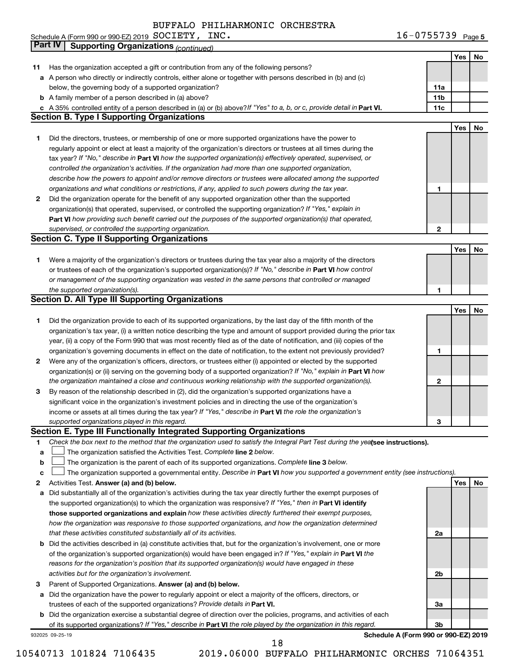| INC.<br>Schedule A (Form 990 or 990-EZ) 2019 $\rm\;SOCIETY$ , | $16 - 0755739$ Page 5 |
|---------------------------------------------------------------|-----------------------|
|---------------------------------------------------------------|-----------------------|

|    | <b>Part IV</b>  | <b>Supporting Organizations (continued)</b>                                                                                     |                 |     |    |
|----|-----------------|---------------------------------------------------------------------------------------------------------------------------------|-----------------|-----|----|
|    |                 |                                                                                                                                 |                 | Yes | No |
| 11 |                 | Has the organization accepted a gift or contribution from any of the following persons?                                         |                 |     |    |
| а  |                 | A person who directly or indirectly controls, either alone or together with persons described in (b) and (c)                    |                 |     |    |
|    |                 | below, the governing body of a supported organization?                                                                          | 11a             |     |    |
|    |                 | <b>b</b> A family member of a person described in (a) above?                                                                    | 11 <sub>b</sub> |     |    |
|    |                 | c A 35% controlled entity of a person described in (a) or (b) above? If "Yes" to a, b, or c, provide detail in Part VI.         | 11c             |     |    |
|    |                 | <b>Section B. Type I Supporting Organizations</b>                                                                               |                 |     |    |
|    |                 |                                                                                                                                 |                 | Yes | No |
| 1. |                 | Did the directors, trustees, or membership of one or more supported organizations have the power to                             |                 |     |    |
|    |                 | regularly appoint or elect at least a majority of the organization's directors or trustees at all times during the              |                 |     |    |
|    |                 |                                                                                                                                 |                 |     |    |
|    |                 | tax year? If "No," describe in Part VI how the supported organization(s) effectively operated, supervised, or                   |                 |     |    |
|    |                 | controlled the organization's activities. If the organization had more than one supported organization,                         |                 |     |    |
|    |                 | describe how the powers to appoint and/or remove directors or trustees were allocated among the supported                       |                 |     |    |
|    |                 | organizations and what conditions or restrictions, if any, applied to such powers during the tax year.                          | 1               |     |    |
| 2  |                 | Did the organization operate for the benefit of any supported organization other than the supported                             |                 |     |    |
|    |                 | organization(s) that operated, supervised, or controlled the supporting organization? If "Yes," explain in                      |                 |     |    |
|    |                 | Part VI how providing such benefit carried out the purposes of the supported organization(s) that operated,                     |                 |     |    |
|    |                 | supervised, or controlled the supporting organization.                                                                          | 2               |     |    |
|    |                 | <b>Section C. Type II Supporting Organizations</b>                                                                              |                 |     |    |
|    |                 |                                                                                                                                 |                 | Yes | No |
| 1. |                 | Were a majority of the organization's directors or trustees during the tax year also a majority of the directors                |                 |     |    |
|    |                 | or trustees of each of the organization's supported organization(s)? If "No," describe in Part VI how control                   |                 |     |    |
|    |                 | or management of the supporting organization was vested in the same persons that controlled or managed                          |                 |     |    |
|    |                 | the supported organization(s).                                                                                                  | 1               |     |    |
|    |                 | <b>Section D. All Type III Supporting Organizations</b>                                                                         |                 |     |    |
|    |                 |                                                                                                                                 |                 | Yes | No |
| 1  |                 | Did the organization provide to each of its supported organizations, by the last day of the fifth month of the                  |                 |     |    |
|    |                 | organization's tax year, (i) a written notice describing the type and amount of support provided during the prior tax           |                 |     |    |
|    |                 | year, (ii) a copy of the Form 990 that was most recently filed as of the date of notification, and (iii) copies of the          |                 |     |    |
|    |                 | organization's governing documents in effect on the date of notification, to the extent not previously provided?                | 1               |     |    |
| 2  |                 | Were any of the organization's officers, directors, or trustees either (i) appointed or elected by the supported                |                 |     |    |
|    |                 | organization(s) or (ii) serving on the governing body of a supported organization? If "No," explain in Part VI how              |                 |     |    |
|    |                 | the organization maintained a close and continuous working relationship with the supported organization(s).                     | 2               |     |    |
| 3  |                 | By reason of the relationship described in (2), did the organization's supported organizations have a                           |                 |     |    |
|    |                 | significant voice in the organization's investment policies and in directing the use of the organization's                      |                 |     |    |
|    |                 | income or assets at all times during the tax year? If "Yes," describe in Part VI the role the organization's                    |                 |     |    |
|    |                 | supported organizations played in this regard.                                                                                  | з               |     |    |
|    |                 | Section E. Type III Functionally Integrated Supporting Organizations                                                            |                 |     |    |
| 1  |                 | Check the box next to the method that the organization used to satisfy the Integral Part Test during the yealsee instructions). |                 |     |    |
| a  |                 | The organization satisfied the Activities Test. Complete line 2 below.                                                          |                 |     |    |
| b  |                 | The organization is the parent of each of its supported organizations. Complete line 3 below.                                   |                 |     |    |
| c  |                 | The organization supported a governmental entity. Describe in Part VI how you supported a government entity (see instructions). |                 |     |    |
| 2  |                 | Activities Test. Answer (a) and (b) below.                                                                                      |                 | Yes | No |
| а  |                 | Did substantially all of the organization's activities during the tax year directly further the exempt purposes of              |                 |     |    |
|    |                 | the supported organization(s) to which the organization was responsive? If "Yes," then in Part VI identify                      |                 |     |    |
|    |                 | those supported organizations and explain how these activities directly furthered their exempt purposes,                        |                 |     |    |
|    |                 | how the organization was responsive to those supported organizations, and how the organization determined                       |                 |     |    |
|    |                 | that these activities constituted substantially all of its activities.                                                          | 2a              |     |    |
|    |                 | Did the activities described in (a) constitute activities that, but for the organization's involvement, one or more             |                 |     |    |
| b  |                 |                                                                                                                                 |                 |     |    |
|    |                 | of the organization's supported organization(s) would have been engaged in? If "Yes," explain in Part VI the                    |                 |     |    |
|    |                 | reasons for the organization's position that its supported organization(s) would have engaged in these                          |                 |     |    |
|    |                 | activities but for the organization's involvement.                                                                              | 2b              |     |    |
| з  |                 | Parent of Supported Organizations. Answer (a) and (b) below.                                                                    |                 |     |    |
| а  |                 | Did the organization have the power to regularly appoint or elect a majority of the officers, directors, or                     |                 |     |    |
|    |                 | trustees of each of the supported organizations? Provide details in Part VI.                                                    | За              |     |    |
|    |                 | <b>b</b> Did the organization exercise a substantial degree of direction over the policies, programs, and activities of each    |                 |     |    |
|    |                 | of its supported organizations? If "Yes," describe in Part VI the role played by the organization in this regard.               | 3b              |     |    |
|    | 932025 09-25-19 | Schedule A (Form 990 or 990-EZ) 2019<br>18                                                                                      |                 |     |    |
|    |                 |                                                                                                                                 |                 |     |    |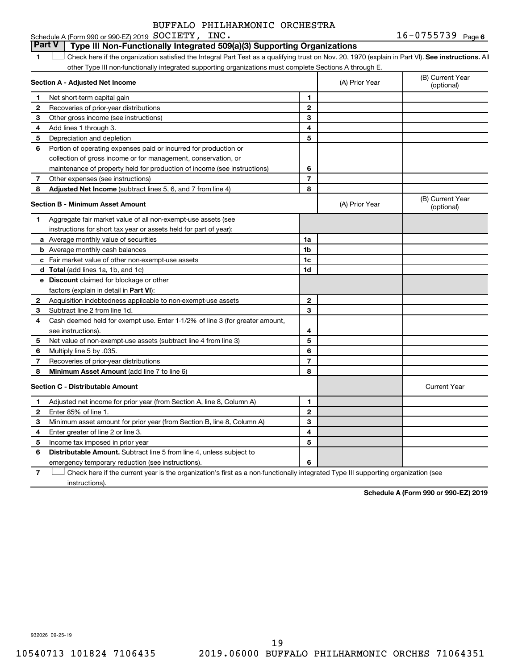## **Part V Type III Non-Functionally Integrated 509(a)(3) Supporting Organizations**

1 **Letter See instructions.** All Check here if the organization satisfied the Integral Part Test as a qualifying trust on Nov. 20, 1970 (explain in Part VI). See instructions. All other Type III non-functionally integrated supporting organizations must complete Sections A through E.

|              | Section A - Adjusted Net Income                                              |                | (A) Prior Year | (B) Current Year<br>(optional) |
|--------------|------------------------------------------------------------------------------|----------------|----------------|--------------------------------|
| 1.           | Net short-term capital gain                                                  | 1              |                |                                |
| 2            | Recoveries of prior-year distributions                                       | $\overline{2}$ |                |                                |
| 3            | Other gross income (see instructions)                                        | 3              |                |                                |
| 4            | Add lines 1 through 3.                                                       | 4              |                |                                |
| 5            | Depreciation and depletion                                                   | 5              |                |                                |
| 6            | Portion of operating expenses paid or incurred for production or             |                |                |                                |
|              | collection of gross income or for management, conservation, or               |                |                |                                |
|              | maintenance of property held for production of income (see instructions)     | 6              |                |                                |
| 7            | Other expenses (see instructions)                                            | $\overline{7}$ |                |                                |
| 8            | <b>Adjusted Net Income</b> (subtract lines 5, 6, and 7 from line 4)          | 8              |                |                                |
|              | <b>Section B - Minimum Asset Amount</b>                                      |                | (A) Prior Year | (B) Current Year<br>(optional) |
| 1.           | Aggregate fair market value of all non-exempt-use assets (see                |                |                |                                |
|              | instructions for short tax year or assets held for part of year):            |                |                |                                |
|              | a Average monthly value of securities                                        | 1a             |                |                                |
|              | <b>b</b> Average monthly cash balances                                       | 1 <sub>b</sub> |                |                                |
|              | <b>c</b> Fair market value of other non-exempt-use assets                    | 1c             |                |                                |
|              | d Total (add lines 1a, 1b, and 1c)                                           | 1d             |                |                                |
|              | e Discount claimed for blockage or other                                     |                |                |                                |
|              | factors (explain in detail in Part VI):                                      |                |                |                                |
| 2            | Acquisition indebtedness applicable to non-exempt-use assets                 | $\mathbf{2}$   |                |                                |
| 3            | Subtract line 2 from line 1d.                                                | 3              |                |                                |
| 4            | Cash deemed held for exempt use. Enter 1-1/2% of line 3 (for greater amount, |                |                |                                |
|              | see instructions).                                                           | 4              |                |                                |
| 5            | Net value of non-exempt-use assets (subtract line 4 from line 3)             | 5              |                |                                |
| 6            | Multiply line 5 by .035.                                                     | 6              |                |                                |
| 7            | Recoveries of prior-year distributions                                       | $\overline{7}$ |                |                                |
| 8            | Minimum Asset Amount (add line 7 to line 6)                                  | 8              |                |                                |
|              | <b>Section C - Distributable Amount</b>                                      |                |                | <b>Current Year</b>            |
| 1            | Adjusted net income for prior year (from Section A, line 8, Column A)        | 1              |                |                                |
| $\mathbf{2}$ | Enter 85% of line 1.                                                         | $\mathbf{2}$   |                |                                |
| з            | Minimum asset amount for prior year (from Section B, line 8, Column A)       | 3              |                |                                |
| 4            | Enter greater of line 2 or line 3.                                           | 4              |                |                                |
| 5            | Income tax imposed in prior year                                             | 5              |                |                                |
| 6            | Distributable Amount. Subtract line 5 from line 4, unless subject to         |                |                |                                |
|              | emergency temporary reduction (see instructions).                            | 6              |                |                                |
|              |                                                                              |                |                |                                |

**7** Let Check here if the current year is the organization's first as a non-functionally integrated Type III supporting organization (see instructions).

**Schedule A (Form 990 or 990-EZ) 2019**

932026 09-25-19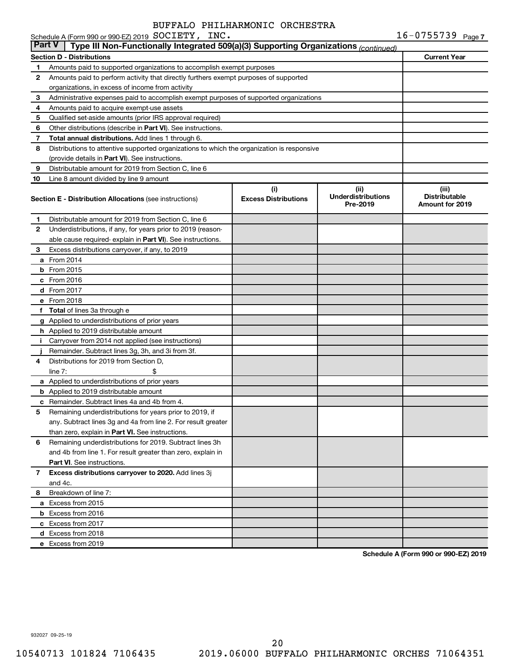|               | Schedule A (Form 990 or 990-EZ) 2019 SOCIETY, INC.                                         |                                    |                                               | $16 - 0755739$ Page 7                                   |
|---------------|--------------------------------------------------------------------------------------------|------------------------------------|-----------------------------------------------|---------------------------------------------------------|
| <b>Part V</b> | Type III Non-Functionally Integrated 509(a)(3) Supporting Organizations (continued)        |                                    |                                               |                                                         |
|               | <b>Section D - Distributions</b>                                                           |                                    |                                               | <b>Current Year</b>                                     |
| 1             | Amounts paid to supported organizations to accomplish exempt purposes                      |                                    |                                               |                                                         |
| 2             | Amounts paid to perform activity that directly furthers exempt purposes of supported       |                                    |                                               |                                                         |
|               | organizations, in excess of income from activity                                           |                                    |                                               |                                                         |
| 3             | Administrative expenses paid to accomplish exempt purposes of supported organizations      |                                    |                                               |                                                         |
| 4             | Amounts paid to acquire exempt-use assets                                                  |                                    |                                               |                                                         |
| 5             | Qualified set-aside amounts (prior IRS approval required)                                  |                                    |                                               |                                                         |
| 6             | Other distributions (describe in <b>Part VI</b> ). See instructions.                       |                                    |                                               |                                                         |
| 7             | Total annual distributions. Add lines 1 through 6.                                         |                                    |                                               |                                                         |
| 8             | Distributions to attentive supported organizations to which the organization is responsive |                                    |                                               |                                                         |
|               | (provide details in Part VI). See instructions.                                            |                                    |                                               |                                                         |
| 9             | Distributable amount for 2019 from Section C, line 6                                       |                                    |                                               |                                                         |
| 10            | Line 8 amount divided by line 9 amount                                                     |                                    |                                               |                                                         |
|               | <b>Section E - Distribution Allocations (see instructions)</b>                             | (i)<br><b>Excess Distributions</b> | (ii)<br><b>Underdistributions</b><br>Pre-2019 | (iii)<br><b>Distributable</b><br><b>Amount for 2019</b> |
| 1             | Distributable amount for 2019 from Section C, line 6                                       |                                    |                                               |                                                         |
| 2             | Underdistributions, if any, for years prior to 2019 (reason-                               |                                    |                                               |                                                         |
|               | able cause required- explain in Part VI). See instructions.                                |                                    |                                               |                                                         |
| 3             | Excess distributions carryover, if any, to 2019                                            |                                    |                                               |                                                         |
|               | a From 2014                                                                                |                                    |                                               |                                                         |
|               | $b$ From 2015                                                                              |                                    |                                               |                                                         |
|               | c From 2016                                                                                |                                    |                                               |                                                         |
|               | <b>d</b> From 2017                                                                         |                                    |                                               |                                                         |
|               | e From 2018                                                                                |                                    |                                               |                                                         |
|               | f Total of lines 3a through e                                                              |                                    |                                               |                                                         |
|               | g Applied to underdistributions of prior years                                             |                                    |                                               |                                                         |
|               | <b>h</b> Applied to 2019 distributable amount                                              |                                    |                                               |                                                         |
| Ť.            | Carryover from 2014 not applied (see instructions)                                         |                                    |                                               |                                                         |
|               | Remainder. Subtract lines 3g, 3h, and 3i from 3f.                                          |                                    |                                               |                                                         |
| 4             | Distributions for 2019 from Section D,                                                     |                                    |                                               |                                                         |
|               | line $7:$                                                                                  |                                    |                                               |                                                         |
|               | a Applied to underdistributions of prior years                                             |                                    |                                               |                                                         |
|               | <b>b</b> Applied to 2019 distributable amount                                              |                                    |                                               |                                                         |
|               | <b>c</b> Remainder. Subtract lines 4a and 4b from 4.                                       |                                    |                                               |                                                         |
|               | 5 Remaining underdistributions for years prior to 2019, if                                 |                                    |                                               |                                                         |
|               | any. Subtract lines 3g and 4a from line 2. For result greater                              |                                    |                                               |                                                         |
|               | than zero, explain in Part VI. See instructions.                                           |                                    |                                               |                                                         |
| 6             | Remaining underdistributions for 2019. Subtract lines 3h                                   |                                    |                                               |                                                         |
|               | and 4b from line 1. For result greater than zero, explain in                               |                                    |                                               |                                                         |
|               | <b>Part VI.</b> See instructions.                                                          |                                    |                                               |                                                         |
| 7             | Excess distributions carryover to 2020. Add lines 3j                                       |                                    |                                               |                                                         |
|               | and 4c.                                                                                    |                                    |                                               |                                                         |
| 8             | Breakdown of line 7:                                                                       |                                    |                                               |                                                         |
|               | a Excess from 2015                                                                         |                                    |                                               |                                                         |
|               | <b>b</b> Excess from 2016                                                                  |                                    |                                               |                                                         |
|               | c Excess from 2017                                                                         |                                    |                                               |                                                         |
|               | d Excess from 2018                                                                         |                                    |                                               |                                                         |
|               | e Excess from 2019                                                                         |                                    |                                               |                                                         |

**Schedule A (Form 990 or 990-EZ) 2019**

932027 09-25-19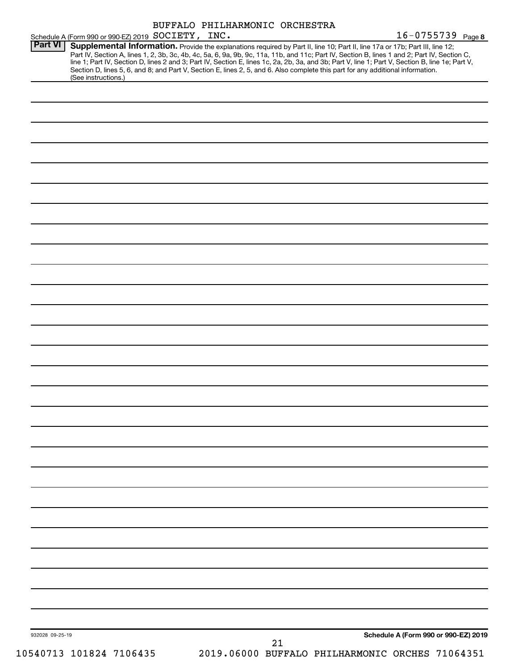|                 |                                                                                                                                                                                                                                                                                                                                                                                                                                                                                                                                                                                                                                                   | BUFFALO PHILHARMONIC ORCHESTRA                  |    |                                      | $16 - 0755739$ Page 8 |
|-----------------|---------------------------------------------------------------------------------------------------------------------------------------------------------------------------------------------------------------------------------------------------------------------------------------------------------------------------------------------------------------------------------------------------------------------------------------------------------------------------------------------------------------------------------------------------------------------------------------------------------------------------------------------------|-------------------------------------------------|----|--------------------------------------|-----------------------|
| Part VI         | Schedule A (Form 990 or 990-EZ) 2019 SOCIETY, INC.<br>Supplemental Information. Provide the explanations required by Part II, line 10; Part II, line 17a or 17b; Part III, line 12;<br>Part IV, Section A, lines 1, 2, 3b, 3c, 4b, 4c, 5a, 6, 9a, 9b, 9c, 11a, 11b, and 11c; Part IV, Section B, lines 1 and 2; Part IV, Section C,<br>line 1; Part IV, Section D, lines 2 and 3; Part IV, Section E, lines 1c, 2a, 2b, 3a, and 3b; Part V, line 1; Part V, Section B, line 1e; Part V,<br>Section D, lines 5, 6, and 8; and Part V, Section E, lines 2, 5, and 6. Also complete this part for any additional information.<br>(See instructions.) |                                                 |    |                                      |                       |
|                 |                                                                                                                                                                                                                                                                                                                                                                                                                                                                                                                                                                                                                                                   |                                                 |    |                                      |                       |
|                 |                                                                                                                                                                                                                                                                                                                                                                                                                                                                                                                                                                                                                                                   |                                                 |    |                                      |                       |
|                 |                                                                                                                                                                                                                                                                                                                                                                                                                                                                                                                                                                                                                                                   |                                                 |    |                                      |                       |
|                 |                                                                                                                                                                                                                                                                                                                                                                                                                                                                                                                                                                                                                                                   |                                                 |    |                                      |                       |
|                 |                                                                                                                                                                                                                                                                                                                                                                                                                                                                                                                                                                                                                                                   |                                                 |    |                                      |                       |
|                 |                                                                                                                                                                                                                                                                                                                                                                                                                                                                                                                                                                                                                                                   |                                                 |    |                                      |                       |
|                 |                                                                                                                                                                                                                                                                                                                                                                                                                                                                                                                                                                                                                                                   |                                                 |    |                                      |                       |
|                 |                                                                                                                                                                                                                                                                                                                                                                                                                                                                                                                                                                                                                                                   |                                                 |    |                                      |                       |
|                 |                                                                                                                                                                                                                                                                                                                                                                                                                                                                                                                                                                                                                                                   |                                                 |    |                                      |                       |
|                 |                                                                                                                                                                                                                                                                                                                                                                                                                                                                                                                                                                                                                                                   |                                                 |    |                                      |                       |
|                 |                                                                                                                                                                                                                                                                                                                                                                                                                                                                                                                                                                                                                                                   |                                                 |    |                                      |                       |
|                 |                                                                                                                                                                                                                                                                                                                                                                                                                                                                                                                                                                                                                                                   |                                                 |    |                                      |                       |
|                 |                                                                                                                                                                                                                                                                                                                                                                                                                                                                                                                                                                                                                                                   |                                                 |    |                                      |                       |
|                 |                                                                                                                                                                                                                                                                                                                                                                                                                                                                                                                                                                                                                                                   |                                                 |    |                                      |                       |
|                 |                                                                                                                                                                                                                                                                                                                                                                                                                                                                                                                                                                                                                                                   |                                                 |    |                                      |                       |
|                 |                                                                                                                                                                                                                                                                                                                                                                                                                                                                                                                                                                                                                                                   |                                                 |    |                                      |                       |
|                 |                                                                                                                                                                                                                                                                                                                                                                                                                                                                                                                                                                                                                                                   |                                                 |    |                                      |                       |
|                 |                                                                                                                                                                                                                                                                                                                                                                                                                                                                                                                                                                                                                                                   |                                                 |    |                                      |                       |
|                 |                                                                                                                                                                                                                                                                                                                                                                                                                                                                                                                                                                                                                                                   |                                                 |    |                                      |                       |
|                 |                                                                                                                                                                                                                                                                                                                                                                                                                                                                                                                                                                                                                                                   |                                                 |    |                                      |                       |
|                 |                                                                                                                                                                                                                                                                                                                                                                                                                                                                                                                                                                                                                                                   |                                                 |    |                                      |                       |
|                 |                                                                                                                                                                                                                                                                                                                                                                                                                                                                                                                                                                                                                                                   |                                                 |    |                                      |                       |
|                 |                                                                                                                                                                                                                                                                                                                                                                                                                                                                                                                                                                                                                                                   |                                                 |    |                                      |                       |
|                 |                                                                                                                                                                                                                                                                                                                                                                                                                                                                                                                                                                                                                                                   |                                                 |    |                                      |                       |
|                 |                                                                                                                                                                                                                                                                                                                                                                                                                                                                                                                                                                                                                                                   |                                                 |    |                                      |                       |
|                 |                                                                                                                                                                                                                                                                                                                                                                                                                                                                                                                                                                                                                                                   |                                                 |    |                                      |                       |
|                 |                                                                                                                                                                                                                                                                                                                                                                                                                                                                                                                                                                                                                                                   |                                                 |    |                                      |                       |
|                 |                                                                                                                                                                                                                                                                                                                                                                                                                                                                                                                                                                                                                                                   |                                                 |    |                                      |                       |
|                 |                                                                                                                                                                                                                                                                                                                                                                                                                                                                                                                                                                                                                                                   |                                                 |    |                                      |                       |
|                 |                                                                                                                                                                                                                                                                                                                                                                                                                                                                                                                                                                                                                                                   |                                                 |    |                                      |                       |
|                 |                                                                                                                                                                                                                                                                                                                                                                                                                                                                                                                                                                                                                                                   |                                                 |    |                                      |                       |
| 932028 09-25-19 |                                                                                                                                                                                                                                                                                                                                                                                                                                                                                                                                                                                                                                                   |                                                 |    | Schedule A (Form 990 or 990-EZ) 2019 |                       |
|                 | 10540713 101824 7106435                                                                                                                                                                                                                                                                                                                                                                                                                                                                                                                                                                                                                           | 2019.06000 BUFFALO PHILHARMONIC ORCHES 71064351 | 21 |                                      |                       |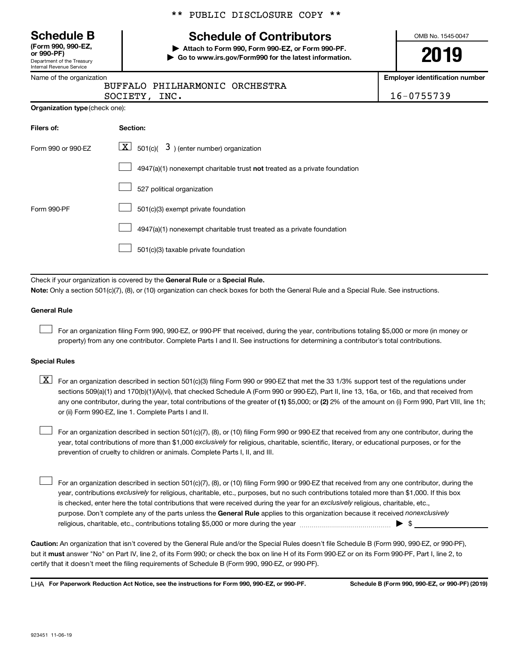Department of the Treasury Internal Revenue Service **(Form 990, 990-EZ,**

|  |  | ** PUBLIC DISCLOSURE COPY ** |  |  |
|--|--|------------------------------|--|--|
|--|--|------------------------------|--|--|

# **Schedule B Schedule of Contributors**

**or 990-PF) | Attach to Form 990, Form 990-EZ, or Form 990-PF. | Go to www.irs.gov/Form990 for the latest information.** OMB No. 1545-0047

**Employer identification number**

|  | Name of the organization |
|--|--------------------------|
|--|--------------------------|

## BUFFALO PHILHARMONIC ORCHESTRA

| 16-0755739<br>INC.<br>SOCIETY, |
|--------------------------------|
|--------------------------------|

**Organization type** (check one):

| Filers of:         | Section:                                                                           |
|--------------------|------------------------------------------------------------------------------------|
| Form 990 or 990-FZ | $ \mathbf{X} $ 501(c)( 3) (enter number) organization                              |
|                    | $4947(a)(1)$ nonexempt charitable trust <b>not</b> treated as a private foundation |
|                    | 527 political organization                                                         |
| Form 990-PF        | 501(c)(3) exempt private foundation                                                |
|                    | 4947(a)(1) nonexempt charitable trust treated as a private foundation              |
|                    | 501(c)(3) taxable private foundation                                               |

Check if your organization is covered by the General Rule or a Special Rule.

**Note:**  Only a section 501(c)(7), (8), or (10) organization can check boxes for both the General Rule and a Special Rule. See instructions.

#### **General Rule**

 $\Box$ 

For an organization filing Form 990, 990-EZ, or 990-PF that received, during the year, contributions totaling \$5,000 or more (in money or property) from any one contributor. Complete Parts I and II. See instructions for determining a contributor's total contributions.

#### **Special Rules**

any one contributor, during the year, total contributions of the greater of (1) \$5,000; or (2) 2% of the amount on (i) Form 990, Part VIII, line 1h;  $\boxed{\text{X}}$  For an organization described in section 501(c)(3) filing Form 990 or 990-EZ that met the 33 1/3% support test of the regulations under sections 509(a)(1) and 170(b)(1)(A)(vi), that checked Schedule A (Form 990 or 990-EZ), Part II, line 13, 16a, or 16b, and that received from or (ii) Form 990-EZ, line 1. Complete Parts I and II.

year, total contributions of more than \$1,000 *exclusively* for religious, charitable, scientific, literary, or educational purposes, or for the For an organization described in section 501(c)(7), (8), or (10) filing Form 990 or 990-EZ that received from any one contributor, during the prevention of cruelty to children or animals. Complete Parts I, II, and III.  $\Box$ 

purpose. Don't complete any of the parts unless the General Rule applies to this organization because it received nonexclusively year, contributions exclusively for religious, charitable, etc., purposes, but no such contributions totaled more than \$1,000. If this box is checked, enter here the total contributions that were received during the year for an exclusively religious, charitable, etc., For an organization described in section 501(c)(7), (8), or (10) filing Form 990 or 990-EZ that received from any one contributor, during the religious, charitable, etc., contributions totaling \$5,000 or more during the year  $\ldots$  $\ldots$  $\ldots$  $\ldots$  $\ldots$  $\ldots$  $\Box$ 

**Caution:**  An organization that isn't covered by the General Rule and/or the Special Rules doesn't file Schedule B (Form 990, 990-EZ, or 990-PF),  **must** but it answer "No" on Part IV, line 2, of its Form 990; or check the box on line H of its Form 990-EZ or on its Form 990-PF, Part I, line 2, to certify that it doesn't meet the filing requirements of Schedule B (Form 990, 990-EZ, or 990-PF).

**For Paperwork Reduction Act Notice, see the instructions for Form 990, 990-EZ, or 990-PF. Schedule B (Form 990, 990-EZ, or 990-PF) (2019)** LHA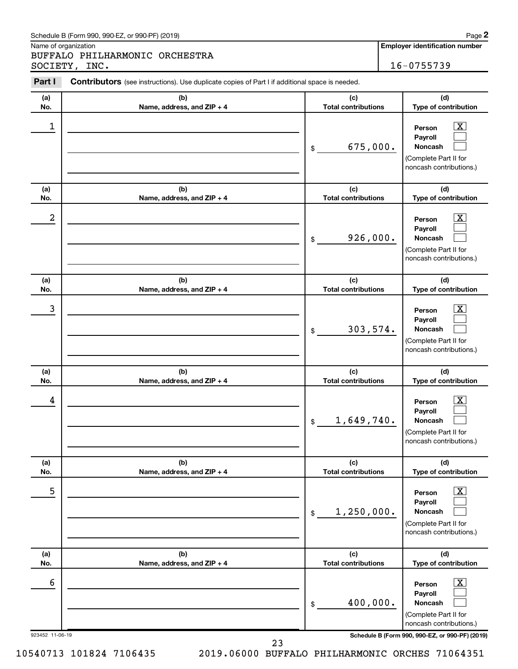#### Schedule B (Form 990, 990-EZ, or 990-PF) (2019)

Name of organization

BUFFALO PHILHARMONIC ORCHESTRA SOCIETY, INC. 16-0755739 **2**

| Part I          | <b>Contributors</b> (see instructions). Use duplicate copies of Part I if additional space is needed. |                                   |                                                                                                                    |
|-----------------|-------------------------------------------------------------------------------------------------------|-----------------------------------|--------------------------------------------------------------------------------------------------------------------|
| (a)<br>No.      | (b)<br>Name, address, and ZIP + 4                                                                     | (c)<br><b>Total contributions</b> | (d)<br>Type of contribution                                                                                        |
| 1               |                                                                                                       | 675,000.<br>\$                    | $\overline{\text{X}}$<br>Person<br>Payroll<br><b>Noncash</b><br>(Complete Part II for<br>noncash contributions.)   |
| (a)<br>No.      | (b)<br>Name, address, and ZIP + 4                                                                     | (c)<br><b>Total contributions</b> | (d)<br>Type of contribution                                                                                        |
| 2               |                                                                                                       | 926,000.<br>\$                    | $\mathbf{X}$<br>Person<br>Payroll<br><b>Noncash</b><br>(Complete Part II for<br>noncash contributions.)            |
| (a)<br>No.      | (b)<br>Name, address, and ZIP + 4                                                                     | (c)<br><b>Total contributions</b> | (d)<br>Type of contribution                                                                                        |
| 3               |                                                                                                       | 303,574.<br>\$                    | $\overline{\text{X}}$<br>Person<br>Payroll<br>Noncash<br>(Complete Part II for<br>noncash contributions.)          |
| (a)<br>No.      | (b)<br>Name, address, and ZIP + 4                                                                     | (c)<br><b>Total contributions</b> | (d)<br>Type of contribution                                                                                        |
| 4               |                                                                                                       | 1,649,740.<br>$\mathfrak{S}$      | $\overline{\mathbf{X}}$<br>Person<br>Payroll<br><b>Noncash</b><br>(Complete Part II for<br>noncash contributions.) |
| (a)<br>No.      | (b)<br>Name, address, and ZIP + 4                                                                     | (c)<br><b>Total contributions</b> | (d)<br>Type of contribution                                                                                        |
| 5               |                                                                                                       | 1,250,000.<br>$\$$                | $\overline{\text{X}}$<br>Person<br>Payroll<br><b>Noncash</b><br>(Complete Part II for<br>noncash contributions.)   |
| (a)<br>No.      | (b)<br>Name, address, and ZIP + 4                                                                     | (c)<br><b>Total contributions</b> | (d)<br>Type of contribution                                                                                        |
| 6               |                                                                                                       | 400,000.<br>$\$$                  | $\overline{\mathbf{X}}$<br>Person<br>Payroll<br><b>Noncash</b><br>(Complete Part II for<br>noncash contributions.) |
| 923452 11-06-19 |                                                                                                       |                                   | Schedule B (Form 990, 990-EZ, or 990-PF) (2019)                                                                    |

23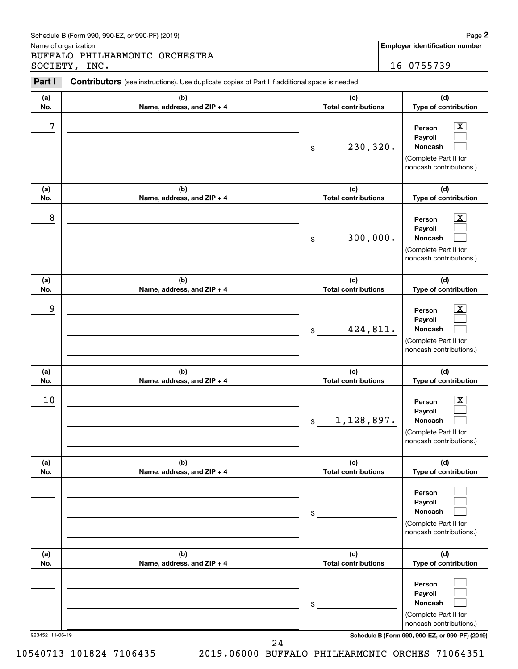#### Schedule B (Form 990, 990-EZ, or 990-PF) (2019)

Name of organization

BUFFALO PHILHARMONIC ORCHESTRA SOCIETY, INC. 16-0755739 **2**

| Part I          | Contributors (see instructions). Use duplicate copies of Part I if additional space is needed. |                                   |                                                                                                                    |
|-----------------|------------------------------------------------------------------------------------------------|-----------------------------------|--------------------------------------------------------------------------------------------------------------------|
| (a)<br>No.      | (b)<br>Name, address, and ZIP + 4                                                              | (c)<br><b>Total contributions</b> | (d)<br>Type of contribution                                                                                        |
| 7               |                                                                                                | 230,320.<br>\$                    | $\overline{\text{X}}$<br>Person<br>Payroll<br><b>Noncash</b><br>(Complete Part II for<br>noncash contributions.)   |
| (a)<br>No.      | (b)<br>Name, address, and ZIP + 4                                                              | (c)<br><b>Total contributions</b> | (d)<br>Type of contribution                                                                                        |
| 8               |                                                                                                | 300,000.<br>\$                    | $\overline{\text{X}}$<br>Person<br>Payroll<br><b>Noncash</b><br>(Complete Part II for<br>noncash contributions.)   |
| (a)<br>No.      | (b)<br>Name, address, and ZIP + 4                                                              | (c)<br><b>Total contributions</b> | (d)<br>Type of contribution                                                                                        |
| 9               |                                                                                                | 424,811.<br>\$                    | $\overline{\text{X}}$<br>Person<br>Payroll<br>Noncash<br>(Complete Part II for<br>noncash contributions.)          |
| (a)<br>No.      | (b)<br>Name, address, and ZIP + 4                                                              | (c)<br><b>Total contributions</b> | (d)<br>Type of contribution                                                                                        |
| 10              |                                                                                                | 1,128,897.<br>$\mathfrak{S}$      | $\overline{\mathbf{X}}$<br>Person<br>Payroll<br><b>Noncash</b><br>(Complete Part II for<br>noncash contributions.) |
| (a)<br>No.      | (b)<br>Name, address, and ZIP + 4                                                              | (c)<br><b>Total contributions</b> | (d)<br>Type of contribution                                                                                        |
|                 |                                                                                                | \$                                | Person<br>Payroll<br><b>Noncash</b><br>(Complete Part II for<br>noncash contributions.)                            |
| (a)<br>No.      | (b)<br>Name, address, and ZIP + 4                                                              | (c)<br><b>Total contributions</b> | (d)<br>Type of contribution                                                                                        |
|                 |                                                                                                | \$                                | Person<br>Payroll<br><b>Noncash</b><br>(Complete Part II for<br>noncash contributions.)                            |
| 923452 11-06-19 |                                                                                                |                                   | Schedule B (Form 990, 990-EZ, or 990-PF) (2019)                                                                    |

24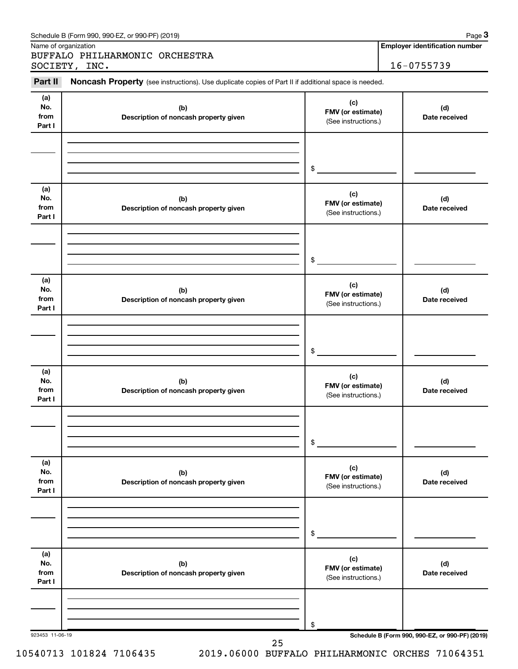|                              | Name of organization<br>BUFFALO PHILHARMONIC ORCHESTRA                                              |                                                 | <b>Employer identification number</b>           |
|------------------------------|-----------------------------------------------------------------------------------------------------|-------------------------------------------------|-------------------------------------------------|
|                              | SOCIETY, INC.                                                                                       |                                                 | 16-0755739                                      |
| Part II                      | Noncash Property (see instructions). Use duplicate copies of Part II if additional space is needed. |                                                 |                                                 |
| (a)<br>No.<br>from<br>Part I | (b)<br>Description of noncash property given                                                        | (c)<br>FMV (or estimate)<br>(See instructions.) | (d)<br>Date received                            |
|                              |                                                                                                     | \$                                              |                                                 |
| (a)<br>No.<br>from<br>Part I | (b)<br>Description of noncash property given                                                        | (c)<br>FMV (or estimate)<br>(See instructions.) | (d)<br>Date received                            |
|                              |                                                                                                     | \$                                              |                                                 |
| (a)<br>No.<br>from<br>Part I | (b)<br>Description of noncash property given                                                        | (c)<br>FMV (or estimate)<br>(See instructions.) | (d)<br>Date received                            |
|                              |                                                                                                     | \$                                              |                                                 |
| (a)<br>No.<br>from<br>Part I | (b)<br>Description of noncash property given                                                        | (c)<br>FMV (or estimate)<br>(See instructions.) | (d)<br>Date received                            |
|                              |                                                                                                     | \$                                              |                                                 |
| (a)<br>No.<br>from<br>Part I | (b)<br>Description of noncash property given                                                        | (c)<br>FMV (or estimate)<br>(See instructions.) | (d)<br>Date received                            |
|                              |                                                                                                     | \$                                              |                                                 |
| (a)<br>No.<br>from<br>Part I | (b)<br>Description of noncash property given                                                        | (c)<br>FMV (or estimate)<br>(See instructions.) | (d)<br>Date received                            |
|                              |                                                                                                     | \$                                              |                                                 |
| 923453 11-06-19              |                                                                                                     |                                                 | Schedule B (Form 990, 990-EZ, or 990-PF) (2019) |

Schedule B (Form 990, 990-EZ, or 990-PF) (2019)

**3**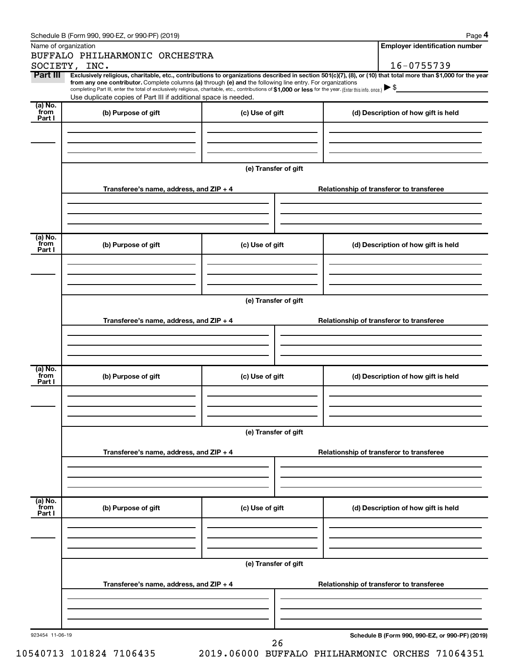|                 | Schedule B (Form 990, 990-EZ, or 990-PF) (2019)                                                                                                                                                                                                                              |                                          |                                          | Page 4                                          |  |  |
|-----------------|------------------------------------------------------------------------------------------------------------------------------------------------------------------------------------------------------------------------------------------------------------------------------|------------------------------------------|------------------------------------------|-------------------------------------------------|--|--|
|                 | Name of organization                                                                                                                                                                                                                                                         |                                          |                                          | <b>Employer identification number</b>           |  |  |
|                 | BUFFALO PHILHARMONIC ORCHESTRA                                                                                                                                                                                                                                               |                                          |                                          |                                                 |  |  |
|                 | SOCIETY, INC.                                                                                                                                                                                                                                                                |                                          |                                          | 16-0755739                                      |  |  |
| Part III        | Exclusively religious, charitable, etc., contributions to organizations described in section 501(c)(7), (8), or (10) that total more than \$1,000 for the year<br>from any one contributor. Complete columns (a) through (e) and the following line entry. For organizations |                                          |                                          |                                                 |  |  |
|                 | completing Part III, enter the total of exclusively religious, charitable, etc., contributions of \$1,000 or less for the year. (Enter this info. once.)                                                                                                                     |                                          |                                          |                                                 |  |  |
| (a) No.         | Use duplicate copies of Part III if additional space is needed.                                                                                                                                                                                                              |                                          |                                          |                                                 |  |  |
| from<br>Part I  | (b) Purpose of gift                                                                                                                                                                                                                                                          | (c) Use of gift                          |                                          | (d) Description of how gift is held             |  |  |
|                 |                                                                                                                                                                                                                                                                              |                                          |                                          |                                                 |  |  |
|                 |                                                                                                                                                                                                                                                                              |                                          |                                          |                                                 |  |  |
|                 |                                                                                                                                                                                                                                                                              |                                          |                                          |                                                 |  |  |
|                 |                                                                                                                                                                                                                                                                              |                                          |                                          |                                                 |  |  |
|                 |                                                                                                                                                                                                                                                                              | (e) Transfer of gift                     |                                          |                                                 |  |  |
|                 |                                                                                                                                                                                                                                                                              |                                          |                                          |                                                 |  |  |
|                 | Transferee's name, address, and ZIP + 4                                                                                                                                                                                                                                      | Relationship of transferor to transferee |                                          |                                                 |  |  |
|                 |                                                                                                                                                                                                                                                                              |                                          |                                          |                                                 |  |  |
|                 |                                                                                                                                                                                                                                                                              |                                          |                                          |                                                 |  |  |
|                 |                                                                                                                                                                                                                                                                              |                                          |                                          |                                                 |  |  |
| (a) No.<br>from |                                                                                                                                                                                                                                                                              |                                          |                                          |                                                 |  |  |
| Part I          | (b) Purpose of gift                                                                                                                                                                                                                                                          | (c) Use of gift                          | (d) Description of how gift is held      |                                                 |  |  |
|                 |                                                                                                                                                                                                                                                                              |                                          |                                          |                                                 |  |  |
|                 |                                                                                                                                                                                                                                                                              |                                          |                                          |                                                 |  |  |
|                 |                                                                                                                                                                                                                                                                              |                                          |                                          |                                                 |  |  |
|                 |                                                                                                                                                                                                                                                                              | (e) Transfer of gift                     |                                          |                                                 |  |  |
|                 |                                                                                                                                                                                                                                                                              |                                          |                                          |                                                 |  |  |
|                 | Transferee's name, address, and ZIP + 4                                                                                                                                                                                                                                      |                                          | Relationship of transferor to transferee |                                                 |  |  |
|                 |                                                                                                                                                                                                                                                                              |                                          |                                          |                                                 |  |  |
|                 |                                                                                                                                                                                                                                                                              |                                          |                                          |                                                 |  |  |
|                 |                                                                                                                                                                                                                                                                              |                                          |                                          |                                                 |  |  |
|                 |                                                                                                                                                                                                                                                                              |                                          |                                          |                                                 |  |  |
| (a) No.<br>from | (b) Purpose of gift                                                                                                                                                                                                                                                          | (c) Use of gift                          | (d) Description of how gift is held      |                                                 |  |  |
| Part I          |                                                                                                                                                                                                                                                                              |                                          |                                          |                                                 |  |  |
|                 |                                                                                                                                                                                                                                                                              |                                          |                                          |                                                 |  |  |
|                 |                                                                                                                                                                                                                                                                              |                                          |                                          |                                                 |  |  |
|                 |                                                                                                                                                                                                                                                                              |                                          |                                          |                                                 |  |  |
|                 |                                                                                                                                                                                                                                                                              | (e) Transfer of gift                     |                                          |                                                 |  |  |
|                 |                                                                                                                                                                                                                                                                              |                                          |                                          |                                                 |  |  |
|                 | Transferee's name, address, and ZIP + 4                                                                                                                                                                                                                                      |                                          | Relationship of transferor to transferee |                                                 |  |  |
|                 |                                                                                                                                                                                                                                                                              |                                          |                                          |                                                 |  |  |
|                 |                                                                                                                                                                                                                                                                              |                                          |                                          |                                                 |  |  |
|                 |                                                                                                                                                                                                                                                                              |                                          |                                          |                                                 |  |  |
| (a) No.         |                                                                                                                                                                                                                                                                              |                                          |                                          |                                                 |  |  |
| from<br>Part I  | (b) Purpose of gift                                                                                                                                                                                                                                                          | (c) Use of gift                          | (d) Description of how gift is held      |                                                 |  |  |
|                 |                                                                                                                                                                                                                                                                              |                                          |                                          |                                                 |  |  |
|                 |                                                                                                                                                                                                                                                                              |                                          |                                          |                                                 |  |  |
|                 |                                                                                                                                                                                                                                                                              |                                          |                                          |                                                 |  |  |
|                 |                                                                                                                                                                                                                                                                              | (e) Transfer of gift                     |                                          |                                                 |  |  |
|                 |                                                                                                                                                                                                                                                                              |                                          |                                          |                                                 |  |  |
|                 | Transferee's name, address, and ZIP + 4                                                                                                                                                                                                                                      |                                          | Relationship of transferor to transferee |                                                 |  |  |
|                 |                                                                                                                                                                                                                                                                              |                                          |                                          |                                                 |  |  |
|                 |                                                                                                                                                                                                                                                                              |                                          |                                          |                                                 |  |  |
|                 |                                                                                                                                                                                                                                                                              |                                          |                                          |                                                 |  |  |
|                 |                                                                                                                                                                                                                                                                              |                                          |                                          |                                                 |  |  |
| 923454 11-06-19 |                                                                                                                                                                                                                                                                              | 26                                       |                                          | Schedule B (Form 990, 990-EZ, or 990-PF) (2019) |  |  |
|                 |                                                                                                                                                                                                                                                                              |                                          |                                          |                                                 |  |  |

| 10540713 101824 7106435 |  |  |
|-------------------------|--|--|
|-------------------------|--|--|

2019.06000 BUFFALO PHILHARMONIC ORCHES 71064351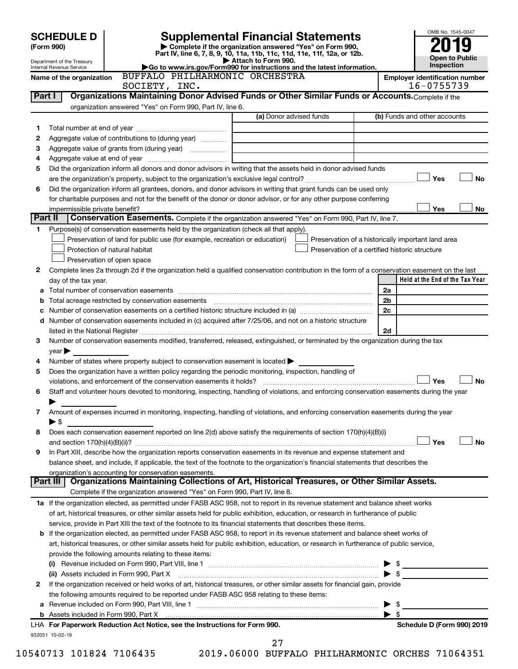|         |                                                        |                                                                            | <b>Supplemental Financial Statements</b>                                                               |                                                                                                                                                                                                                                                                          |                         | OMB No. 1545-0047                                   |  |
|---------|--------------------------------------------------------|----------------------------------------------------------------------------|--------------------------------------------------------------------------------------------------------|--------------------------------------------------------------------------------------------------------------------------------------------------------------------------------------------------------------------------------------------------------------------------|-------------------------|-----------------------------------------------------|--|
|         | <b>SCHEDULE D</b><br>(Form 990)                        |                                                                            |                                                                                                        |                                                                                                                                                                                                                                                                          |                         |                                                     |  |
|         |                                                        |                                                                            | Complete if the organization answered "Yes" on Form 990,                                               | Part IV, line 6, 7, 8, 9, 10, 11a, 11b, 11c, 11d, 11e, 11f, 12a, or 12b.                                                                                                                                                                                                 |                         | <b>Open to Public</b>                               |  |
|         | Department of the Treasury<br>Internal Revenue Service |                                                                            | Attach to Form 990.<br>Go to www.irs.gov/Form990 for instructions and the latest information.          | Inspection                                                                                                                                                                                                                                                               |                         |                                                     |  |
|         | Name of the organization                               | SOCIETY, INC.                                                              | BUFFALO PHILHARMONIC ORCHESTRA                                                                         |                                                                                                                                                                                                                                                                          |                         | <b>Employer identification number</b><br>16-0755739 |  |
| Part I  |                                                        |                                                                            |                                                                                                        | Organizations Maintaining Donor Advised Funds or Other Similar Funds or Accounts. Complete if the                                                                                                                                                                        |                         |                                                     |  |
|         |                                                        | organization answered "Yes" on Form 990, Part IV, line 6.                  |                                                                                                        |                                                                                                                                                                                                                                                                          |                         |                                                     |  |
|         |                                                        |                                                                            | (a) Donor advised funds                                                                                |                                                                                                                                                                                                                                                                          |                         | (b) Funds and other accounts                        |  |
| 1<br>2  |                                                        | Aggregate value of contributions to (during year)                          |                                                                                                        |                                                                                                                                                                                                                                                                          |                         |                                                     |  |
| З       |                                                        |                                                                            |                                                                                                        |                                                                                                                                                                                                                                                                          |                         |                                                     |  |
| 4       |                                                        |                                                                            | the control of the control of the control of the control of the control of                             |                                                                                                                                                                                                                                                                          |                         |                                                     |  |
| 5       |                                                        |                                                                            |                                                                                                        | Did the organization inform all donors and donor advisors in writing that the assets held in donor advised funds                                                                                                                                                         |                         |                                                     |  |
|         |                                                        |                                                                            |                                                                                                        |                                                                                                                                                                                                                                                                          |                         | Yes<br>No                                           |  |
| 6       |                                                        |                                                                            |                                                                                                        | Did the organization inform all grantees, donors, and donor advisors in writing that grant funds can be used only                                                                                                                                                        |                         |                                                     |  |
|         |                                                        |                                                                            |                                                                                                        | for charitable purposes and not for the benefit of the donor or donor advisor, or for any other purpose conferring                                                                                                                                                       |                         |                                                     |  |
| Part II | impermissible private benefit?                         |                                                                            |                                                                                                        | Conservation Easements. Complete if the organization answered "Yes" on Form 990, Part IV, line 7.                                                                                                                                                                        |                         | Yes<br>No                                           |  |
|         |                                                        |                                                                            |                                                                                                        |                                                                                                                                                                                                                                                                          |                         |                                                     |  |
| 1.      |                                                        | Preservation of land for public use (for example, recreation or education) | Purpose(s) of conservation easements held by the organization (check all that apply).                  | Preservation of a historically important land area                                                                                                                                                                                                                       |                         |                                                     |  |
|         |                                                        | Protection of natural habitat                                              |                                                                                                        | Preservation of a certified historic structure                                                                                                                                                                                                                           |                         |                                                     |  |
|         |                                                        | Preservation of open space                                                 |                                                                                                        |                                                                                                                                                                                                                                                                          |                         |                                                     |  |
| 2       |                                                        |                                                                            |                                                                                                        | Complete lines 2a through 2d if the organization held a qualified conservation contribution in the form of a conservation easement on the last                                                                                                                           |                         |                                                     |  |
|         | day of the tax year.                                   |                                                                            |                                                                                                        |                                                                                                                                                                                                                                                                          |                         | Held at the End of the Tax Year                     |  |
| а       |                                                        |                                                                            |                                                                                                        |                                                                                                                                                                                                                                                                          | 2a                      |                                                     |  |
| b       |                                                        | Total acreage restricted by conservation easements                         |                                                                                                        |                                                                                                                                                                                                                                                                          | 2b                      |                                                     |  |
| с       |                                                        |                                                                            |                                                                                                        |                                                                                                                                                                                                                                                                          | 2c                      |                                                     |  |
|         |                                                        |                                                                            |                                                                                                        | d Number of conservation easements included in (c) acquired after 7/25/06, and not on a historic structure                                                                                                                                                               |                         |                                                     |  |
|         |                                                        |                                                                            |                                                                                                        | Number of conservation easements modified, transferred, released, extinguished, or terminated by the organization during the tax                                                                                                                                         | 2d                      |                                                     |  |
| 3       | $\gamma$ ear $\blacktriangleright$                     |                                                                            |                                                                                                        |                                                                                                                                                                                                                                                                          |                         |                                                     |  |
| 4       |                                                        |                                                                            | Number of states where property subject to conservation easement is located >                          |                                                                                                                                                                                                                                                                          |                         |                                                     |  |
| 5       |                                                        |                                                                            | Does the organization have a written policy regarding the periodic monitoring, inspection, handling of |                                                                                                                                                                                                                                                                          |                         |                                                     |  |
|         |                                                        | violations, and enforcement of the conservation easements it holds?        |                                                                                                        |                                                                                                                                                                                                                                                                          |                         | Yes<br>No                                           |  |
| 6       |                                                        |                                                                            |                                                                                                        | Staff and volunteer hours devoted to monitoring, inspecting, handling of violations, and enforcing conservation easements during the year                                                                                                                                |                         |                                                     |  |
|         |                                                        |                                                                            |                                                                                                        |                                                                                                                                                                                                                                                                          |                         |                                                     |  |
| 7       |                                                        |                                                                            |                                                                                                        | Amount of expenses incurred in monitoring, inspecting, handling of violations, and enforcing conservation easements during the year                                                                                                                                      |                         |                                                     |  |
|         | $\blacktriangleright$ \$                               |                                                                            |                                                                                                        |                                                                                                                                                                                                                                                                          |                         |                                                     |  |
| 8       |                                                        |                                                                            |                                                                                                        | Does each conservation easement reported on line 2(d) above satisfy the requirements of section 170(h)(4)(B)(i)                                                                                                                                                          |                         | Yes<br><b>No</b>                                    |  |
| 9       |                                                        |                                                                            |                                                                                                        | In Part XIII, describe how the organization reports conservation easements in its revenue and expense statement and                                                                                                                                                      |                         |                                                     |  |
|         |                                                        |                                                                            |                                                                                                        | balance sheet, and include, if applicable, the text of the footnote to the organization's financial statements that describes the                                                                                                                                        |                         |                                                     |  |
|         |                                                        | organization's accounting for conservation easements.                      |                                                                                                        |                                                                                                                                                                                                                                                                          |                         |                                                     |  |
|         | Part III                                               |                                                                            |                                                                                                        | Organizations Maintaining Collections of Art, Historical Treasures, or Other Similar Assets.                                                                                                                                                                             |                         |                                                     |  |
|         |                                                        | Complete if the organization answered "Yes" on Form 990, Part IV, line 8.  |                                                                                                        |                                                                                                                                                                                                                                                                          |                         |                                                     |  |
|         |                                                        |                                                                            |                                                                                                        | 1a If the organization elected, as permitted under FASB ASC 958, not to report in its revenue statement and balance sheet works                                                                                                                                          |                         |                                                     |  |
|         |                                                        |                                                                            |                                                                                                        | of art, historical treasures, or other similar assets held for public exhibition, education, or research in furtherance of public                                                                                                                                        |                         |                                                     |  |
|         |                                                        |                                                                            |                                                                                                        | service, provide in Part XIII the text of the footnote to its financial statements that describes these items.                                                                                                                                                           |                         |                                                     |  |
|         |                                                        |                                                                            |                                                                                                        | b If the organization elected, as permitted under FASB ASC 958, to report in its revenue statement and balance sheet works of<br>art, historical treasures, or other similar assets held for public exhibition, education, or research in furtherance of public service, |                         |                                                     |  |
|         |                                                        | provide the following amounts relating to these items:                     |                                                                                                        |                                                                                                                                                                                                                                                                          |                         |                                                     |  |
|         |                                                        |                                                                            |                                                                                                        |                                                                                                                                                                                                                                                                          | $\frac{1}{2}$           |                                                     |  |
|         |                                                        |                                                                            |                                                                                                        | (ii) Assets included in Form 990, Part X [11] [2000] [2010] Assets included in Form 990, Part X [11] [11] [200                                                                                                                                                           |                         |                                                     |  |
| 2       |                                                        |                                                                            |                                                                                                        | If the organization received or held works of art, historical treasures, or other similar assets for financial gain, provide                                                                                                                                             |                         |                                                     |  |
|         |                                                        |                                                                            | the following amounts required to be reported under FASB ASC 958 relating to these items:              |                                                                                                                                                                                                                                                                          |                         |                                                     |  |
|         |                                                        |                                                                            |                                                                                                        |                                                                                                                                                                                                                                                                          | - \$<br>▶               |                                                     |  |
|         |                                                        |                                                                            |                                                                                                        |                                                                                                                                                                                                                                                                          | $\blacktriangleright$ s |                                                     |  |
|         |                                                        | LHA For Paperwork Reduction Act Notice, see the Instructions for Form 990. |                                                                                                        |                                                                                                                                                                                                                                                                          |                         | Schedule D (Form 990) 2019                          |  |
|         | 932051 10-02-19                                        |                                                                            | 27                                                                                                     |                                                                                                                                                                                                                                                                          |                         |                                                     |  |
|         |                                                        |                                                                            |                                                                                                        |                                                                                                                                                                                                                                                                          |                         |                                                     |  |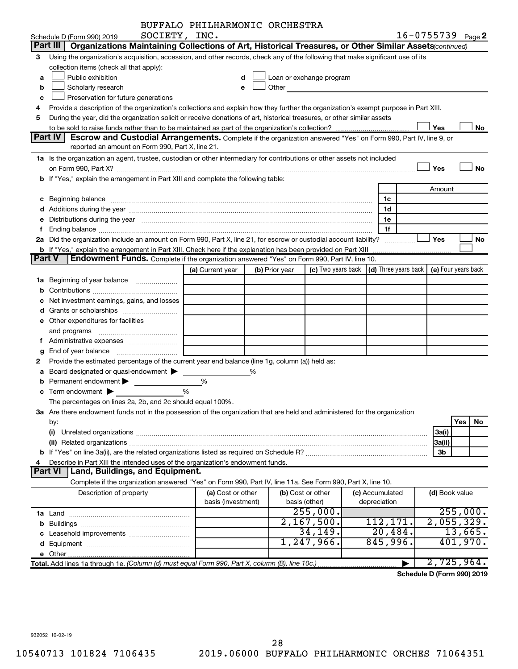|        |                |                                                                                                                                                                                                                                |   | BUFFALO PHILHARMONIC ORCHESTRA |   |                |                                                                                                                                                                                                                               |                                                         |                 |                       |          |          |
|--------|----------------|--------------------------------------------------------------------------------------------------------------------------------------------------------------------------------------------------------------------------------|---|--------------------------------|---|----------------|-------------------------------------------------------------------------------------------------------------------------------------------------------------------------------------------------------------------------------|---------------------------------------------------------|-----------------|-----------------------|----------|----------|
|        |                | SOCIETY, INC.<br>Schedule D (Form 990) 2019                                                                                                                                                                                    |   |                                |   |                |                                                                                                                                                                                                                               |                                                         |                 | $16 - 0755739$ Page 2 |          |          |
|        |                | Part III   Organizations Maintaining Collections of Art, Historical Treasures, or Other Similar Assets (continued)                                                                                                             |   |                                |   |                |                                                                                                                                                                                                                               |                                                         |                 |                       |          |          |
| 3      |                | Using the organization's acquisition, accession, and other records, check any of the following that make significant use of its                                                                                                |   |                                |   |                |                                                                                                                                                                                                                               |                                                         |                 |                       |          |          |
|        |                | collection items (check all that apply):                                                                                                                                                                                       |   |                                |   |                |                                                                                                                                                                                                                               |                                                         |                 |                       |          |          |
| a      |                | Public exhibition                                                                                                                                                                                                              |   | d                              |   |                | Loan or exchange program                                                                                                                                                                                                      |                                                         |                 |                       |          |          |
| b      |                | Scholarly research                                                                                                                                                                                                             |   | e                              |   |                | Other and the contract of the contract of the contract of the contract of the contract of the contract of the contract of the contract of the contract of the contract of the contract of the contract of the contract of the |                                                         |                 |                       |          |          |
| с      |                | Preservation for future generations                                                                                                                                                                                            |   |                                |   |                |                                                                                                                                                                                                                               |                                                         |                 |                       |          |          |
| 4      |                | Provide a description of the organization's collections and explain how they further the organization's exempt purpose in Part XIII.                                                                                           |   |                                |   |                |                                                                                                                                                                                                                               |                                                         |                 |                       |          |          |
| 5      |                | During the year, did the organization solicit or receive donations of art, historical treasures, or other similar assets                                                                                                       |   |                                |   |                |                                                                                                                                                                                                                               |                                                         |                 |                       |          |          |
|        |                |                                                                                                                                                                                                                                |   |                                |   |                |                                                                                                                                                                                                                               |                                                         |                 | Yes                   |          | No       |
|        | <b>Part IV</b> | <b>Escrow and Custodial Arrangements.</b> Complete if the organization answered "Yes" on Form 990, Part IV, line 9, or                                                                                                         |   |                                |   |                |                                                                                                                                                                                                                               |                                                         |                 |                       |          |          |
|        |                | reported an amount on Form 990, Part X, line 21.                                                                                                                                                                               |   |                                |   |                |                                                                                                                                                                                                                               |                                                         |                 |                       |          |          |
|        |                | 1a Is the organization an agent, trustee, custodian or other intermediary for contributions or other assets not included                                                                                                       |   |                                |   |                |                                                                                                                                                                                                                               |                                                         |                 |                       |          |          |
|        |                |                                                                                                                                                                                                                                |   |                                |   |                |                                                                                                                                                                                                                               |                                                         |                 | Yes                   |          | No       |
|        |                | b If "Yes," explain the arrangement in Part XIII and complete the following table:                                                                                                                                             |   |                                |   |                |                                                                                                                                                                                                                               |                                                         |                 |                       |          |          |
|        |                |                                                                                                                                                                                                                                |   |                                |   |                |                                                                                                                                                                                                                               |                                                         |                 | Amount                |          |          |
|        |                |                                                                                                                                                                                                                                |   |                                |   |                |                                                                                                                                                                                                                               |                                                         | 1c              |                       |          |          |
|        |                |                                                                                                                                                                                                                                |   |                                |   |                |                                                                                                                                                                                                                               |                                                         | 1d              |                       |          |          |
|        |                | e Distributions during the year manufactured and contained and contained and the year manufactured and contained and the year manufactured and contained and contained and contained and contained and contained and contained |   |                                |   |                |                                                                                                                                                                                                                               |                                                         | 1e              |                       |          |          |
|        |                |                                                                                                                                                                                                                                |   |                                |   |                |                                                                                                                                                                                                                               |                                                         | 1f              |                       |          |          |
|        |                | 2a Did the organization include an amount on Form 990, Part X, line 21, for escrow or custodial account liability?                                                                                                             |   |                                |   |                |                                                                                                                                                                                                                               |                                                         | .               | Yes                   |          | No       |
|        |                | <b>b</b> If "Yes," explain the arrangement in Part XIII. Check here if the explanation has been provided on Part XIII                                                                                                          |   |                                |   |                |                                                                                                                                                                                                                               |                                                         |                 | . <u>.</u>            |          |          |
| Part V |                | Endowment Funds. Complete if the organization answered "Yes" on Form 990, Part IV, line 10.                                                                                                                                    |   |                                |   |                |                                                                                                                                                                                                                               |                                                         |                 |                       |          |          |
|        |                |                                                                                                                                                                                                                                |   | (a) Current year               |   | (b) Prior year |                                                                                                                                                                                                                               | (c) Two years back $\vert$ (d) Three years back $\vert$ |                 | (e) Four years back   |          |          |
|        |                |                                                                                                                                                                                                                                |   |                                |   |                |                                                                                                                                                                                                                               |                                                         |                 |                       |          |          |
|        |                |                                                                                                                                                                                                                                |   |                                |   |                |                                                                                                                                                                                                                               |                                                         |                 |                       |          |          |
|        |                | Net investment earnings, gains, and losses                                                                                                                                                                                     |   |                                |   |                |                                                                                                                                                                                                                               |                                                         |                 |                       |          |          |
|        |                |                                                                                                                                                                                                                                |   |                                |   |                |                                                                                                                                                                                                                               |                                                         |                 |                       |          |          |
|        |                | e Other expenditures for facilities                                                                                                                                                                                            |   |                                |   |                |                                                                                                                                                                                                                               |                                                         |                 |                       |          |          |
|        |                |                                                                                                                                                                                                                                |   |                                |   |                |                                                                                                                                                                                                                               |                                                         |                 |                       |          |          |
|        |                |                                                                                                                                                                                                                                |   |                                |   |                |                                                                                                                                                                                                                               |                                                         |                 |                       |          |          |
|        |                |                                                                                                                                                                                                                                |   |                                |   |                |                                                                                                                                                                                                                               |                                                         |                 |                       |          |          |
| 2      |                | Provide the estimated percentage of the current year end balance (line 1g, column (a)) held as:                                                                                                                                |   |                                |   |                |                                                                                                                                                                                                                               |                                                         |                 |                       |          |          |
|        |                | a Board designated or quasi-endowment >                                                                                                                                                                                        |   |                                | ℅ |                |                                                                                                                                                                                                                               |                                                         |                 |                       |          |          |
|        |                | Permanent endowment >                                                                                                                                                                                                          | % |                                |   |                |                                                                                                                                                                                                                               |                                                         |                 |                       |          |          |
|        |                | $\mathbf c$ Term endowment $\blacktriangleright$                                                                                                                                                                               | % |                                |   |                |                                                                                                                                                                                                                               |                                                         |                 |                       |          |          |
|        |                | The percentages on lines 2a, 2b, and 2c should equal 100%.                                                                                                                                                                     |   |                                |   |                |                                                                                                                                                                                                                               |                                                         |                 |                       |          |          |
|        |                | 3a Are there endowment funds not in the possession of the organization that are held and administered for the organization                                                                                                     |   |                                |   |                |                                                                                                                                                                                                                               |                                                         |                 |                       |          |          |
|        | by:            |                                                                                                                                                                                                                                |   |                                |   |                |                                                                                                                                                                                                                               |                                                         |                 |                       | Yes      | No       |
|        | (i)            |                                                                                                                                                                                                                                |   |                                |   |                |                                                                                                                                                                                                                               |                                                         |                 | 3a(i)                 |          |          |
|        |                |                                                                                                                                                                                                                                |   |                                |   |                |                                                                                                                                                                                                                               |                                                         |                 | 3a(ii)                |          |          |
|        |                |                                                                                                                                                                                                                                |   |                                |   |                |                                                                                                                                                                                                                               |                                                         |                 | 3b                    |          |          |
|        |                | Describe in Part XIII the intended uses of the organization's endowment funds.                                                                                                                                                 |   |                                |   |                |                                                                                                                                                                                                                               |                                                         |                 |                       |          |          |
|        | <b>Part VI</b> | Land, Buildings, and Equipment.                                                                                                                                                                                                |   |                                |   |                |                                                                                                                                                                                                                               |                                                         |                 |                       |          |          |
|        |                | Complete if the organization answered "Yes" on Form 990, Part IV, line 11a. See Form 990, Part X, line 10.                                                                                                                     |   |                                |   |                |                                                                                                                                                                                                                               |                                                         |                 |                       |          |          |
|        |                | Description of property                                                                                                                                                                                                        |   | (a) Cost or other              |   |                | (b) Cost or other                                                                                                                                                                                                             |                                                         | (c) Accumulated | (d) Book value        |          |          |
|        |                |                                                                                                                                                                                                                                |   | basis (investment)             |   |                | basis (other)                                                                                                                                                                                                                 |                                                         | depreciation    |                       |          |          |
|        |                |                                                                                                                                                                                                                                |   |                                |   |                | 255,000.                                                                                                                                                                                                                      |                                                         |                 |                       |          | 255,000. |
|        |                |                                                                                                                                                                                                                                |   |                                |   |                | 2,167,500.                                                                                                                                                                                                                    |                                                         | 112, 171.       | 2,055,329.            |          |          |
|        |                |                                                                                                                                                                                                                                |   |                                |   |                | 34,149.                                                                                                                                                                                                                       |                                                         | 20,484.         |                       | 13,665.  |          |
|        |                |                                                                                                                                                                                                                                |   |                                |   |                | 1,247,966.                                                                                                                                                                                                                    |                                                         | 845,996.        |                       | 401,970. |          |
|        |                |                                                                                                                                                                                                                                |   |                                |   |                |                                                                                                                                                                                                                               |                                                         |                 |                       |          |          |
|        |                | Total. Add lines 1a through 1e. (Column (d) must equal Form 990, Part X, column (B), line 10c.)                                                                                                                                |   |                                |   |                |                                                                                                                                                                                                                               |                                                         |                 | 2,725,964.            |          |          |

**Schedule D (Form 990) 2019**

932052 10-02-19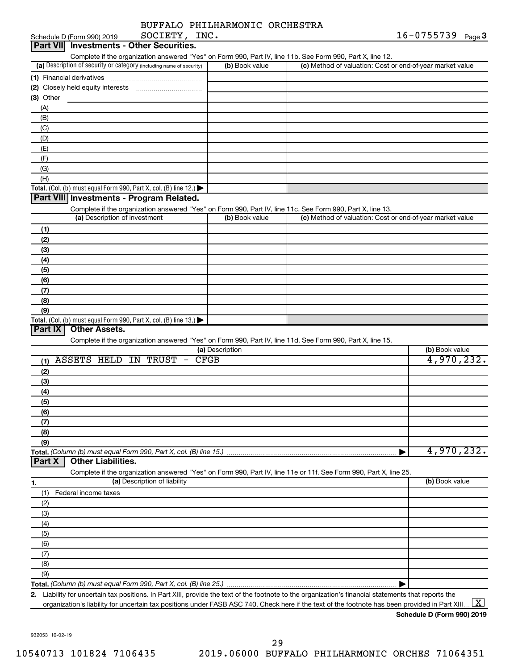| BUFFALO PHILHARMONIC ORCHESTRA |  |
|--------------------------------|--|
|                                |  |

| Part VII Investments - Other Securities.<br>Complete if the organization answered "Yes" on Form 990, Part IV, line 11b. See Form 990, Part X, line 12.<br>(a) Description of security or category (including name of security)<br>(b) Book value<br>(c) Method of valuation: Cost or end-of-year market value<br>$(3)$ Other<br>(A)<br>(B)<br>(C)<br>(D)<br>(E)<br>(F)<br>(G) |
|-------------------------------------------------------------------------------------------------------------------------------------------------------------------------------------------------------------------------------------------------------------------------------------------------------------------------------------------------------------------------------|
|                                                                                                                                                                                                                                                                                                                                                                               |
|                                                                                                                                                                                                                                                                                                                                                                               |
|                                                                                                                                                                                                                                                                                                                                                                               |
|                                                                                                                                                                                                                                                                                                                                                                               |
|                                                                                                                                                                                                                                                                                                                                                                               |
|                                                                                                                                                                                                                                                                                                                                                                               |
|                                                                                                                                                                                                                                                                                                                                                                               |
|                                                                                                                                                                                                                                                                                                                                                                               |
|                                                                                                                                                                                                                                                                                                                                                                               |
|                                                                                                                                                                                                                                                                                                                                                                               |
|                                                                                                                                                                                                                                                                                                                                                                               |
|                                                                                                                                                                                                                                                                                                                                                                               |
|                                                                                                                                                                                                                                                                                                                                                                               |
|                                                                                                                                                                                                                                                                                                                                                                               |
| (H)                                                                                                                                                                                                                                                                                                                                                                           |
| Total. (Col. (b) must equal Form 990, Part X, col. (B) line 12.)                                                                                                                                                                                                                                                                                                              |
| Part VIII Investments - Program Related.                                                                                                                                                                                                                                                                                                                                      |
| Complete if the organization answered "Yes" on Form 990, Part IV, line 11c. See Form 990, Part X, line 13.                                                                                                                                                                                                                                                                    |
| (a) Description of investment<br>(b) Book value<br>(c) Method of valuation: Cost or end-of-year market value                                                                                                                                                                                                                                                                  |
|                                                                                                                                                                                                                                                                                                                                                                               |
| (1)                                                                                                                                                                                                                                                                                                                                                                           |
| (2)                                                                                                                                                                                                                                                                                                                                                                           |
| (3)                                                                                                                                                                                                                                                                                                                                                                           |
| (4)                                                                                                                                                                                                                                                                                                                                                                           |
| (5)                                                                                                                                                                                                                                                                                                                                                                           |
| (6)                                                                                                                                                                                                                                                                                                                                                                           |
| (7)                                                                                                                                                                                                                                                                                                                                                                           |
| (8)                                                                                                                                                                                                                                                                                                                                                                           |
| (9)                                                                                                                                                                                                                                                                                                                                                                           |
| Total. (Col. (b) must equal Form 990, Part X, col. (B) line 13.)                                                                                                                                                                                                                                                                                                              |
| Part IX<br><b>Other Assets.</b>                                                                                                                                                                                                                                                                                                                                               |
| Complete if the organization answered "Yes" on Form 990, Part IV, line 11d. See Form 990, Part X, line 15.                                                                                                                                                                                                                                                                    |
| (b) Book value<br>(a) Description                                                                                                                                                                                                                                                                                                                                             |
| 4,970,232.<br><b>CFGB</b><br>(1) ASSETS HELD IN TRUST<br>$\hspace{0.1mm}-\hspace{0.1mm}$                                                                                                                                                                                                                                                                                      |
|                                                                                                                                                                                                                                                                                                                                                                               |
| (2)                                                                                                                                                                                                                                                                                                                                                                           |
| (3)                                                                                                                                                                                                                                                                                                                                                                           |
| (4)                                                                                                                                                                                                                                                                                                                                                                           |
| (5)                                                                                                                                                                                                                                                                                                                                                                           |
| (6)                                                                                                                                                                                                                                                                                                                                                                           |
| (7)                                                                                                                                                                                                                                                                                                                                                                           |
| (8)                                                                                                                                                                                                                                                                                                                                                                           |
| (9)                                                                                                                                                                                                                                                                                                                                                                           |
| 4,970,232.<br>Total. (Column (b) must equal Form 990, Part X, col. (B) line 15.)                                                                                                                                                                                                                                                                                              |
| <b>Other Liabilities.</b><br>Part X                                                                                                                                                                                                                                                                                                                                           |
| Complete if the organization answered "Yes" on Form 990, Part IV, line 11e or 11f. See Form 990, Part X, line 25.                                                                                                                                                                                                                                                             |
| (a) Description of liability<br>(b) Book value                                                                                                                                                                                                                                                                                                                                |
| 1.                                                                                                                                                                                                                                                                                                                                                                            |
|                                                                                                                                                                                                                                                                                                                                                                               |
| (1)<br>Federal income taxes                                                                                                                                                                                                                                                                                                                                                   |
| (2)                                                                                                                                                                                                                                                                                                                                                                           |
| (3)                                                                                                                                                                                                                                                                                                                                                                           |
| (4)                                                                                                                                                                                                                                                                                                                                                                           |
| (5)                                                                                                                                                                                                                                                                                                                                                                           |
| (6)                                                                                                                                                                                                                                                                                                                                                                           |
| (7)                                                                                                                                                                                                                                                                                                                                                                           |
|                                                                                                                                                                                                                                                                                                                                                                               |
| (8)                                                                                                                                                                                                                                                                                                                                                                           |
| (9)                                                                                                                                                                                                                                                                                                                                                                           |
| 2. Liability for uncertain tax positions. In Part XIII, provide the text of the footnote to the organization's financial statements that reports the                                                                                                                                                                                                                          |

**Schedule D (Form 990) 2019**

932053 10-02-19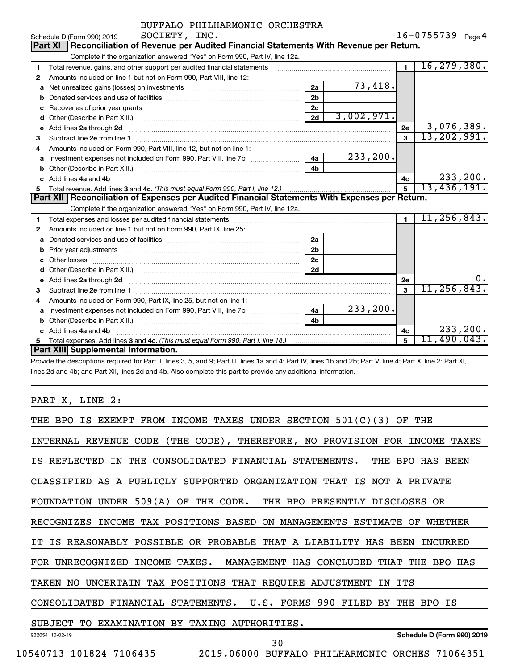|    | SOCIETY, INC.<br>Schedule D (Form 990) 2019                                                                                                                                                                                         |                |            |                      | 16-0755739 Page 4 |           |
|----|-------------------------------------------------------------------------------------------------------------------------------------------------------------------------------------------------------------------------------------|----------------|------------|----------------------|-------------------|-----------|
|    | Reconciliation of Revenue per Audited Financial Statements With Revenue per Return.<br>Part XI                                                                                                                                      |                |            |                      |                   |           |
|    | Complete if the organization answered "Yes" on Form 990, Part IV, line 12a.                                                                                                                                                         |                |            |                      |                   |           |
| 1  | Total revenue, gains, and other support per audited financial statements [[[[[[[[[[[[[[[[[[[[[[[[]]]]]]]]]]]]                                                                                                                       |                |            | $\overline{1}$       | 16, 279, 380.     |           |
| 2  | Amounts included on line 1 but not on Form 990, Part VIII, line 12:                                                                                                                                                                 |                |            |                      |                   |           |
| a  | Net unrealized gains (losses) on investments [111] [12] matter and the unrealized gains (losses) on investments                                                                                                                     | 2a             | 73,418.    |                      |                   |           |
| b  |                                                                                                                                                                                                                                     | 2 <sub>b</sub> |            |                      |                   |           |
| с  |                                                                                                                                                                                                                                     | 2c             |            |                      |                   |           |
| d  |                                                                                                                                                                                                                                     | 2d             | 3,002,971. |                      |                   |           |
| e  |                                                                                                                                                                                                                                     |                |            | 2e                   | 3,076,389.        |           |
| з  |                                                                                                                                                                                                                                     |                |            | $\mathbf{a}$         | 13,202,991.       |           |
|    | Amounts included on Form 990. Part VIII, line 12, but not on line 1:                                                                                                                                                                |                |            |                      |                   |           |
| a  | Investment expenses not included on Form 990, Part VIII, line 7b                                                                                                                                                                    | 4a             | 233, 200.  |                      |                   |           |
| b  | Other (Describe in Part XIII.) [100] [100] [100] [100] [100] [100] [100] [100] [100] [100] [100] [100] [100] [                                                                                                                      | 4 <sub>b</sub> |            |                      |                   |           |
| c  | Add lines 4a and 4b                                                                                                                                                                                                                 |                |            | 4с                   |                   | 233, 200. |
| 5. |                                                                                                                                                                                                                                     |                |            | 5                    | 13,436,191.       |           |
|    |                                                                                                                                                                                                                                     |                |            |                      |                   |           |
|    | Part XII   Reconciliation of Expenses per Audited Financial Statements With Expenses per Return.                                                                                                                                    |                |            |                      |                   |           |
|    | Complete if the organization answered "Yes" on Form 990, Part IV, line 12a.                                                                                                                                                         |                |            |                      |                   |           |
| 1  |                                                                                                                                                                                                                                     |                |            | $\blacktriangleleft$ | 11, 256, 843.     |           |
| 2  | Amounts included on line 1 but not on Form 990, Part IX, line 25:                                                                                                                                                                   |                |            |                      |                   |           |
| a  |                                                                                                                                                                                                                                     | 2a             |            |                      |                   |           |
| b  |                                                                                                                                                                                                                                     | 2 <sub>b</sub> |            |                      |                   |           |
| c  |                                                                                                                                                                                                                                     | 2c             |            |                      |                   |           |
|    |                                                                                                                                                                                                                                     | 2d             |            |                      |                   |           |
| e  | Add lines 2a through 2d <b>contained a contained a contained a contained a</b> contained a contained a contained a contained a contained a contained a contained a contained a contained a contained a contained a contained a cont |                |            | <b>2e</b>            |                   | ο.        |
| з  |                                                                                                                                                                                                                                     |                |            | 3                    | 11, 256, 843.     |           |
| 4  | Amounts included on Form 990, Part IX, line 25, but not on line 1:                                                                                                                                                                  |                |            |                      |                   |           |
| a  | Investment expenses not included on Form 990, Part VIII, line 7b [                                                                                                                                                                  | 4a             | 233, 200.  |                      |                   |           |
| b  |                                                                                                                                                                                                                                     | 4 <b>b</b>     |            |                      |                   |           |
|    | Add lines 4a and 4b                                                                                                                                                                                                                 |                |            | 4с                   |                   | 233,200.  |
| 5  | Part XIII Supplemental Information.                                                                                                                                                                                                 |                |            | 5                    | 11,490,043.       |           |

Provide the descriptions required for Part II, lines 3, 5, and 9; Part III, lines 1a and 4; Part IV, lines 1b and 2b; Part V, line 4; Part X, line 2; Part XI, lines 2d and 4b; and Part XII, lines 2d and 4b. Also complete this part to provide any additional information.

PART X, LINE 2:

| IS EXEMPT FROM INCOME TAXES UNDER SECTION $501(C)(3)$ OF THE<br>THE BPO                  |
|------------------------------------------------------------------------------------------|
| INTERNAL REVENUE CODE (THE CODE), THEREFORE, NO PROVISION FOR INCOME TAXES               |
| IS REFLECTED<br>IN THE CONSOLIDATED FINANCIAL STATEMENTS. THE BPO HAS BEEN               |
| CLASSIFIED AS A PUBLICLY SUPPORTED ORGANIZATION THAT IS NOT A PRIVATE                    |
| FOUNDATION UNDER 509(A) OF THE CODE. THE BPO PRESENTLY DISCLOSES OR                      |
| RECOGNIZES INCOME TAX POSITIONS BASED ON MANAGEMENTS ESTIMATE OF<br>WHETHER              |
| IT IS REASONABLY POSSIBLE OR PROBABLE THAT A LIABILITY HAS BEEN<br>INCURRED              |
| FOR UNRECOGNIZED INCOME TAXES. MANAGEMENT HAS CONCLUDED<br>THAT<br><b>THE</b><br>BPO HAS |
| TAKEN NO UNCERTAIN TAX POSITIONS THAT REQUIRE ADJUSTMENT IN ITS                          |
| CONSOLIDATED FINANCIAL STATEMENTS. U.S. FORMS 990 FILED BY<br>THE BPO IS                 |
| SUBJECT TO EXAMINATION BY TAXING AUTHORITIES.                                            |
| Schedule D (Form 990) 2019<br>932054 10-02-19<br>30                                      |
| 2019.06000 BUFFALO PHILHARMONIC ORCHES 71064351<br>10540713 101824 7106435               |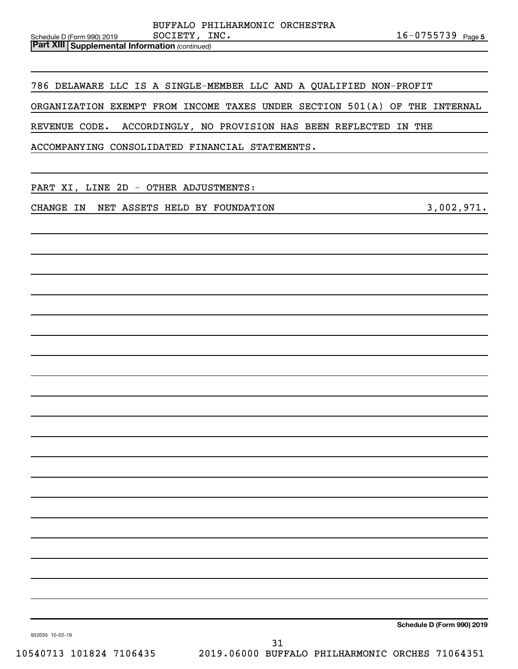|                                                         |               | BUFFALO PHILHARMONIC ORCHESTRA |                       |  |
|---------------------------------------------------------|---------------|--------------------------------|-----------------------|--|
| Schedule D (Form 990) 2019                              | SOCIETY, INC. |                                | $16 - 0755739$ Page 5 |  |
| <b>Part XIII   Supplemental Information (continued)</b> |               |                                |                       |  |

786 DELAWARE LLC IS A SINGLE-MEMBER LLC AND A QUALIFIED NON-PROFIT

ORGANIZATION EXEMPT FROM INCOME TAXES UNDER SECTION 501(A) OF THE INTERNAL

REVENUE CODE. ACCORDINGLY, NO PROVISION HAS BEEN REFLECTED IN THE

ACCOMPANYING CONSOLIDATED FINANCIAL STATEMENTS.

PART XI, LINE 2D - OTHER ADJUSTMENTS:

CHANGE IN NET ASSETS HELD BY FOUNDATION **1990 1000 1000 10000 1000** 3,002,971.

**Schedule D (Form 990) 2019**

932055 10-02-19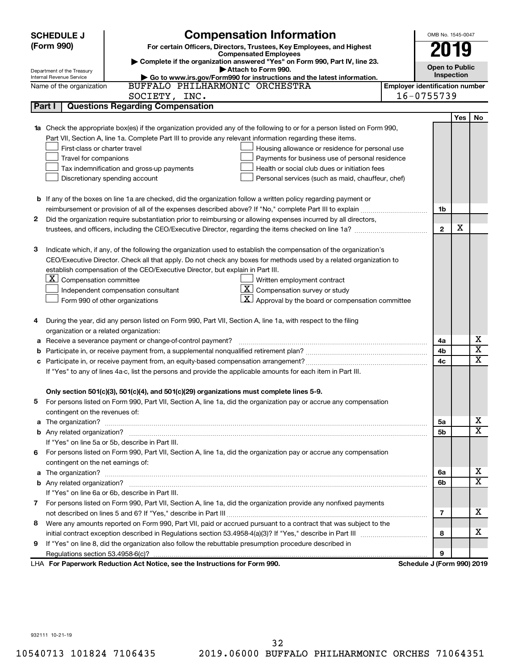|   | <b>SCHEDULE J</b>                                      | <b>Compensation Information</b>                                                                                        |                                       | OMB No. 1545-0047     |     |                         |  |  |
|---|--------------------------------------------------------|------------------------------------------------------------------------------------------------------------------------|---------------------------------------|-----------------------|-----|-------------------------|--|--|
|   | (Form 990)                                             | For certain Officers, Directors, Trustees, Key Employees, and Highest                                                  |                                       | 19                    |     |                         |  |  |
|   |                                                        | <b>Compensated Employees</b>                                                                                           |                                       |                       |     |                         |  |  |
|   |                                                        | Complete if the organization answered "Yes" on Form 990, Part IV, line 23.<br>Attach to Form 990.                      |                                       | <b>Open to Public</b> |     |                         |  |  |
|   | Department of the Treasury<br>Internal Revenue Service | Go to www.irs.gov/Form990 for instructions and the latest information.                                                 |                                       | Inspection            |     |                         |  |  |
|   | Name of the organization                               | BUFFALO PHILHARMONIC ORCHESTRA                                                                                         | <b>Employer identification number</b> |                       |     |                         |  |  |
|   |                                                        | SOCIETY, INC.                                                                                                          | 16-0755739                            |                       |     |                         |  |  |
|   | Part I                                                 | <b>Questions Regarding Compensation</b>                                                                                |                                       |                       |     |                         |  |  |
|   |                                                        |                                                                                                                        |                                       |                       | Yes | No                      |  |  |
|   |                                                        | Check the appropriate box(es) if the organization provided any of the following to or for a person listed on Form 990, |                                       |                       |     |                         |  |  |
|   |                                                        | Part VII, Section A, line 1a. Complete Part III to provide any relevant information regarding these items.             |                                       |                       |     |                         |  |  |
|   | First-class or charter travel                          | Housing allowance or residence for personal use                                                                        |                                       |                       |     |                         |  |  |
|   | Travel for companions                                  | Payments for business use of personal residence                                                                        |                                       |                       |     |                         |  |  |
|   |                                                        | Health or social club dues or initiation fees<br>Tax indemnification and gross-up payments                             |                                       |                       |     |                         |  |  |
|   |                                                        | Discretionary spending account<br>Personal services (such as maid, chauffeur, chef)                                    |                                       |                       |     |                         |  |  |
|   |                                                        |                                                                                                                        |                                       |                       |     |                         |  |  |
|   |                                                        | <b>b</b> If any of the boxes on line 1a are checked, did the organization follow a written policy regarding payment or |                                       |                       |     |                         |  |  |
|   |                                                        |                                                                                                                        |                                       | 1b                    |     |                         |  |  |
| 2 |                                                        | Did the organization require substantiation prior to reimbursing or allowing expenses incurred by all directors,       |                                       |                       |     |                         |  |  |
|   |                                                        |                                                                                                                        |                                       | $\mathbf{2}$          | х   |                         |  |  |
|   |                                                        |                                                                                                                        |                                       |                       |     |                         |  |  |
| з |                                                        | Indicate which, if any, of the following the organization used to establish the compensation of the organization's     |                                       |                       |     |                         |  |  |
|   |                                                        | CEO/Executive Director. Check all that apply. Do not check any boxes for methods used by a related organization to     |                                       |                       |     |                         |  |  |
|   |                                                        | establish compensation of the CEO/Executive Director, but explain in Part III.                                         |                                       |                       |     |                         |  |  |
|   | $\lfloor \underline{x} \rfloor$ Compensation committee | Written employment contract                                                                                            |                                       |                       |     |                         |  |  |
|   |                                                        | $\overline{X}$ Compensation survey or study<br>Independent compensation consultant                                     |                                       |                       |     |                         |  |  |
|   |                                                        | Approval by the board or compensation committee<br>Form 990 of other organizations                                     |                                       |                       |     |                         |  |  |
|   |                                                        |                                                                                                                        |                                       |                       |     |                         |  |  |
| 4 |                                                        | During the year, did any person listed on Form 990, Part VII, Section A, line 1a, with respect to the filing           |                                       |                       |     |                         |  |  |
|   | organization or a related organization:                |                                                                                                                        |                                       |                       |     | х                       |  |  |
| а |                                                        | Receive a severance payment or change-of-control payment?                                                              |                                       | 4a                    |     | $\overline{\text{x}}$   |  |  |
| b |                                                        |                                                                                                                        |                                       | 4b                    |     | $\overline{\text{x}}$   |  |  |
| с |                                                        |                                                                                                                        |                                       | 4c                    |     |                         |  |  |
|   |                                                        | If "Yes" to any of lines 4a-c, list the persons and provide the applicable amounts for each item in Part III.          |                                       |                       |     |                         |  |  |
|   |                                                        | Only section 501(c)(3), 501(c)(4), and 501(c)(29) organizations must complete lines 5-9.                               |                                       |                       |     |                         |  |  |
|   |                                                        | For persons listed on Form 990, Part VII, Section A, line 1a, did the organization pay or accrue any compensation      |                                       |                       |     |                         |  |  |
|   | contingent on the revenues of:                         |                                                                                                                        |                                       |                       |     |                         |  |  |
| a |                                                        |                                                                                                                        |                                       | 5a                    |     | x                       |  |  |
|   |                                                        |                                                                                                                        |                                       | 5b                    |     | $\overline{\textbf{X}}$ |  |  |
|   |                                                        | If "Yes" on line 5a or 5b, describe in Part III.                                                                       |                                       |                       |     |                         |  |  |
|   |                                                        | 6 For persons listed on Form 990, Part VII, Section A, line 1a, did the organization pay or accrue any compensation    |                                       |                       |     |                         |  |  |
|   | contingent on the net earnings of:                     |                                                                                                                        |                                       |                       |     |                         |  |  |
| a |                                                        |                                                                                                                        |                                       | 6а                    |     | x                       |  |  |
|   |                                                        |                                                                                                                        |                                       | 6b                    |     | $\overline{\textbf{X}}$ |  |  |
|   |                                                        | If "Yes" on line 6a or 6b, describe in Part III.                                                                       |                                       |                       |     |                         |  |  |
|   |                                                        | 7 For persons listed on Form 990, Part VII, Section A, line 1a, did the organization provide any nonfixed payments     |                                       |                       |     |                         |  |  |
|   |                                                        |                                                                                                                        |                                       | 7                     |     | x                       |  |  |
| 8 |                                                        | Were any amounts reported on Form 990, Part VII, paid or accrued pursuant to a contract that was subject to the        |                                       |                       |     |                         |  |  |
|   |                                                        |                                                                                                                        |                                       | 8                     |     | X.                      |  |  |
| 9 |                                                        | If "Yes" on line 8, did the organization also follow the rebuttable presumption procedure described in                 |                                       |                       |     |                         |  |  |
|   |                                                        |                                                                                                                        |                                       | 9                     |     |                         |  |  |
|   |                                                        | LHA For Paperwork Reduction Act Notice, see the Instructions for Form 990.                                             | Schedule J (Form 990) 2019            |                       |     |                         |  |  |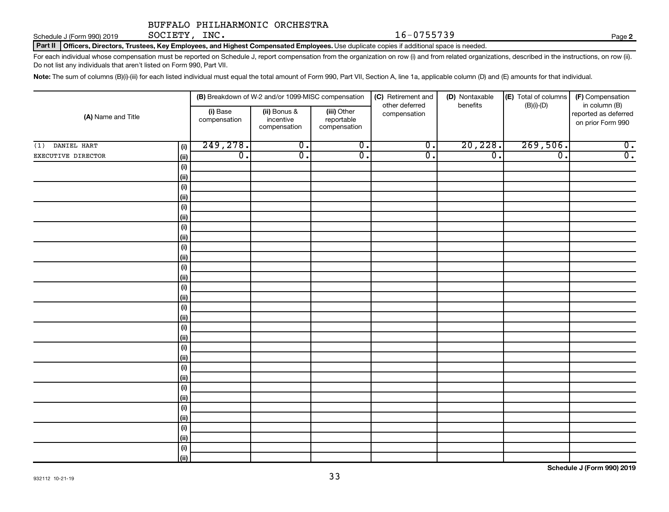Schedule J (Form 990) 2019  $SOCIETY$ ,  $INC.$   $16-0755739$ SOCIETY, INC.

Part II | Officers, Directors, Trustees, Key Employees, and Highest Compensated Employees. Use duplicate copies if additional space is needed.

For each individual whose compensation must be reported on Schedule J, report compensation from the organization on row (i) and from related organizations, described in the instructions, on row (ii). Do not list any individuals that aren't listed on Form 990, Part VII.

Note: The sum of columns (B)(i)-(iii) for each listed individual must equal the total amount of Form 990, Part VII, Section A, line 1a, applicable column (D) and (E) amounts for that individual.

|                    | (B) Breakdown of W-2 and/or 1099-MISC compensation |                          |                                           | (C) Retirement and<br>other deferred      | (D) Nontaxable<br>benefits  | (E) Total of columns<br>$(B)(i)-(D)$ | (F) Compensation<br>in column (B) |                                           |  |  |
|--------------------|----------------------------------------------------|--------------------------|-------------------------------------------|-------------------------------------------|-----------------------------|--------------------------------------|-----------------------------------|-------------------------------------------|--|--|
| (A) Name and Title |                                                    | (i) Base<br>compensation | (ii) Bonus &<br>incentive<br>compensation | (iii) Other<br>reportable<br>compensation | compensation                |                                      |                                   | reported as deferred<br>on prior Form 990 |  |  |
| DANIEL HART<br>(1) | (i)                                                | 249, 278.                | $\overline{0}$ .                          | $\overline{0}$ .                          | $\overline{\mathfrak{o}}$ . | 20,228.                              | 269,506.                          | $\overline{0}$ .                          |  |  |
| EXECUTIVE DIRECTOR | (ii)                                               | $\overline{0}$ .         | $\overline{\mathfrak{o}}$ .               | $\overline{0}$ .                          | $\overline{0}$ .            | $\overline{0}$ .                     | $\overline{\mathfrak{o}}$ .       | $\overline{0}$ .                          |  |  |
|                    | (i)                                                |                          |                                           |                                           |                             |                                      |                                   |                                           |  |  |
|                    | (ii)                                               |                          |                                           |                                           |                             |                                      |                                   |                                           |  |  |
|                    | (i)                                                |                          |                                           |                                           |                             |                                      |                                   |                                           |  |  |
|                    | (ii)                                               |                          |                                           |                                           |                             |                                      |                                   |                                           |  |  |
|                    | (i)                                                |                          |                                           |                                           |                             |                                      |                                   |                                           |  |  |
|                    | (ii)                                               |                          |                                           |                                           |                             |                                      |                                   |                                           |  |  |
|                    | (i)                                                |                          |                                           |                                           |                             |                                      |                                   |                                           |  |  |
|                    | (ii)                                               |                          |                                           |                                           |                             |                                      |                                   |                                           |  |  |
|                    | (i)                                                |                          |                                           |                                           |                             |                                      |                                   |                                           |  |  |
|                    | (ii)<br>(i)                                        |                          |                                           |                                           |                             |                                      |                                   |                                           |  |  |
|                    | (ii)                                               |                          |                                           |                                           |                             |                                      |                                   |                                           |  |  |
|                    | (i)                                                |                          |                                           |                                           |                             |                                      |                                   |                                           |  |  |
|                    | (ii)                                               |                          |                                           |                                           |                             |                                      |                                   |                                           |  |  |
|                    | (i)                                                |                          |                                           |                                           |                             |                                      |                                   |                                           |  |  |
|                    | (ii)                                               |                          |                                           |                                           |                             |                                      |                                   |                                           |  |  |
|                    | (i)                                                |                          |                                           |                                           |                             |                                      |                                   |                                           |  |  |
|                    | (ii)                                               |                          |                                           |                                           |                             |                                      |                                   |                                           |  |  |
|                    | (i)                                                |                          |                                           |                                           |                             |                                      |                                   |                                           |  |  |
|                    | (ii)                                               |                          |                                           |                                           |                             |                                      |                                   |                                           |  |  |
|                    | (i)                                                |                          |                                           |                                           |                             |                                      |                                   |                                           |  |  |
|                    | (ii)                                               |                          |                                           |                                           |                             |                                      |                                   |                                           |  |  |
|                    | (i)                                                |                          |                                           |                                           |                             |                                      |                                   |                                           |  |  |
|                    | (ii)                                               |                          |                                           |                                           |                             |                                      |                                   |                                           |  |  |
|                    | (i)<br>(ii)                                        |                          |                                           |                                           |                             |                                      |                                   |                                           |  |  |
|                    | (i)                                                |                          |                                           |                                           |                             |                                      |                                   |                                           |  |  |
|                    | (ii)                                               |                          |                                           |                                           |                             |                                      |                                   |                                           |  |  |
|                    | (i)                                                |                          |                                           |                                           |                             |                                      |                                   |                                           |  |  |
|                    | (ii)                                               |                          |                                           |                                           |                             |                                      |                                   |                                           |  |  |
|                    |                                                    |                          |                                           |                                           |                             |                                      |                                   |                                           |  |  |

**2**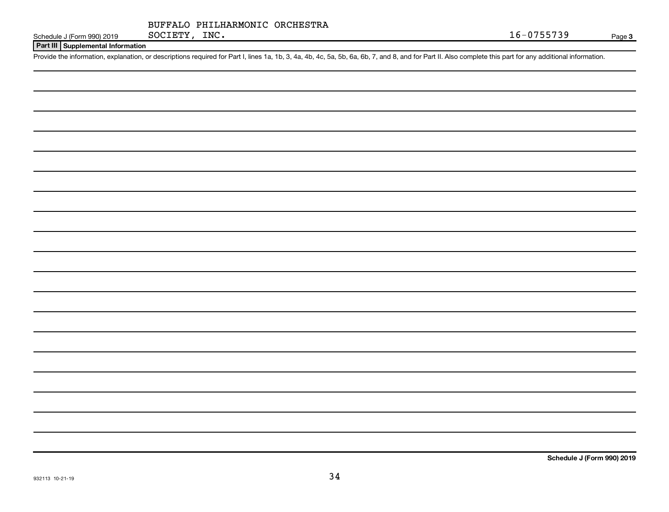|               | BUFFALO PHILHARMONIC ORCHESTRA |  |
|---------------|--------------------------------|--|
| SOCIETY, INC. |                                |  |

**Part III Supplemental Information**

Provide the information, explanation, or descriptions required for Part I, lines 1a, 1b, 3, 4a, 4b, 4c, 5a, 5b, 6a, 6b, 7, and 8, and for Part II. Also complete this part for any additional information.

**Schedule J (Form 990) 2019**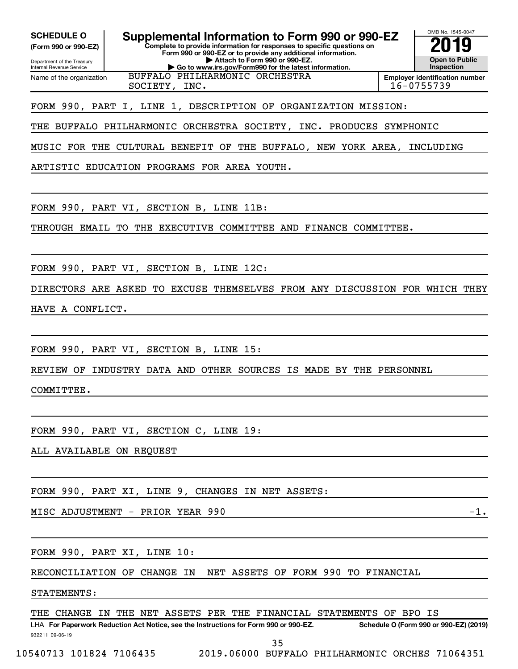OMB No. 1545-0047 Department of the Treasury Internal Revenue Service **Complete to provide information for responses to specific questions on Form 990 or 990-EZ or to provide any additional information. | Attach to Form 990 or 990-EZ. | Go to www.irs.gov/Form990 for the latest information. (Form 990 or 990-EZ) Open to Public Inspection Employer identification number** LHA For Paperwork Reduction Act Notice, see the Instructions for Form 990 or 990-EZ. Schedule O (Form 990 or 990-EZ) (2019) Name of the organization **SCHEDULE O Supplemental Information to Form 990 or 990-EZ 2019** BUFFALO PHILHARMONIC ORCHESTRA SOCIETY, INC. 16-0755739 FORM 990, PART I, LINE 1, DESCRIPTION OF ORGANIZATION MISSION: THE BUFFALO PHILHARMONIC ORCHESTRA SOCIETY, INC. PRODUCES SYMPHONIC MUSIC FOR THE CULTURAL BENEFIT OF THE BUFFALO, NEW YORK AREA, INCLUDING ARTISTIC EDUCATION PROGRAMS FOR AREA YOUTH. FORM 990, PART VI, SECTION B, LINE 11B: THROUGH EMAIL TO THE EXECUTIVE COMMITTEE AND FINANCE COMMITTEE. FORM 990, PART VI, SECTION B, LINE 12C: DIRECTORS ARE ASKED TO EXCUSE THEMSELVES FROM ANY DISCUSSION FOR WHICH THEY HAVE A CONFLICT. FORM 990, PART VI, SECTION B, LINE 15: REVIEW OF INDUSTRY DATA AND OTHER SOURCES IS MADE BY THE PERSONNEL COMMITTEE. FORM 990, PART VI, SECTION C, LINE 19: ALL AVAILABLE ON REQUEST FORM 990, PART XI, LINE 9, CHANGES IN NET ASSETS:  $MISC$   $ADJUSTMENT$  -  $PRIOR$   $YEAR$   $990$ FORM 990, PART XI, LINE 10: RECONCILIATION OF CHANGE IN NET ASSETS OF FORM 990 TO FINANCIAL STATEMENTS: THE CHANGE IN THE NET ASSETS PER THE FINANCIAL STATEMENTS OF BPO IS

932211 09-06-19

35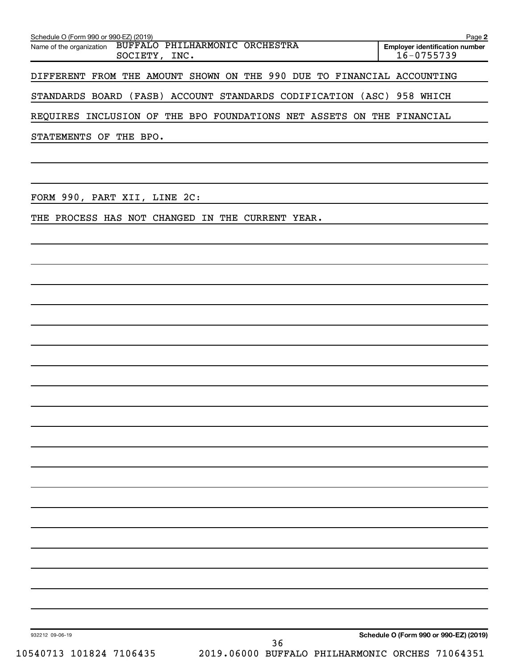| Schedule O (Form 990 or 990-EZ) (2019)                                      | Page 2                                              |
|-----------------------------------------------------------------------------|-----------------------------------------------------|
| BUFFALO PHILHARMONIC ORCHESTRA<br>Name of the organization<br>SOCIETY, INC. | <b>Employer identification number</b><br>16-0755739 |
| DIFFERENT FROM THE AMOUNT SHOWN ON THE 990 DUE TO FINANCIAL ACCOUNTING      |                                                     |
| STANDARDS BOARD (FASB) ACCOUNT STANDARDS CODIFICATION (ASC)                 | 958 WHICH                                           |
| REQUIRES INCLUSION OF THE BPO FOUNDATIONS NET ASSETS ON THE FINANCIAL       |                                                     |
| STATEMENTS OF THE BPO.                                                      |                                                     |
|                                                                             |                                                     |
|                                                                             |                                                     |
| FORM 990, PART XII, LINE 2C:                                                |                                                     |
| PROCESS HAS NOT CHANGED<br>IN THE CURRENT YEAR.<br>THE                      |                                                     |
|                                                                             |                                                     |
|                                                                             |                                                     |
|                                                                             |                                                     |
|                                                                             |                                                     |
|                                                                             |                                                     |

932212 09-06-19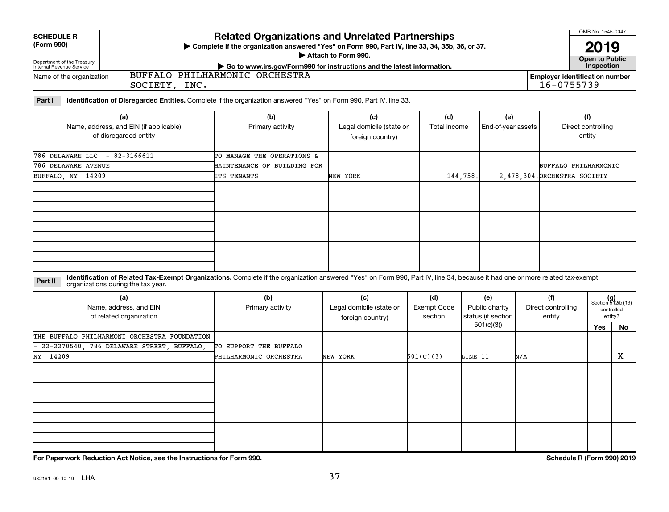| <b>SCHEDULE R</b><br>(Form 990)<br>Department of the Treasury<br>Internal Revenue Service<br><b>BUFFALO</b><br>Name of the organization                                                                                       | <b>Related Organizations and Unrelated Partnerships</b><br>> Complete if the organization answered "Yes" on Form 990, Part IV, line 33, 34, 35b, 36, or 37.<br>Go to www.irs.gov/Form990 for instructions and the latest information.<br>PHILHARMONIC ORCHESTRA | Attach to Form 990.                          |              |                    | OMB No. 1545-0047<br>2019<br><b>Open to Public</b><br>Inspection<br><b>Employer identification number</b> |
|-------------------------------------------------------------------------------------------------------------------------------------------------------------------------------------------------------------------------------|-----------------------------------------------------------------------------------------------------------------------------------------------------------------------------------------------------------------------------------------------------------------|----------------------------------------------|--------------|--------------------|-----------------------------------------------------------------------------------------------------------|
| SOCIETY, INC.                                                                                                                                                                                                                 |                                                                                                                                                                                                                                                                 |                                              |              |                    | 16-0755739                                                                                                |
| <b>Identification of Disregarded Entities.</b> Complete if the organization answered "Yes" on Form 990, Part IV, line 33.<br>Part I                                                                                           |                                                                                                                                                                                                                                                                 |                                              |              |                    |                                                                                                           |
| (a)                                                                                                                                                                                                                           | (b)                                                                                                                                                                                                                                                             | (c)                                          | (d)          | (e)                | (f)                                                                                                       |
| Name, address, and EIN (if applicable)<br>of disregarded entity                                                                                                                                                               | Primary activity                                                                                                                                                                                                                                                | Legal domicile (state or<br>foreign country) | Total income | End-of-year assets | Direct controlling<br>entity                                                                              |
| 786 DELAWARE LLC<br>$-82-3166611$                                                                                                                                                                                             | TO MANAGE THE OPERATIONS &                                                                                                                                                                                                                                      |                                              |              |                    |                                                                                                           |
| 786 DELAWARE AVENUE                                                                                                                                                                                                           | MAINTENANCE OF BUILDING FOR                                                                                                                                                                                                                                     |                                              |              |                    | BUFFALO PHILHARMONIC                                                                                      |
| BUFFALO, NY 14209                                                                                                                                                                                                             | ITS TENANTS                                                                                                                                                                                                                                                     | NEW YORK                                     | 144.758.     |                    | 2.478.304. ORCHESTRA SOCIETY                                                                              |
|                                                                                                                                                                                                                               |                                                                                                                                                                                                                                                                 |                                              |              |                    |                                                                                                           |
|                                                                                                                                                                                                                               |                                                                                                                                                                                                                                                                 |                                              |              |                    |                                                                                                           |
|                                                                                                                                                                                                                               |                                                                                                                                                                                                                                                                 |                                              |              |                    |                                                                                                           |
| Identification of Related Tax-Exempt Organizations. Complete if the organization answered "Yes" on Form 990, Part IV, line 34, because it had one or more related tax-exempt<br>Part II<br>organizations during the tax year. |                                                                                                                                                                                                                                                                 |                                              |              |                    |                                                                                                           |
| (a)                                                                                                                                                                                                                           | (b)                                                                                                                                                                                                                                                             | (c)                                          | (d)          | (e)                | (f)<br>$(g)$<br>Section 512(b)(13)                                                                        |

| (a)<br>Name, address, and EIN<br>of related organization | (b)<br>Primary activity | (c)<br>Legal domicile (state or<br>foreign country) | (d)<br><b>Exempt Code</b><br>section | (e)<br>Public charity<br>status (if section | (f)<br>Direct controlling<br>entity | $(g)$<br>Section 512(b)(13)<br>entity? | controlled |
|----------------------------------------------------------|-------------------------|-----------------------------------------------------|--------------------------------------|---------------------------------------------|-------------------------------------|----------------------------------------|------------|
|                                                          |                         |                                                     |                                      | 501(c)(3)                                   |                                     | Yes                                    | No         |
| THE BUFFALO PHILHARMONI ORCHESTRA FOUNDATION             |                         |                                                     |                                      |                                             |                                     |                                        |            |
| $-$ 22-2270540, 786 DELAWARE STREET, BUFFALO,            | TO SUPPORT THE BUFFALO  |                                                     |                                      |                                             |                                     |                                        |            |
| NY 14209                                                 | PHILHARMONIC ORCHESTRA  | NEW YORK                                            | 501(C)(3)                            | LINE 11                                     | N/A                                 |                                        | х          |
|                                                          |                         |                                                     |                                      |                                             |                                     |                                        |            |
|                                                          |                         |                                                     |                                      |                                             |                                     |                                        |            |
|                                                          |                         |                                                     |                                      |                                             |                                     |                                        |            |
|                                                          |                         |                                                     |                                      |                                             |                                     |                                        |            |
|                                                          |                         |                                                     |                                      |                                             |                                     |                                        |            |
|                                                          |                         |                                                     |                                      |                                             |                                     |                                        |            |
|                                                          |                         |                                                     |                                      |                                             |                                     |                                        |            |
|                                                          |                         |                                                     |                                      |                                             |                                     |                                        |            |
|                                                          |                         |                                                     |                                      |                                             |                                     |                                        |            |

**For Paperwork Reduction Act Notice, see the Instructions for Form 990. Schedule R (Form 990) 2019**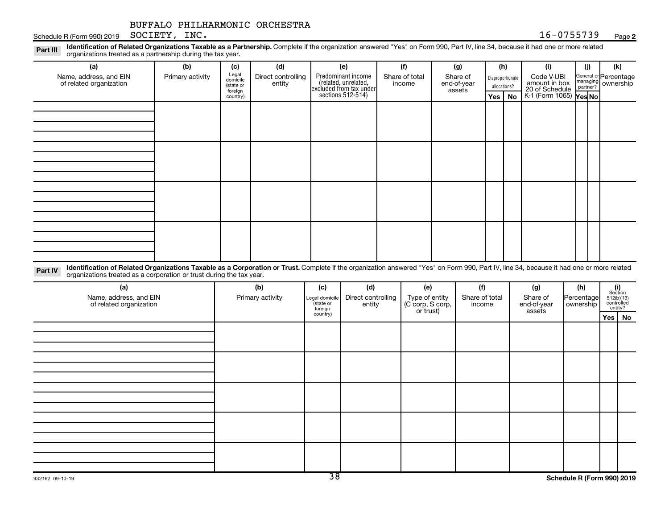#### **2**

Disproportionate allocations? Legal domicile (state or foreign country) General or Percentage managing partner? Legal domicile (state or foreign country) Part III Identification of Related Organizations Taxable as a Partnership. Complete if the organization answered "Yes" on Form 990, Part IV, line 34, because it had one or more related<br>Read to the organizations tracted as **(a) (b) (c) (d) (e) (f) (g) (h) (i) (j) (k) Yes No Yes No** K-1 (Form 1065) Part IV Identification of Related Organizations Taxable as a Corporation or Trust. Complete if the organization answered "Yes" on Form 990, Part IV, line 34, because it had one or more related **(a) (b) (c) (d) (e) (f) (g) (h) (i)** Predominant income excluded from tax under sections 512-514) Schedule R (Form 990) 2019 Page SOCIETY, INC. 16-0755739 organizations treated as a partnership during the tax year. Name, address, and EIN of related organization Primary activity  $\left| \begin{array}{c} \text{Legal} \\ \text{demi} \end{array} \right|$  Direct controlling entity Share of total income Share of end-of-year assets Code V-UBI<br>amount in box 20 of Schedule ownership organizations treated as a corporation or trust during the tax year. Name, address, and EIN of related organization Primary activity |Legal domicile | Direct controlling entity Type of entity (C corp, S corp, or trust) Share of total income Share of end-of-year assets Percentage ownership BUFFALO PHILHARMONIC ORCHESTRA

Section 512(b)(13) controlled entity? **Yes No**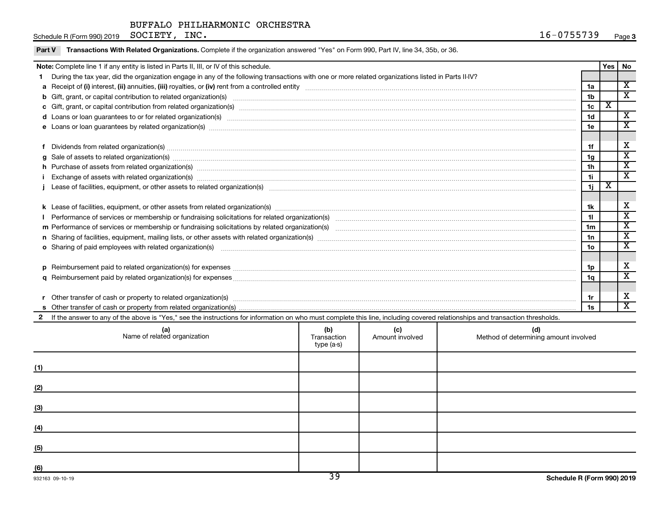Schedule R (Form 990) 2019 Page SOCIETY, INC. 16-0755739

| Note: Complete line 1 if any entity is listed in Parts II, III, or IV of this schedule.                                                                                                                                        |                 |                         | Yes   No                    |
|--------------------------------------------------------------------------------------------------------------------------------------------------------------------------------------------------------------------------------|-----------------|-------------------------|-----------------------------|
| During the tax year, did the organization engage in any of the following transactions with one or more related organizations listed in Parts II-IV?                                                                            |                 |                         |                             |
|                                                                                                                                                                                                                                | 1a              |                         | X                           |
| b Gift, grant, or capital contribution to related organization(s) manufaction contribution to related organization(s)                                                                                                          | 1 <sub>b</sub>  |                         | $\overline{\mathbf{x}}$     |
|                                                                                                                                                                                                                                | 1 <sub>c</sub>  | $\overline{\textbf{x}}$ |                             |
|                                                                                                                                                                                                                                | 1 <sub>d</sub>  |                         | $\overline{\mathbf{x}}$     |
|                                                                                                                                                                                                                                |                 |                         | X                           |
| e Loans or loan guarantees by related organization(s) material content and content to content the content of the content of the content of the content of the content of the content of the content of the content of the cont | 1e              |                         |                             |
|                                                                                                                                                                                                                                |                 |                         | X                           |
| Dividends from related organization(s) manufacture contraction and contract and contract or manufacture contract or manufacture contract or manufacture contract or manufacture contract or manufacture contract or manufactur | 1f              |                         | $\overline{\mathbf{x}}$     |
| $g$ Sale of assets to related organization(s) with the contraction contraction contract of the contract of the contract organization(s) with the contract of the contract of the contract of the contract of the contract of   | 1g              |                         | $\overline{\textnormal{x}}$ |
| h Purchase of assets from related organization(s) manufactured and content to content and content of assets from related organization(s)                                                                                       | 1 <sub>h</sub>  |                         |                             |
|                                                                                                                                                                                                                                | 1i.             |                         | $\overline{\textnormal{x}}$ |
|                                                                                                                                                                                                                                | 1j              | х                       |                             |
|                                                                                                                                                                                                                                |                 |                         |                             |
|                                                                                                                                                                                                                                | 1k              |                         | X                           |
|                                                                                                                                                                                                                                | 11              |                         | $\overline{\text{x}}$       |
|                                                                                                                                                                                                                                | 1 <sub>m</sub>  |                         | $\mathbf{x}$                |
|                                                                                                                                                                                                                                | 1n              |                         | $\overline{\textnormal{x}}$ |
| <b>o</b> Sharing of paid employees with related organization(s)                                                                                                                                                                | 10 <sub>o</sub> |                         | $\overline{\textnormal{x}}$ |
|                                                                                                                                                                                                                                |                 |                         |                             |
|                                                                                                                                                                                                                                | 1p              |                         | х                           |
|                                                                                                                                                                                                                                | 1q              |                         | $\overline{\textnormal{x}}$ |
|                                                                                                                                                                                                                                |                 |                         |                             |
|                                                                                                                                                                                                                                | 1r              |                         | х                           |
|                                                                                                                                                                                                                                | 1s              |                         | X                           |
| If the answer to any of the above is "Yes," see the instructions for information on who must complete this line, including covered relationships and transaction thresholds.                                                   |                 |                         |                             |

| (a)<br>Name of related organization | (b)<br>Transaction<br>type (a-s) | (c)<br>Amount involved | (d)<br>Method of determining amount involved |
|-------------------------------------|----------------------------------|------------------------|----------------------------------------------|
| (1)                                 |                                  |                        |                                              |
| (2)                                 |                                  |                        |                                              |
| (3)                                 |                                  |                        |                                              |
| (4)                                 |                                  |                        |                                              |
| (5)                                 |                                  |                        |                                              |
| (6)                                 | ה $\overline{\phantom{a}}$       |                        | - - - - - - -                                |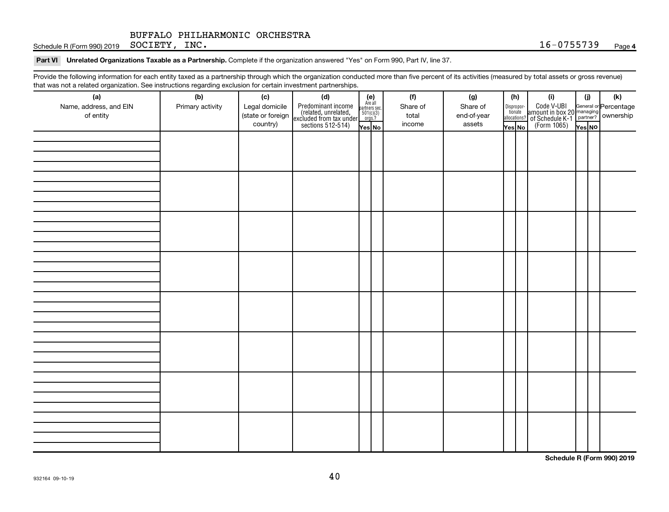Schedule R (Form 990) 2019 Page SOCIETY, INC. 16-0755739

Part VI Unrelated Organizations Taxable as a Partnership. Complete if the organization answered "Yes" on Form 990, Part IV, line 37.

Provide the following information for each entity taxed as a partnership through which the organization conducted more than five percent of its activities (measured by total assets or gross revenue) that was not a related organization. See instructions regarding exclusion for certain investment partnerships.

| (a)                    | (b)              | (c)               | mat was not a related organization. Occ instructions regarding excitation for certain investment partnerships.<br>(d) |                                                          |  | (f)      | (g)         |        | (h)                              | (i)                                                                                          | (i)    | (k) |
|------------------------|------------------|-------------------|-----------------------------------------------------------------------------------------------------------------------|----------------------------------------------------------|--|----------|-------------|--------|----------------------------------|----------------------------------------------------------------------------------------------|--------|-----|
| Name, address, and EIN | Primary activity | Legal domicile    | Predominant income<br>(related, unrelated,<br>excluded from tax under<br>sections 512-514)                            | (e)<br>Are all<br>partners sec.<br>$501(c)(3)$<br>orgs.? |  | Share of | Share of    |        |                                  | Code V-UBI<br>amount in box 20 managing<br>of Schedule K-1 partner?<br>(Form 1065)<br>ves No |        |     |
| of entity              |                  | (state or foreign |                                                                                                                       |                                                          |  | total    | end-of-year |        | Disproportionate<br>allocations? |                                                                                              |        |     |
|                        |                  | country)          |                                                                                                                       | Yes No                                                   |  | income   | assets      | Yes No |                                  |                                                                                              | Yes NO |     |
|                        |                  |                   |                                                                                                                       |                                                          |  |          |             |        |                                  |                                                                                              |        |     |
|                        |                  |                   |                                                                                                                       |                                                          |  |          |             |        |                                  |                                                                                              |        |     |
|                        |                  |                   |                                                                                                                       |                                                          |  |          |             |        |                                  |                                                                                              |        |     |
|                        |                  |                   |                                                                                                                       |                                                          |  |          |             |        |                                  |                                                                                              |        |     |
|                        |                  |                   |                                                                                                                       |                                                          |  |          |             |        |                                  |                                                                                              |        |     |
|                        |                  |                   |                                                                                                                       |                                                          |  |          |             |        |                                  |                                                                                              |        |     |
|                        |                  |                   |                                                                                                                       |                                                          |  |          |             |        |                                  |                                                                                              |        |     |
|                        |                  |                   |                                                                                                                       |                                                          |  |          |             |        |                                  |                                                                                              |        |     |
|                        |                  |                   |                                                                                                                       |                                                          |  |          |             |        |                                  |                                                                                              |        |     |
|                        |                  |                   |                                                                                                                       |                                                          |  |          |             |        |                                  |                                                                                              |        |     |
|                        |                  |                   |                                                                                                                       |                                                          |  |          |             |        |                                  |                                                                                              |        |     |
|                        |                  |                   |                                                                                                                       |                                                          |  |          |             |        |                                  |                                                                                              |        |     |
|                        |                  |                   |                                                                                                                       |                                                          |  |          |             |        |                                  |                                                                                              |        |     |
|                        |                  |                   |                                                                                                                       |                                                          |  |          |             |        |                                  |                                                                                              |        |     |
|                        |                  |                   |                                                                                                                       |                                                          |  |          |             |        |                                  |                                                                                              |        |     |
|                        |                  |                   |                                                                                                                       |                                                          |  |          |             |        |                                  |                                                                                              |        |     |
|                        |                  |                   |                                                                                                                       |                                                          |  |          |             |        |                                  |                                                                                              |        |     |
|                        |                  |                   |                                                                                                                       |                                                          |  |          |             |        |                                  |                                                                                              |        |     |
|                        |                  |                   |                                                                                                                       |                                                          |  |          |             |        |                                  |                                                                                              |        |     |
|                        |                  |                   |                                                                                                                       |                                                          |  |          |             |        |                                  |                                                                                              |        |     |
|                        |                  |                   |                                                                                                                       |                                                          |  |          |             |        |                                  |                                                                                              |        |     |
|                        |                  |                   |                                                                                                                       |                                                          |  |          |             |        |                                  |                                                                                              |        |     |
|                        |                  |                   |                                                                                                                       |                                                          |  |          |             |        |                                  |                                                                                              |        |     |
|                        |                  |                   |                                                                                                                       |                                                          |  |          |             |        |                                  |                                                                                              |        |     |
|                        |                  |                   |                                                                                                                       |                                                          |  |          |             |        |                                  |                                                                                              |        |     |
|                        |                  |                   |                                                                                                                       |                                                          |  |          |             |        |                                  |                                                                                              |        |     |
|                        |                  |                   |                                                                                                                       |                                                          |  |          |             |        |                                  |                                                                                              |        |     |
|                        |                  |                   |                                                                                                                       |                                                          |  |          |             |        |                                  |                                                                                              |        |     |
|                        |                  |                   |                                                                                                                       |                                                          |  |          |             |        |                                  |                                                                                              |        |     |
|                        |                  |                   |                                                                                                                       |                                                          |  |          |             |        |                                  |                                                                                              |        |     |

**Schedule R (Form 990) 2019**